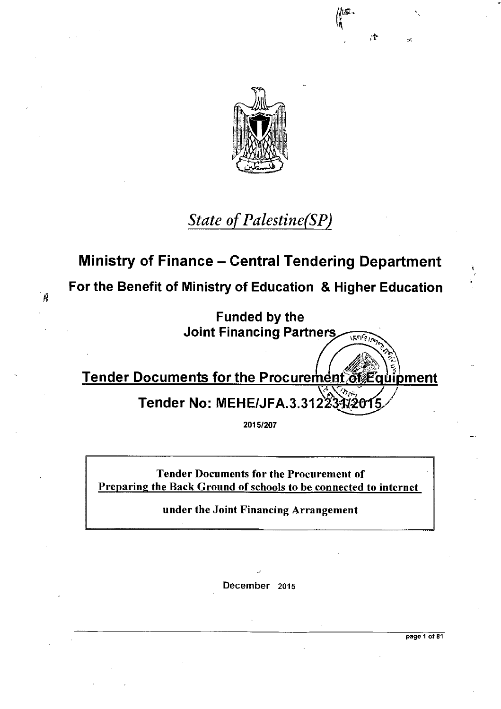

### *State of Palestine(SP)*

### **Ministry of Finance — Central Tendering Department**

**For the Benefit of Ministry of Education & Higher Education** 

Ą

**Funded by the Joint Financing Partners**   $155661$ 

**Tender Documents for the Procurement of Equipment** 

**Tender No: MEHE/JFA.3.3122** 

**2015/207** 

Tender Documents for the Procurement of Preparing the Back Ground of schools to be connected to internet

under the Joint Financing Arrangement

December 2015

**page 1 of 81** 

It)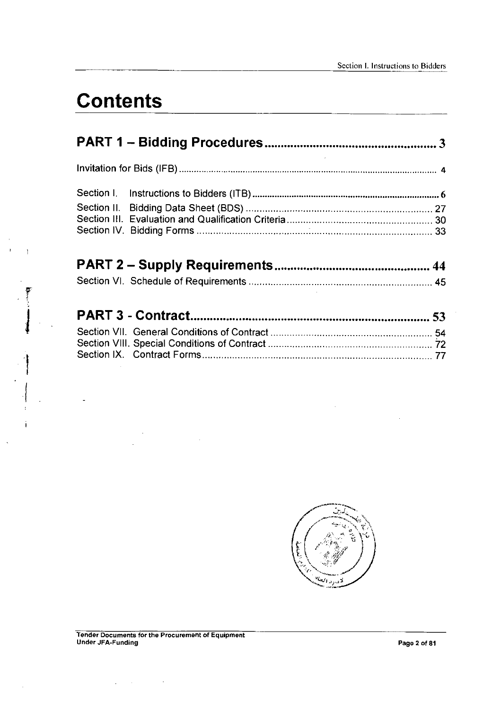# **Contents**

 $\mathbf{I}$ 

 $\mathfrak i$ 

 $\bar{z}$ 

 $\ddot{\phantom{1}}$ 

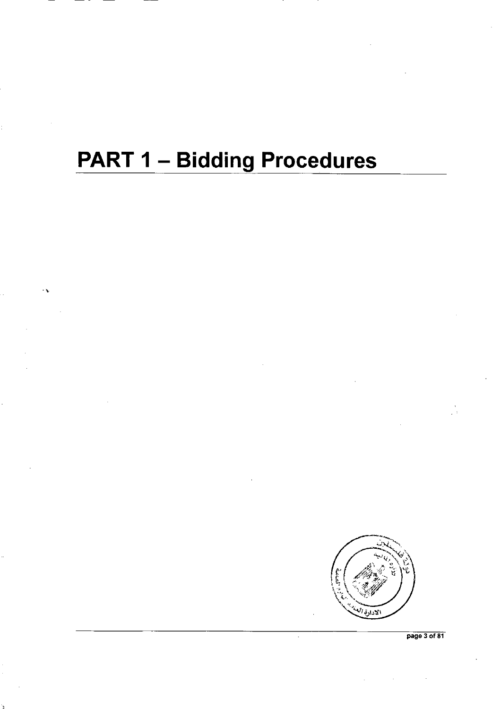# **PART 1 - Bidding Procedures**



page 3 of 81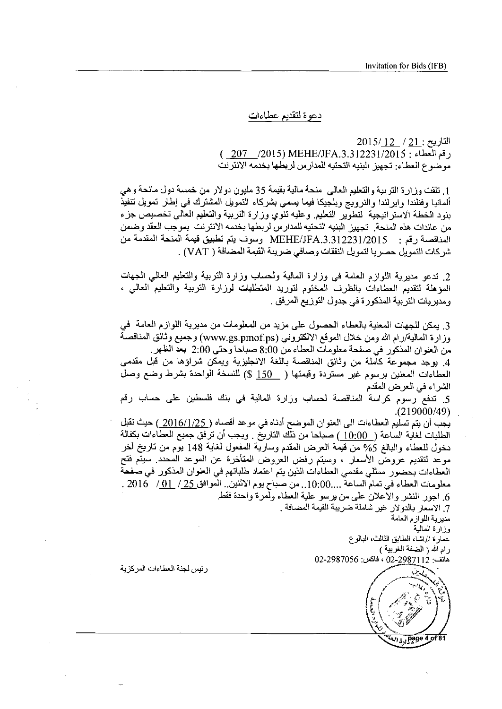دعوة لتقديم عطاءات

 $2015/12$  /  $21$  : التاريح ( 207 /2015) MEHE/JFA.3.312231/2015 : مو ضوع العطاء: تجهيز البنيه التحتيه للمدار س لربطها بخدمه الانترنت

1. تلقت وزارة التربية والتعليم العالي منحة مالية بقيمة 35 مليون دولار من خمسة دول مانحة و *هي* ألمانيا وفنلندا وابرلندا والنرويج وبلجيكا فيما يسمى بشركاء التمويل المشترك فمي إطار تمويل تنفيذ بنود الخطة الاستر اتيجية التطوير التعليم وعليه تنوى وزارة التربية والتعليم العالمي تخصيص جزء 1. تلقت وزارة التربية والتعليم العالمي منحة مالية بقيمة 35 مليون دولار من خمسة دولم<br>ألمانيا وفنلندا وايرلندا والنرويج وبلجيكا فيما يسمى بشركاء التمويل المشترك في إطار<br>بنود الخطة الاستراتيجية لتطوير التعليم. وعليه تنوي وزا المناقصة رقم : 231/2231/2015 MEHE/JFA.3.312231 وسوف يتم تطبيق قيمة المنحة المقدمة من شر كات النمويل حصر يا لنمويل النفقات وصـافي ضريبة القيمة المضـافة ( VAT) .

2. تدعو مديرية اللوازم العامة في وزارة المالية ولحساب وزارة التربية والتعليم العالمي المجهات مديريه اللوارم العامة في وزارة المالية ولحساب وزارة اللزبية واللعليم العالي الجها<br>تقديم العطاءات بالظرف المختوم لتوريد المتطلبات لوزارة التربية والتعليم العالي<br>التربية المذكورة في جدول التوزيع المرفق .

3. يمكن للجهات المعنية بالعطاء الحصول على مزيد من المعلومات من مديرية اللوازم العامة ً في وزارة المالية/رام الله ومن خلال الموقع الالكتروني (www.gs.pmof.ps) وجميع وثانق المناقصة من العنوان المذكور في صفحة معلومات العطاء من 8:00 صباحا وحتى 2:00 بعد الظهر .

4. بوجد مجموعة كاملة من وثانق المناقصة باللغة الانجليزية ويمكن شراؤها من قبل مقدمي العطاءات المعنين برسوم غير مستردة وقيمتها ( 150 S) للنسخة الواحدة بشرط وضع وصل الشر اء في العرض المقدم

5. تدفع رسوم كراسة المناقصة لحساب وزارة المالية في بنك فلسطين على حساب رقع .(219000/49)

يجب أن يتم تسليم العطاءات الى العنوان الموضح أدناه في موعد أقصاه ( 2016/1/25 ) حيث تقبل يجب أن يتم تسليم العطاءات الى العلوان الموضح أدناه في موعد اقصاه (\_<u>2016/1/25 )</u> حيث تقبل<br>الطلبات لغاية الساعة (\_10:00 ) صباحا من ذلك الناريخ . ويجب أن ترفق جميع العطاءات بكفالة<br>دوخول للعطاء والبالغ 5% من قيمة العرض المقد دخول للعطاء والبالغ 5% من قيمة العرض المقدم وسارية المفعول لغاية 148 يوم من تاريخ أخر<br>موعد لتقديم عروض الأسعار ، وسيتم رفض العروض المتأخرة عن الموعد المحدد. سيتم فتح العطاءات بحضور ممثلي مقدمي العطاءات الذين يتم اعتماد طلباتهم في العنوان المذكور في صفحة معلومات العطاء في تمام الساعة ....10:00.. من صباح يوم الاثنين.. الموافق 25 / 10\_/ 2016 . 6. اجور النشر والاعلان على من برسو علية العطاء ولمرة واحدة فقط.

6 . اجور النشر والأعلان على من برسو علير<br>7. الاسعار بالدولار غير شاملة ضريبة القيمة ال<br>مديرية اللوازم العامة<br>وزارة العالمية<br>عمارة الباشا، الطابق الثالث، البالوع<br>رام الله ( الضفة الغربية ) وزارة المالية عمارة الباشا، الطابق الثالث، البالوع<br>رام الله ( الضفة الغربية )

02-2987056 :uai 02-29.87112

رنيس لجنة العطاءات المركزية

-Sk\(1)<br>-Sk\(1)<br>-Sk\(1) Th *r* f 1 E  $w_{15,1}$ page 4 of 81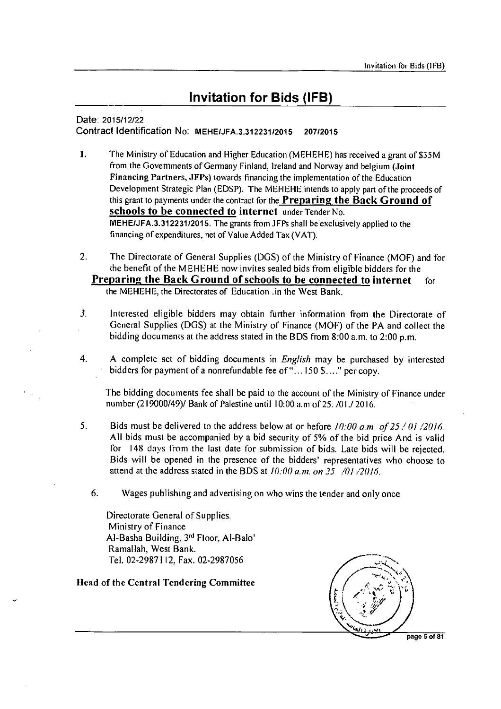### **Invitation for Bids (IFB)**

#### Date: 2015/12/22 Contract Identification No: MEHE/JFA.3.312231/2015 207/2015

- I. The Ministry of Education and Higher Education (MEHEHE) has received a grant of \$35M from the Governments of Germany Finland, Ireland and Norway and belgium (Joint Financing Partners, JFPs) towards financing the implementation of the Education Development Strategic Plan (EDSP). The MEHEHE intends to apply part of the proceeds of this grant to payments under the contract for the **Preparing the Back Ground of** schools to be connected to internet under Tender No. MEHE/JFA.3.312231/2015. The grants from JFPs shall be exclusively applied to the financing of expenditures, net of Value Added Tax (VAT).
- 2. The Directorate of General Supplies (DGS) of the Ministry of Finance (MOF) and for the benefit of the MEHEHE now invites sealed bids from eligible bidders for the **Preparing the Back Ground of schools to be connected to internet** for the MEHEHE, the Directorates of Education .in the West Bank.
- 3. Interested eligible bidders may obtain further information from the Directorate of General Supplies (DGS) at the Ministry of Finance (MOF) of the PA and collect the bidding documents at the address stated in the BDS from 8:00 a.m. to 2:00 p.m.
- 4. A complete set of bidding documents in *English* may be purchased by interested bidders for payment of a nonrefundable fee of "...150 \$...." per copy.

The bidding documents fee shall be paid to the account of the Ministry of Finance under number (219000/49)/ Bank of Palestine until 10:00 a.in of 25. /01.12016.

- 5. Bids must be delivered to the address below at or before */0:00 am of 25 / 01 /2016.*  All bids must be accompanied by a bid security of 5% of the bid price And is valid for 148 days from the last date for submission of bids. Late bids will be rejected. Bids will be opened in the presence of the bidders' representatives who choose to attend at the address stated in the BDS at *10:00 a.m. on 25 /01 /2016.* 
	- 6. Wages publishing and advertising on who wins the tender and only once

Directorate General of Supplies. Ministry of Finance Al-Basha Building, 3rd Floor, Al-Balo' Ramallah. West Bank. Tel. 02-2987112, Fax. 02-2987056

#### Head of the Central Tendering Committee



page 5 of 81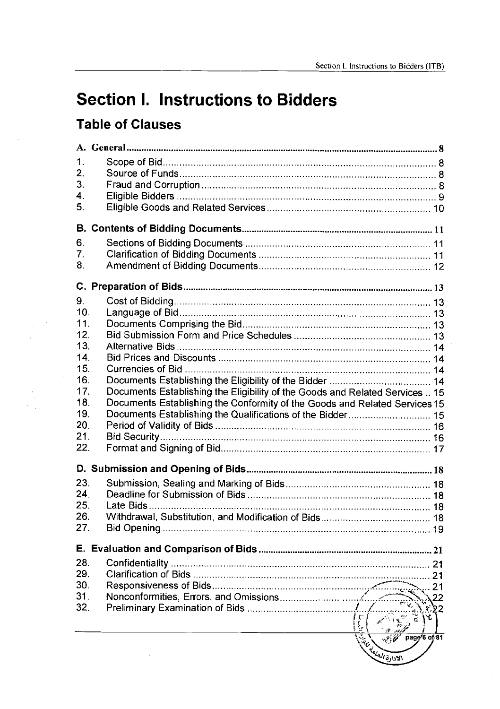## **Section I. Instructions to Bidders**

### **Table of Clauses**

| 1.              |                                                                              |    |
|-----------------|------------------------------------------------------------------------------|----|
| 2.              |                                                                              |    |
| 3.              |                                                                              |    |
| 4.              |                                                                              |    |
| 5.              |                                                                              |    |
|                 |                                                                              |    |
|                 |                                                                              |    |
| 6.              |                                                                              |    |
| 7.              |                                                                              |    |
| 8.              |                                                                              |    |
| С.              |                                                                              |    |
| 9.              |                                                                              |    |
| 10 <sub>1</sub> |                                                                              |    |
| 11.             |                                                                              |    |
| 12.             |                                                                              |    |
| 13.             |                                                                              |    |
| 14.             |                                                                              |    |
| 15.             |                                                                              |    |
| 16.             |                                                                              |    |
| 17.             | Documents Establishing the Eligibility of the Goods and Related Services  15 |    |
| 18.             | Documents Establishing the Conformity of the Goods and Related Services 15   |    |
| 19.             |                                                                              |    |
| 20.             |                                                                              |    |
| 21.             |                                                                              |    |
| 22.             |                                                                              |    |
|                 |                                                                              |    |
|                 |                                                                              |    |
| 23.             |                                                                              |    |
| 24.             |                                                                              |    |
| 25.             |                                                                              |    |
| 26.             |                                                                              |    |
| 27.             |                                                                              |    |
|                 |                                                                              |    |
| 28.             |                                                                              |    |
| 29.             |                                                                              | 21 |
| 30.             |                                                                              | 21 |
| 31.             |                                                                              |    |
| 32.             |                                                                              |    |
|                 |                                                                              |    |
|                 | page'6 of 81<br><b>CALL COLLAPS 51.531</b>                                   |    |
|                 |                                                                              |    |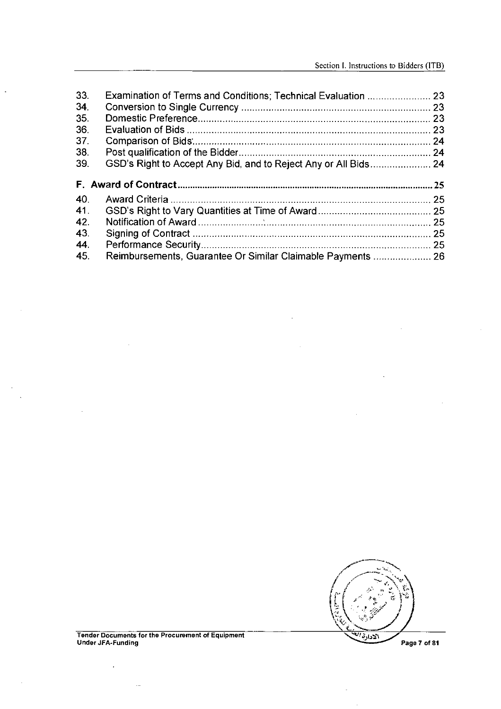| 33. |     |
|-----|-----|
| 34. |     |
| 35. |     |
| 36. |     |
| 37. |     |
| 38. |     |
| 39. |     |
|     |     |
|     |     |
|     | .25 |
| 40. |     |
| 41. |     |
| 42. |     |
| 43. |     |
| 44. |     |

 $\bar{z}$ 

 $\cdot$ 



i,

 $\bar{z}$ 

Tender Documents for the Procurement of Equipment Under JFA-Funding

 $\bar{\mathcal{A}}$ 

 $\ddotsc$ 

 $\bar{\mathcal{A}}$ 

 $\ddot{\phantom{a}}$ 

 $\sim$  $\bar{\beta}$ 

÷.

Page 7 of 81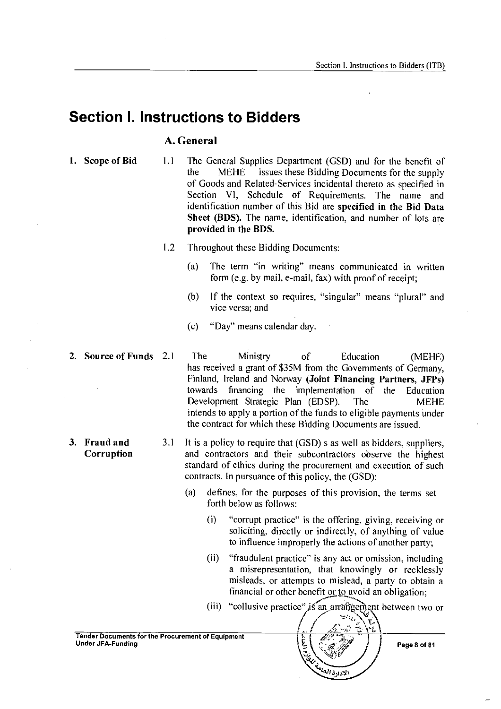### **Section I. Instructions to Bidders**

#### **A. General**

- **1. Scope of Bid** 1.1 The General Supplies Department (GSD) and for the benefit of the MEHE issues these Bidding Documents for the supply of Goods and Related-Services incidental thereto as specified in Section VI, Schedule of Requirements. The name and identification number of this Bid are **specified in the Bid Data Sheet (BDS).** The name, identification, and number of lots are **provided in the BPS.** 
	- 1.2 Throughout these Bidding Documents:
		- (a) The term "in writing" means communicated in written form (e.g. by mail, e-mail, fax) with proof of receipt;
		- (b) If the context so requires, "singular" means "plural" and vice versa; and
		- (c) "Day" means calendar day.
- 
- 
- **2. Source of Funds** 2.1 The Ministry of Education (MEHE) has received a grant of \$35M from the Governments of Germany, Finland, Ireland and Norway **(Joint Financing Partners, JFPs)**  towards financing the implementation of the Education Development Strategic Plan (EDSP). The MEHE intends to apply a portion of the funds to eligible payments under the contract for which these Bidding Documents are issued.
- **3. Fraud and** 3.1 It is a policy to require that (GSD) s as well as bidders, suppliers, **Corruption** and contractors and their subcontractors observe the highest standard of ethics during the procurement and execution of such contracts. In pursuance of this policy, the (GSD):
	- (a) defines, for the purposes of this provision, the terms set forth below as follows:
		- "corrupt practice" is the offering, giving, receiving or soliciting, directly or indirectly, of anything of value to influence improperly the actions of another party; (i)
		- (ii) "fraudulent practice" is any act or omission, including a misrepresentation, that knowingly or recklessly misleads, or attempts to mislead, a party to obtain a financial or other benefit or to avoid an obligation;
		- (iii) "collusive practice" is an arrangement between two or



Tender Documents for the Procurement of Equipment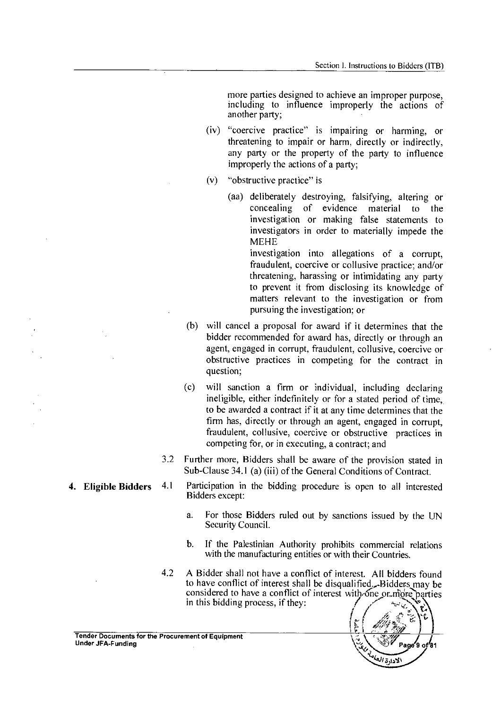more parties designed to achieve an improper purpose, including to influence improperly the actions of another party;

- (iv) "coercive practice" is impairing or harming, or threatening to impair or harm, directly or indirectly, any party or the property of the party to influence improperly the actions of a party;
- (v) "obstructive practice" is
	- (aa) deliberately destroying, falsifying, altering or concealing of evidence material to the investigation or making false statements to investigators in order to materially impede the MEHE

investigation into allegations of a corrupt, fraudulent, coercive or collusive practice; and/or threatening, harassing or intimidating any party to prevent it from disclosing its knowledge of matters relevant to the investigation or from pursuing the investigation; or

- (b) will cancel a proposal for award if it determines that the bidder recommended for award has, directly or through an agent, engaged in corrupt, fraudulent, collusive, coercive or obstructive practices in competing for the contract in question;
- (c) will sanction a firm or individual, including declaring ineligible, either indefinitely or for a stated period of time, to be awarded a contract if it at any time determines that the firm has, directly or through an agent, engaged in corrupt, fraudulent, collusive, coercive or obstructive practices in competing for, or in executing, a contract; and
- 3.2 Further more, Bidders shall be aware of the provision stated in Sub-Clause 34.1 (a) (iii) of the General Conditions of Contract.
- 4.1 Participation in the bidding procedure is open to all interested Bidders except:
	- a. For those Bidders ruled out by sanctions issued by the UN Security Council.
	- b. If the Palestinian Authority prohibits commercial relations with the manufacturing entities or with their Countries.
- 4.2 A Bidder shall not have a conflict of interest. All bidders found to have conflict of interest shall be disqualified... Bidders may be considered to have a conflict of interest with one or more parties in this bidding process, if they:





4. Eligible Bidders

Under JFA-Funding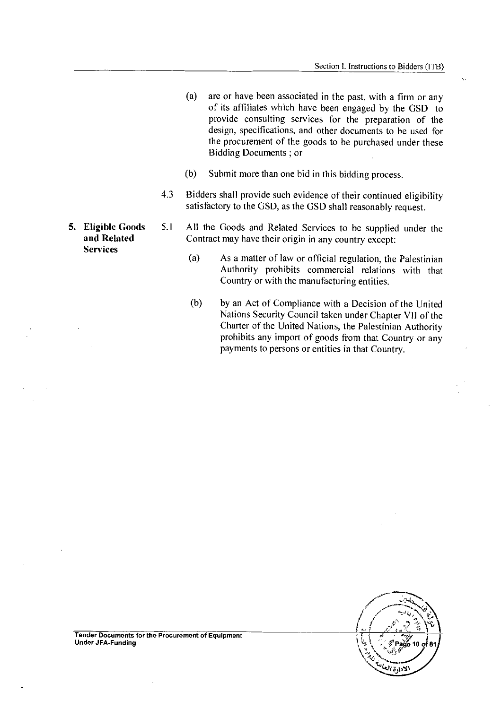- (a) are or have been associated in the past, with a firm or any of its affiliates which have been engaged by the GSD to provide consulting services for the preparation of the design, specifications, and other documents to be used for the procurement of the goods to be purchased under these Bidding Documents ; or
- (b) Submit more than one bid in this bidding process.
- 4.3 Bidders shall provide such evidence of their continued eligibility satisfactory to the GSD, as the GSD shall reasonably request.
- 5. Eligible Goods 5.1 All the Goods and Related Services to be supplied under the and Related Contract may have their origin in any country except: Contract may have their origin in any country except:
	- (a) As a matter of law or official regulation, the Palestinian Authority prohibits commercial relations with that Country or with the manufacturing entities.
	- (b) by an Act of Compliance with a Decision of the United Nations Security Council taken under Chapter VII of the Charter of the United Nations, the Palestinian Authority prohibits any import of goods from that Country or any payments to persons or entities in that Country.

ှိ Page 10 ဝှ

Tender Documents for the Procurement of Equipment Under JFA-Funding

**Services**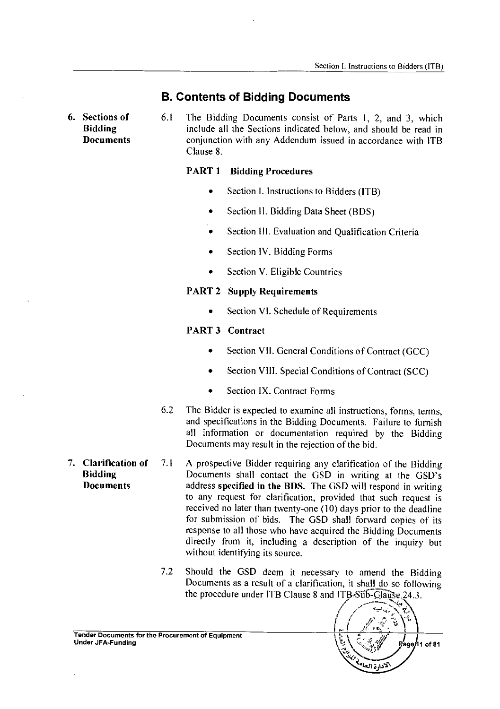#### **B. Contents of Bidding Documents**

**6. Sections of 6.1** The Bidding Documents consist of Parts 1, 2, and 3, which<br>**Bidding 6.1** include all the Sections indicated below, and should be read in **Bidding** include all the Sections indicated below, and should be read in **Documents conjunction with any Addendum issued in accordance with ITB** Clause 8.

#### **PART 1 Bidding Procedures**

- Section I. Instructions to Bidders (ITB)
- Section II. Bidding Data Sheet (BDS)
- Section III. Evaluation and Qualification Criteria
- Section IV. Bidding Forms
- Section V. Eligible Countries

#### **PART 2 Supply Requirements**

• Section VI. Schedule of Requirements

#### **PART 3 Contract**

- Section VII. General Conditions of Contract (GCC)
- Section VIII. Special Conditions of Contract (SCC)
- Section IX. Contract Forms
- 6.2 The Bidder is expected to examine all instructions, forms, terms, and specifications in the Bidding Documents. Failure to furnish all information or documentation required by the Bidding Documents may result in the rejection of the bid.
- 7. **Clarification of** 7.1 A prospective Bidder requiring any clarification of the Bidding<br>Bidding **Documents** shall contact the GSD in writing at the GSD's **Bidding Documents shall contact the GSD in writing at the GSD's**<br>**Documents address specified in the BDS.** The GSD will respond in writing address **specified in the BDS.** The GSD will respond in writing to any request for clarification, provided that such request is received no later than twenty-one (10) days prior to the deadline for submission of bids. The GSD shall forward copies of its response to all those who have acquired the Bidding Documents directly from it, including a description of the inquiry but without identifying its source.
	- 7.2 Should the GSD deem it necessary to amend the Bidding Documents as a result of a clarification, it shall do so following the procedure under ITB Clause 8 and ITB-Sub-Clause 24.3.



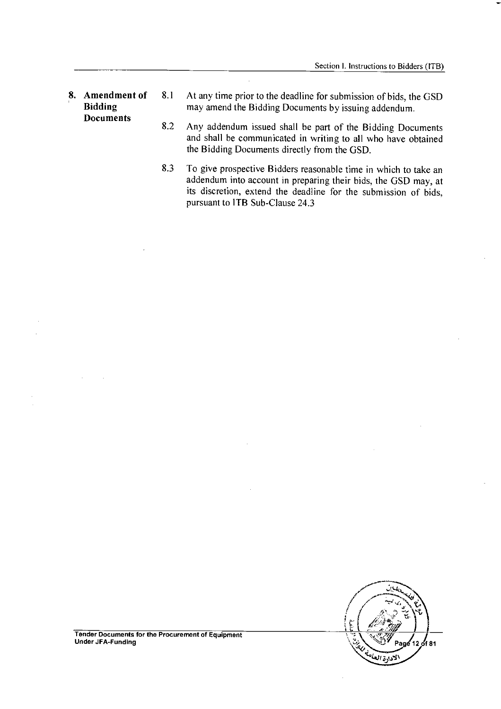- 8. Amendment of 8.1 At any time prior to the deadline for submission of bids, the GSD<br>Bidding may amend the Bidding Documents by issuing addendum. may amend the Bidding Documents by issuing addendum. **Documents** 
	- 8.2 Any addendum issued shall be part of the Bidding Documents and shall be communicated in writing to all who have obtained the Bidding Documents directly from the GSD.
	- 8.3 To give prospective Bidders reasonable time in which to take an addendum into account in preparing their bids, the GSD may, at its discretion, extend the deadline for the submission of bids, pursuant to ITB Sub-Clause 24.3



Tender Documents for the Procurement of Equipment Under JFA-Funding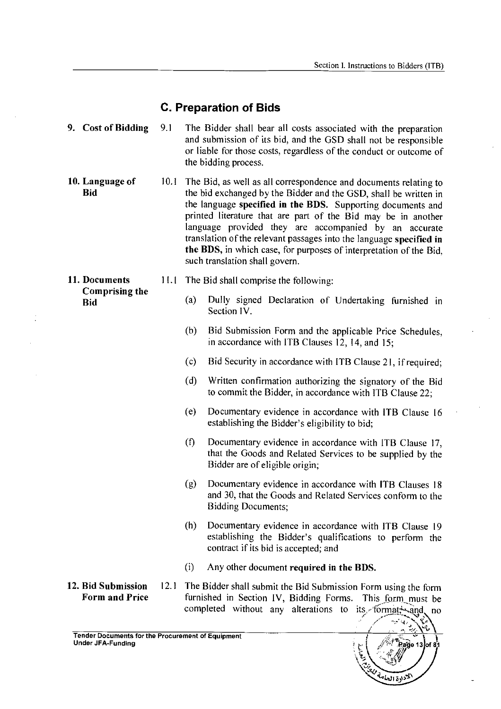l.

 $\bar{\beta}$ 

J.

### **C. Preparation of Bids**

| 9. Cost of Bidding                          | 9.1  | The Bidder shall bear all costs associated with the preparation<br>and submission of its bid, and the GSD shall not be responsible<br>or liable for those costs, regardless of the conduct or outcome of<br>the bidding process.                                                                                                                                                                                                                                                                             |
|---------------------------------------------|------|--------------------------------------------------------------------------------------------------------------------------------------------------------------------------------------------------------------------------------------------------------------------------------------------------------------------------------------------------------------------------------------------------------------------------------------------------------------------------------------------------------------|
| 10. Language of<br><b>Bid</b>               | 10.1 | The Bid, as well as all correspondence and documents relating to<br>the bid exchanged by the Bidder and the GSD, shall be written in<br>the language specified in the BDS. Supporting documents and<br>printed literature that are part of the Bid may be in another<br>language provided they are accompanied by an accurate<br>translation of the relevant passages into the language specified in<br>the BDS, in which case, for purposes of interpretation of the Bid.<br>such translation shall govern. |
| 11. Documents                               | 11.1 | The Bid shall comprise the following:                                                                                                                                                                                                                                                                                                                                                                                                                                                                        |
| <b>Comprising the</b><br><b>Bid</b>         |      | (a)<br>Dully signed Declaration of Undertaking furnished in<br>Section IV.                                                                                                                                                                                                                                                                                                                                                                                                                                   |
|                                             |      | (b)<br>Bid Submission Form and the applicable Price Schedules,<br>in accordance with ITB Clauses 12, 14, and 15;                                                                                                                                                                                                                                                                                                                                                                                             |
|                                             |      | Bid Security in accordance with ITB Clause 21, if required;<br>(c)                                                                                                                                                                                                                                                                                                                                                                                                                                           |
|                                             |      | (d)<br>Written confirmation authorizing the signatory of the Bid<br>to commit the Bidder, in accordance with ITB Clause 22;                                                                                                                                                                                                                                                                                                                                                                                  |
|                                             |      | (e)<br>Documentary evidence in accordance with ITB Clause 16<br>establishing the Bidder's eligibility to bid;                                                                                                                                                                                                                                                                                                                                                                                                |
|                                             |      | (f)<br>Documentary evidence in accordance with ITB Clause 17,<br>that the Goods and Related Services to be supplied by the<br>Bidder are of eligible origin;                                                                                                                                                                                                                                                                                                                                                 |
|                                             |      | (g)<br>Documentary evidence in accordance with ITB Clauses 18<br>and 30, that the Goods and Related Services conform to the<br><b>Bidding Documents;</b>                                                                                                                                                                                                                                                                                                                                                     |
|                                             |      | (h)<br>Documentary evidence in accordance with ITB Clause 19<br>establishing the Bidder's qualifications to perform the<br>contract if its bid is accepted; and                                                                                                                                                                                                                                                                                                                                              |
|                                             |      | Any other document required in the BDS.<br>(i)                                                                                                                                                                                                                                                                                                                                                                                                                                                               |
| 12. Bid Submission<br><b>Form and Price</b> | 12.1 | The Bidder shall submit the Bid Submission Form using the form<br>furnished in Section IV, Bidding Forms. This form must be<br>completed without any alterations to its format and no<br>$\sim$ $\sim$ .                                                                                                                                                                                                                                                                                                     |

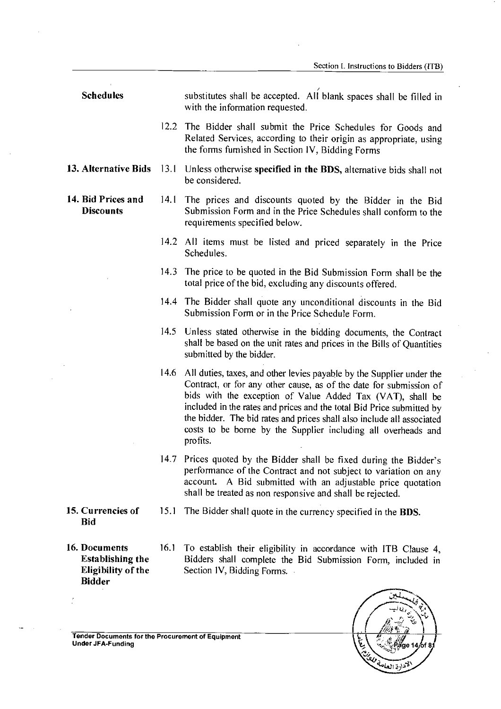- **Schedules**  substitutes shall be accepted. All blank spaces shall be filled in with the information requested.
	- 12.2 The Bidder shall submit the Price Schedules for Goods and Related Services, according to their origin as appropriate, using the forms furnished in Section IV, Bidding Forms
- **13. Alternative Bids**  13.1 Unless otherwise **specified in the BDS,** alternative bids shall not be considered.
- **14. Bid Prices and Discounts**
- 14.1 The prices and discounts quoted by the Bidder in the Bid Submission Form and in the Price Schedules shall conform to the requirements specified below.
- 14.2 All items must be listed and priced separately in the Price Schedules.
- 14.3 The price to be quoted in the Bid Submission Form shall be the total price of the bid, excluding any discounts offered.
- 14.4 The Bidder shall quote any unconditional discounts in the Bid Submission Form or in the Price Schedule Form.
- 14.5 Unless stated otherwise in the bidding documents, the Contract shall be based on the unit rates and prices in the Bills of Quantities submitted by the bidder.
- 14.6 All duties, taxes, and other levies payable by the Supplier under the Contract, or for any other cause, as of the date for submission of bids with the exception of Value Added Tax (VAT), shall be included in the rates and prices and the total Bid Price submitted by the bidder. The bid rates and prices shall also include all associated costs to be borne by the Supplier including all overheads and profits.
- 14.7 Prices quoted by the Bidder shall be fixed during the Bidder's performance of the Contract and not subject to variation on any account. A Bid submitted with an adjustable price quotation shall be treated as non responsive and shall be rejected.
- **15. Currencies of Bid**
- 15.1 The Bidder shall quote in the currency specified in the **BDS.**
- **16. Documents Establishing the Eligibility of the Bidder**
- 16.1 To establish their eligibility in accordance with ITB Clause 4, Bidders shall complete the Bid Submission Form, included in Section IV, Bidding Forms.

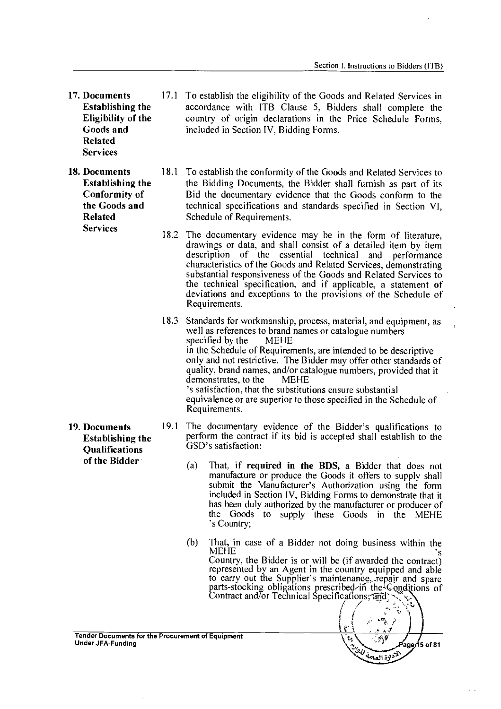**17. Documents Establishing the Eligibility of the Goods and Related Services** 

**18. Documents Establishing the Conformity of the Goods and Related Services** 

**19. Documents Establishing the Qualifications of the Bidder** 

- 17.1 To establish the eligibility of the Goods and Related Services in accordance with **ITB** Clause 5, Bidders shall complete the country of origin declarations in the Price Schedule Forms, included in Section IV, Bidding Forms.
- 18.1 To establish the conformity of the Goods and Related Services to the Bidding Documents, the Bidder shall furnish as part of its Bid the documentary evidence that the Goods conform to the technical specifications and standards specified in Section VI, Schedule of Requirements.
- 18.2 The documentary evidence may be in the form of literature, drawings or data, and shall consist of a detailed item by item description of the essential technical and performance characteristics of the Goods and Related Services, demonstrating substantial responsiveness of the Goods and Related Services to the technical specification, and if applicable, a statement of deviations and exceptions to the provisions of the Schedule of Requirements.
- 18.3 Standards for workmanship, process, material, and equipment, as well as references to brand names or catalogue numbers<br>specified by the MEHE specified by the in the Schedule of Requirements, are intended to be descriptive only and not restrictive. The Bidder may offer other standards of quality, brand names, and/or catalogue numbers, provided that it demonstrates, to the MEHE demonstrates, to the 's satisfaction, that the substitutions ensure substantial equivalence or are superior to those specified in the Schedule of Requirements.
- 19.1 The documentary evidence of the Bidder's qualifications to perform the contract if its bid is accepted shall establish to the GSD's satisfaction:
	- (a) That, if **required in the BDS,** a Bidder that does not manufacture or produce the Goods it offers to supply shall submit the Manufacturer's Authorization using the form included in Section IV, Bidding Forms to demonstrate that it has been duly authorized by the manufacturer or producer of the Goods to supply these Goods in the MEHE 's Country;
	- (b) That, in case of a Bidder not doing business within the MEHE MEHE  $\frac{1}{s}$ Country, the Bidder is or will be (if awarded the contract) represented by an Agent in the country equipped and able to carry out the Supplier's maintenance, repair and spare parts-stocking obligations prescribed in the Conditions of Contract and/or Technical Specifications;  $\overline{a}$   $\overline{a}$ ;  $\overline{a}$ ;  $\overline{b}$

 $\mathfrak l$  :

 $\sqrt{\frac{1}{\sqrt{N}}\sqrt{\frac{1}{\sqrt{N}}}}$   $\sqrt{P}$   $\sqrt{4}$   $\sqrt{5}$  of 81

لتنهيج وتعامة

Tender Documents for the Procurement of Equipment Under JFA-Funding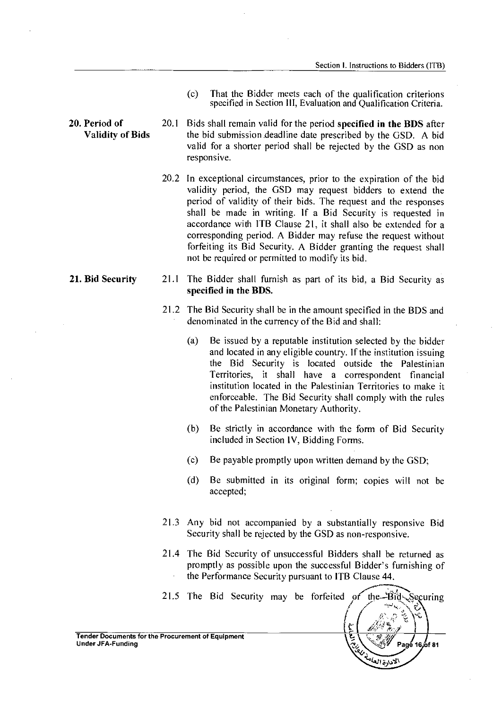- (c) That the Bidder meets each of the qualification criterions specified in Section III, Evaluation and Qualification Criteria.
- **20. Period of** 20.1 **Validity of Bids**  Bids shall remain valid for the period **specified in the BUS** after the bid submission deadline date prescribed by the GSD. A bid valid for a shorter period shall be rejected by the GSD as non responsive.
	- 20.2 In exceptional circumstances, prior to the expiration of the bid validity period, the GSD may request bidders to extend the period of validity of their bids. The request and the responses shall be made in writing. If a Bid Security is requested in accordance with 1TB Clause 21, it shall also be extended for a corresponding period. A Bidder may refuse the request without forfeiting its Bid Security. A Bidder granting the request shall not be required or permitted to modify its bid.
	- 21.1 The Bidder shall furnish as part of its bid, a Bid Security as **specified in the BUS.** 
		- 21.2 The Bid Security shall be in the amount specified in the BDS and denominated in the currency of the Bid and shall:
			- (a) Be issued by a reputable institution selected by the bidder and located in any eligible country. If the institution issuing the Bid Security is located outside the Palestinian Territories, it shall have a correspondent financial institution located in the Palestinian Territories to make it enforceable. The Bid Security shall comply with the rules of the Palestinian Monetary Authority.
			- (b) Be strictly in accordance with the form of Bid Security included in Section IV, Bidding Forms.
			- (c) Be payable promptly upon written demand by the GSD;
			- (d) Be submitted in its original form; copies will not be accepted;
		- 21.3 Any bid not accompanied by a substantially responsive Bid Security shall be rejected by the GSD as non-responsive.
		- 21.4 The Bid Security of unsuccessful Bidders shall be returned as promptly as possible upon the successful Bidder's furnishing of the Performance Security pursuant to 1TB Clause 44.



**21. Bid Security** 21.1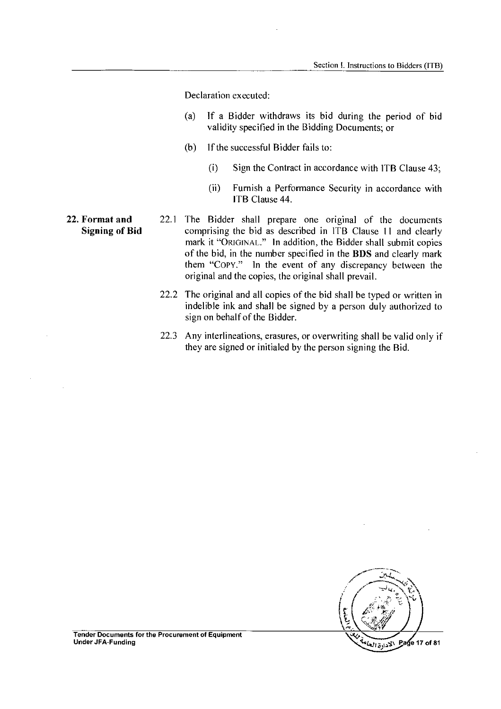Declaration executed:

- (a) If a Bidder withdraws its bid during the period of bid validity specified in the Bidding Documents; or
- (b) If the successful Bidder fails to:
	- (i) Sign the Contract in accordance with ITB Clause 43;
	- (ii) Furnish a Performance Security in accordance with ITB Clause 44.
- 22.1 The Bidder shall prepare one original of the documents comprising the bid as described in ITB Clause 11 and clearly mark it "ORIGINAL." In addition, the Bidder shall submit copies of the bid, in the number specified in the BDS and clearly mark them "Copy." In the event of any discrepancy between the original and the copies, the original shall prevail.
	- 22.2 The original and all copies of the bid shall be typed or written in indelible ink and shall be signed by a person duly authorized to sign on behalf of the Bidder.
	- 22.3 Any interlineations, erasures, or overwriting shall be valid only if they are signed or initialed by the person signing the Bid.



Tender Documents for the Procurement of Equipment

22. Format and Signing of Bid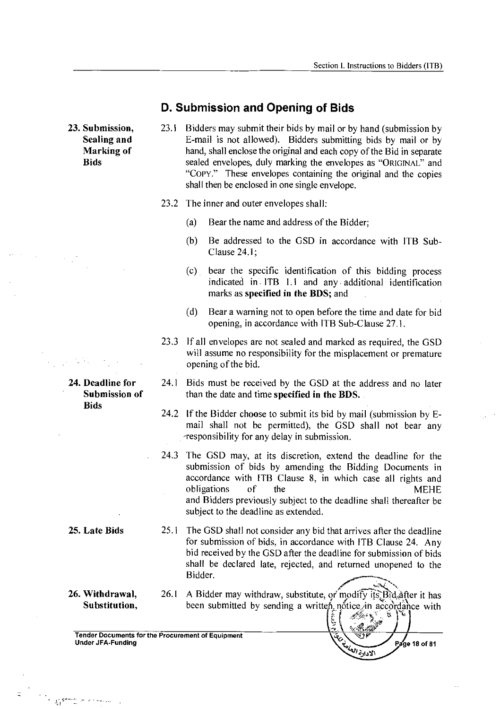#### **D. Submission and Opening of Bids**

**23. Submission,** 23.1 **Sealing and Marking of Bids** 

- Bidders may submit their bids by mail or by hand (submission by E-mail is not allowed). Bidders submitting bids by mail or by hand, shall enclose the original and each copy of the Bid in separate sealed envelopes, duly marking the envelopes as "ORIGINAL" and "Copy." These envelopes containing the original and the copies shall then be enclosed in one single envelope.
- 23.2 The inner and outer envelopes shall:
	- (a) Bear the name and address of the Bidder;
	- (b) Be addressed to the GSD in accordance with ITB Sub-Clause 24.1;
	- (c) bear the specific identification of this bidding process indicated in• ITB 1.1 and any additional identification marks as **specified in the BDS;** and
	- (d) Bear a warning not to open before the time and date for bid opening, in accordance with ITB Sub-Clause 27.1.
- 23.3 If all envelopes are not sealed and marked as required, the GSD will assume no responsibility for the misplacement or premature opening of the bid.
- 24.1 Bids must be received by the GSD at the address and no later than the date and time **specified in the BDS.**
- 24.2 If the Bidder choose to submit its bid by mail (submission by Email shall not be permitted), the GSD shall not bear any -responsibility for any delay in submission.
- 24.3 The GSD may, at its discretion, extend the deadline for the submission of bids by amending the Bidding Documents in accordance with ITB Clause 8, in which case all rights and obligations of the MEHE and Bidders previously subject to the deadline shall thereafter be subject to the deadline as extended.
- **25. Late Bids** 25.1 The GSD shall not consider any bid that arrives after the deadline for submission of bids, in accordance with ITB Clause 24. Any bid received by the GSD after the deadline for submission of bids shall be declared late, rejected, and returned unopened to the Bidder.
- **26. Withdrawal,** 26.1 **Substitution,**

 $\label{eq:1} \frac{1}{\sqrt{2}}\sum_{i=1}^N\frac{1}{\sqrt{2}}\sum_{i=1}^N\frac{1}{\sqrt{2}}\sum_{i=1}^N\frac{1}{\sqrt{2}}\sum_{i=1}^N\frac{1}{\sqrt{2}}\sum_{i=1}^N\frac{1}{\sqrt{2}}\sum_{i=1}^N\frac{1}{\sqrt{2}}\sum_{i=1}^N\frac{1}{\sqrt{2}}\sum_{i=1}^N\frac{1}{\sqrt{2}}\sum_{i=1}^N\frac{1}{\sqrt{2}}\sum_{i=1}^N\frac{1}{\sqrt{2}}\sum_{i=1}^N\frac{1$ 

**24. Deadline for** 24.1 **Submission of** 

**Bids** 

26.1 A Bidder may withdraw, substitute, or modify its, Bid, after it has been submitted by sending a written notice in accordance with Ĕ

الاداد<sup>ة ا</sup>لعب

Page 18 of 81

Tender Documents for the Procurement of Equipment Under JFA-Funding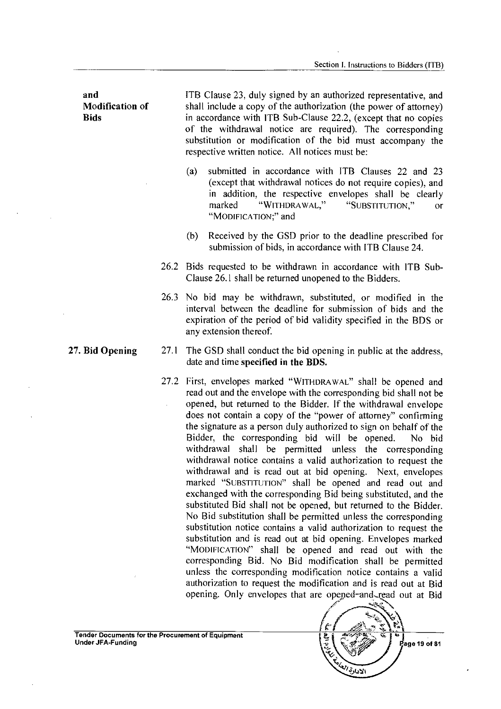| and<br>Modification of<br><b>Bids</b> |      | ITB Clause 23, duly signed by an authorized representative, and<br>shall include a copy of the authorization (the power of attorney)<br>in accordance with ITB Sub-Clause 22.2, (except that no copies<br>of the withdrawal notice are required). The corresponding<br>substitution or modification of the bid must accompany the<br>respective written notice. All notices must be:                                                                                                                                                                                                                                                                                                                                                                                                                                                                                                                                                                                                                                                                                                                                                                                                         |
|---------------------------------------|------|----------------------------------------------------------------------------------------------------------------------------------------------------------------------------------------------------------------------------------------------------------------------------------------------------------------------------------------------------------------------------------------------------------------------------------------------------------------------------------------------------------------------------------------------------------------------------------------------------------------------------------------------------------------------------------------------------------------------------------------------------------------------------------------------------------------------------------------------------------------------------------------------------------------------------------------------------------------------------------------------------------------------------------------------------------------------------------------------------------------------------------------------------------------------------------------------|
|                                       |      | submitted in accordance with ITB Clauses 22 and 23<br>(a)<br>(except that withdrawal notices do not require copies), and<br>in addition, the respective envelopes shall be clearly<br>"WITHDRAWAL,"<br>marked<br>"SUBSTITUTION,"<br>or<br>"MODIFICATION;" and                                                                                                                                                                                                                                                                                                                                                                                                                                                                                                                                                                                                                                                                                                                                                                                                                                                                                                                                |
|                                       |      | Received by the GSD prior to the deadline prescribed for<br>(b)<br>submission of bids, in accordance with ITB Clause 24.                                                                                                                                                                                                                                                                                                                                                                                                                                                                                                                                                                                                                                                                                                                                                                                                                                                                                                                                                                                                                                                                     |
|                                       |      | 26.2 Bids requested to be withdrawn in accordance with ITB Sub-<br>Clause 26.1 shall be returned unopened to the Bidders.                                                                                                                                                                                                                                                                                                                                                                                                                                                                                                                                                                                                                                                                                                                                                                                                                                                                                                                                                                                                                                                                    |
|                                       |      | 26.3 No bid may be withdrawn, substituted, or modified in the<br>interval between the deadline for submission of bids and the<br>expiration of the period of bid validity specified in the BDS or<br>any extension thereof.                                                                                                                                                                                                                                                                                                                                                                                                                                                                                                                                                                                                                                                                                                                                                                                                                                                                                                                                                                  |
| 27. Bid Opening                       | 27.1 | The GSD shall conduct the bid opening in public at the address,<br>date and time specified in the BDS.                                                                                                                                                                                                                                                                                                                                                                                                                                                                                                                                                                                                                                                                                                                                                                                                                                                                                                                                                                                                                                                                                       |
|                                       | 27.2 | First, envelopes marked "WITHDRAWAL" shall be opened and<br>read out and the envelope with the corresponding bid shall not be<br>opened, but returned to the Bidder. If the withdrawal envelope<br>does not contain a copy of the "power of attorney" confirming<br>the signature as a person duly authorized to sign on behalf of the<br>Bidder, the corresponding bid will be opened.<br>No bid<br>withdrawal shall be permitted unless the corresponding<br>withdrawal notice contains a valid authorization to request the<br>withdrawal and is read out at bid opening. Next, envelopes<br>marked "SUBSTITUTION" shall be opened and read out and<br>exchanged with the corresponding Bid being substituted, and the<br>substituted Bid shall not be opened, but returned to the Bidder.<br>No Bid substitution shall be permitted unless the corresponding<br>substitution notice contains a valid authorization to request the<br>substitution and is read out at bid opening. Envelopes marked<br>"MODIFICATION" shall be opened and read out with the<br>corresponding Bid. No Bid modification shall be permitted<br>unless the corresponding modification notice contains a valid |

 $\bar{\mathcal{A}}$ 

 $\bar{z}$ 



authorization to request the modification and is read out at Bid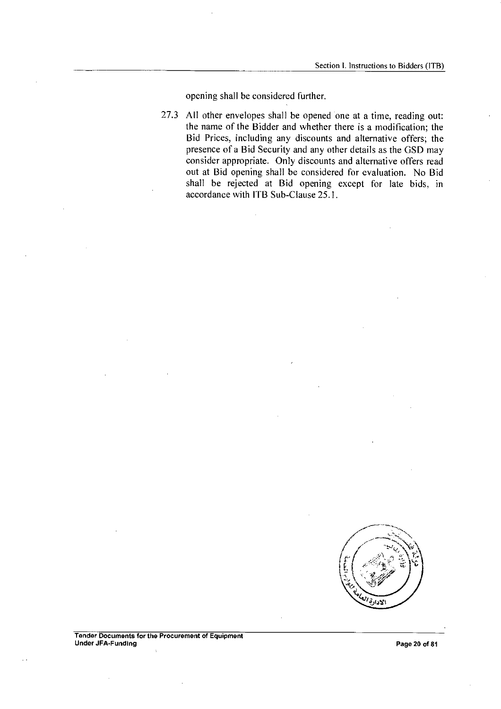opening shall be considered further.

27.3 All other envelopes shall be opened one at a time, reading out: the name of the Bidder and whether there is a modification; the Bid Prices, including any discounts and alternative offers; the presence of a Bid Security and any other details as the GSD may consider appropriate. Only discounts and alternative offers read out at Bid opening shall be considered for evaluation. No Bid shall be rejected at Bid opening except for late bids, in accordance with 1TB Sub-Clause 25.1.

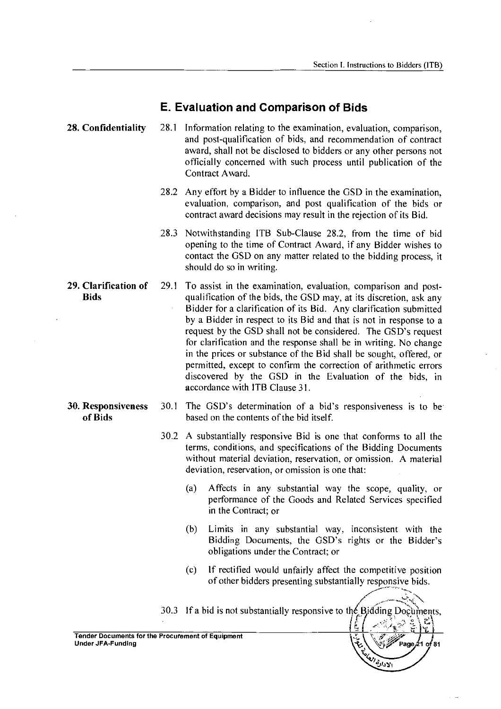#### **E. Evaluation and Comparison of Bids**

- Information relating to the examination, evaluation, comparison, and post-qualification of bids, and recommendation of contract award, shall not be disclosed to bidders or any other persons not officially concerned with such process until publication of the Contract Award. **28. Confidentiality** 28.1
	- 28.2 Any effort by a Bidder to influence the GSD in the examination, evaluation, comparison, and post qualification of the bids or contract award decisions may result in the rejection of its Bid.
	- 28.3 Notwithstanding ITB Sub-Clause 28.2, from the time of bid opening to the time of Contract Award, if any Bidder wishes to contact the GSD on any matter related to the bidding process, it should do so in writing.
- To assist in the examination, evaluation, comparison and postqualification of the bids, the GSD may, at its discretion, ask any Bidder for a clarification of its Bid. Any clarification submitted by a Bidder in respect to its Bid and that is not in response to a request by the GSD shall not be considered. The GSD's request for clarification and the response shall be in writing. No change in the prices or substance of the Bid shall be sought, offered, or permitted, except to confirm the correction of arithmetic errors discovered by the GSD in the Evaluation of the bids, in accordance with ITB Clause 31. **29. Clarification of** 29.1 **Bids**
- **30. Responsiveness of Bids**
- The GSD's determination of a bid's responsiveness is to be based on the contents of the bid itself. 30.1
	- A substantially responsive Bid is one that conforms to all the 30.2 terms, conditions, and specifications of the Bidding Documents without material deviation, reservation, or omission. A material deviation, reservation, or omission is one that:
		- (a) Affects in any substantial way the scope, quality, or performance of the Goods and Related Services specified in the Contract; or
		- (b) Limits in any substantial way, inconsistent with the Bidding Documents, the GSD's rights or the Bidder's obligations under the Contract; or
		- (c) If rectified would unfairly affect the competitive position of other bidders presenting substantially responsive bids.



Tender Documents for the Procurement of Equipment Under JFA-Funding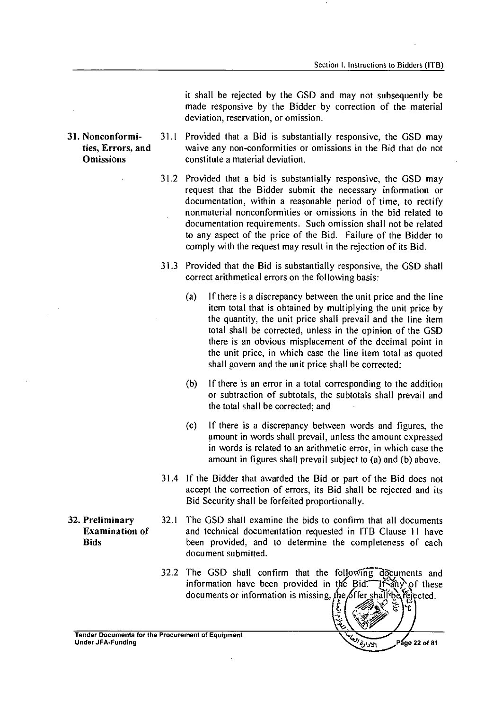it shall be rejected by the GSD and may not subsequently be made responsive by the Bidder by correction of the material deviation, reservation, or omission.

- 31.1 Provided that a Bid is substantially responsive, the GSD may waive any non-conformities or omissions in the Bid that do not constitute a material deviation. **ties, Errors, and Omissions** 
	- 31.2 Provided that a bid is substantially responsive, the GSD may request that the Bidder submit the necessary information or documentation, within a reasonable period of time, to rectify nonmaterial nonconformities or omissions in the bid related to documentation requirements. Such omission shall not be related to any aspect of the price of the Bid. Failure of the Bidder to comply with the request may result in the rejection of its Bid.
	- 31.3 Provided that the Bid is substantially responsive, the GSD shall correct arithmetical errors on the following basis:
		- (a) If there is a discrepancy between the unit price and the line item total that is obtained by multiplying the unit price by the quantity, the unit price shall prevail and the line item total shall be corrected, unless in the opinion of the GSD there is an obvious misplacement of the decimal point in the unit price, in which case the line item total as quoted shall govern and the unit price shall be corrected;
		- (b) If there is an error in a total corresponding to the addition or subtraction of subtotals, the subtotals shall prevail and the total shall be corrected; and
		- (c) If there is a discrepancy between words and figures, the amount in words shall prevail, unless the amount expressed in words is related to an arithmetic error, in which case the amount in figures shall prevail subject to (a) and (b) above.
	- 31.4 If the Bidder that awarded the Bid or part of the Bid does not accept the correction of errors, its Bid shall be rejected and its Bid Security shall be forfeited proportionally.
- **32. Preliminary** 32.1 The GSD shall examine the bids to confirm that all documents **Examination of** and technical documentation requested in ITB Clause 11 have **Bids** been provided, and to determine the completeness of each document submitted.
	- $32.2$  The GSD shall confirm that the following documents and information have been provided in the Bid: $\hat{\text{dist}}$  in  $\hat{\text{dist}}$  these documents or information is missing, the offer shall be rejected.

c

Tender Documents for the Procurement of Equipment Under JFA-Funding

الادرة Page 22 of 81

Ψ.

**31. Nonconformi-**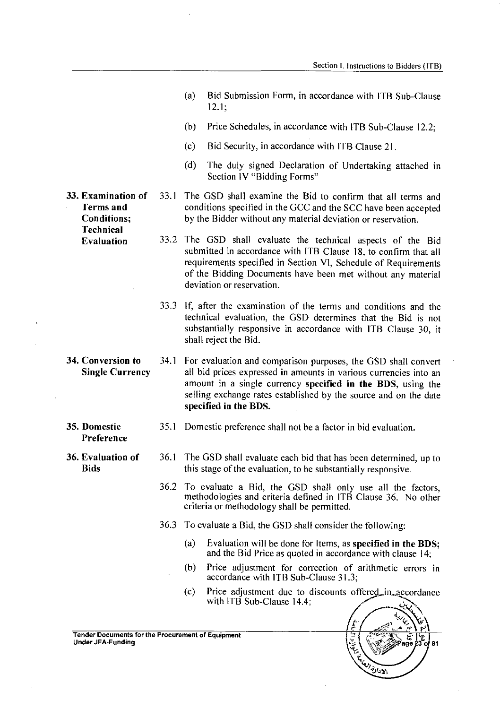- (a) Bid Submission Form, in accordance with ITB Sub-Clause 12.1;
- (b) Price Schedules, in accordance with ITB Sub-Clause 12.2;
- (c) Bid Security, in accordance with ITB Clause 21.
- (d) The duly signed Declaration of Undertaking attached in Section IV "Bidding Forms"
- 33.1 The GSD shall examine the Bid to confirm that all terms and conditions specified in the GCC and the SCC have been accepted by the Bidder without any material deviation or reservation.
- 33.2 The GSD shall evaluate the technical aspects of the Bid submitted in accordance with ITB Clause 18, to confirm that all requirements specified in Section VI, Schedule of Requirements of the Bidding Documents have been met without any material deviation or reservation.
- 33.3 If, after the examination of the terms and conditions and the technical evaluation, the GSD determines that the Bid is not substantially responsive in accordance with ITB Clause 30, it shall reject the Bid.
- 34.1 For evaluation and comparison purposes, the GSD shall convert all bid prices expressed in amounts in various currencies into an amount in a single currency specified in the BDS, using the selling exchange rates established by the source and on the date specified in the BDS.
	- Domestic preference shall not be a factor in bid evaluation.
- 36.1 The GSD shall evaluate each bid that has been determined, up to this stage of the evaluation, to be substantially responsive.
	- 36.2 To evaluate a Bid, the GSD shall only use all the factors, methodologies and criteria defined in ITB Clause 36. No other criteria or methodology shall be permitted.
	- 36.3 To evaluate a Bid, the GSD shall consider the following:
		- (a) Evaluation will be done for Items, as specified in the BDS; and the Bid Price as quoted in accordance with clause 14;
		- (b) Price adjustment for correction of arithmetic errors in accordance with ITB Sub-Clause 31.3;
		- $\overline{e}$  Price adjustment due to discounts offered\_in\_accordance with ITB Sub-Clause 14.4;



33. Examination of Terms and Conditions; **Technical** Evaluation

- 34. Conversion to Single Currency
- 35. Domestic Preference
- 36. Evaluation of 36.1 **Bids**

Tender Documents for the Procurement of Equipment (ﷺ) Tender Jocuments (ﷺ) Tender Jocuments for the Procurement<br>Under JFA-Funding (ﷺ) Tender JFA-Funding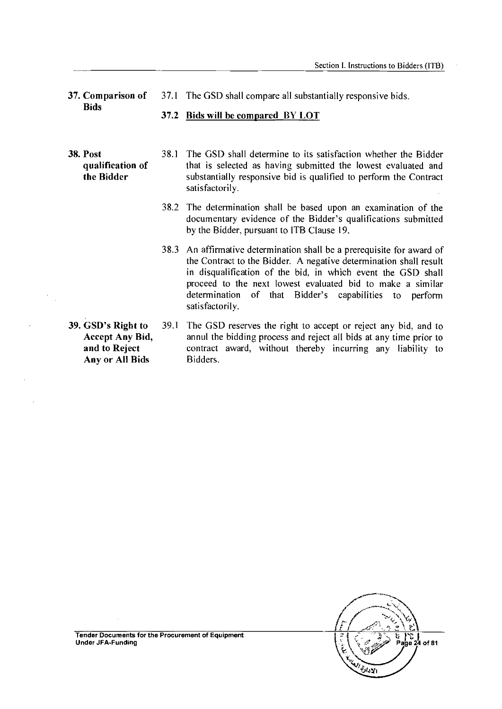37. Comparison of **Bids** 37.1 The GSD shall compare all substantially responsive bids.

#### 37.2 Bids will be compared BY LOT

#### 38. Post qualification of the Bidder

- 38.1 The GSD shall determine to its satisfaction whether the Bidder that is selected as having submitted the lowest evaluated and substantially responsive bid is qualified to perform the Contract satisfactorily.
- 38.2 The determination shall be based upon an examination of the documentary evidence of the Bidder's qualifications submitted by the Bidder, pursuant to ITB Clause 19.
- 38.3 An affirmative determination shall be a prerequisite for award of the Contract to the Bidder. A negative determination shall result in disqualification of the bid, in which event the GSD shall proceed to the next lowest evaluated bid to make a similar determination of that Bidder's capabilities to perform satisfactorily.
- 39. GSD's Right to Accept Any Bid, and to Reject Any or All Bids 39.1 The GSD reserves the right to accept or reject any bid, and to annul the bidding process and reject all bids at any time prior to contract award, without thereby incurring any liability to Bidders.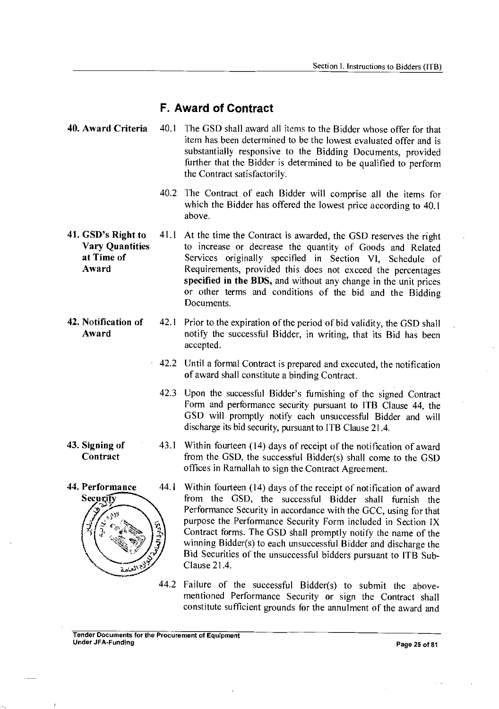#### **F. Award of Contract**

- 40. Award Criteria 40.1 The GSD shall award all items to the Bidder whose offer for that item has been determined to be the lowest evaluated offer and is substantially responsive to the Bidding Documents, provided further that the Bidder is determined to be qualified to perform the Contract satisfactorily.
	- 40.2 The Contract of each Bidder will comprise all the items for which the Bidder has offered the lowest price according to 40.1 above.
- 41. GSD's Right to Vary Quantities at Time of Award 41.1 At the time the Contract is awarded, the GSD reserves the right to increase or decrease the quantity of Goods and Related Services originally specified in Section VI, Schedule of Requirements, provided this does not exceed the percentages specified in the BDS, and without any change in the unit prices or other terms and conditions of the bid and the Bidding Documents.
- 42. Notification of Award 42.1 Prior to the expiration of the period of bid validity, the GSD shall notify the successful Bidder, in writing, that its Bid has been accepted.
	- 42.2 Until a formal Contract is prepared and executed, the notification of award shall constitute a binding Contract.
	- 42.3 Upon the successful Bidder's furnishing of the signed Contract Form and performance security pursuant to ITB Clause 44, the GSD will promptly notify each unsuccessful Bidder and will discharge its bid security, pursuant to ITB Clause 21.4.
	- 43.1 Within fourteen (14) days of receipt of the notification of award from the GSD, the successful Bidder(s) shall come to the GSD offices in Ramallah to sign the Contract Agreement.
	- 44.1 Within fourteen (14) days of the receipt of notification of award from the GSD, the successful Bidder shall furnish the Performance Security in accordance with the GCC, using for that purpose the Performance Security Form included in Section IX Contract forms. The GSD shall promptly notify the name of the winning Bidder(s) to each unsuccessful Bidder and discharge the Bid Securities of the unsuccessful bidders pursuant to ITB Sub-Clause 21.4.
		- 44.2 Failure of the successful Bidder(s) to submit the abovementioned Performance Security or sign the Contract shall constitute sufficient grounds for the annulment of the award and

#### 43. Signing of **Contract**

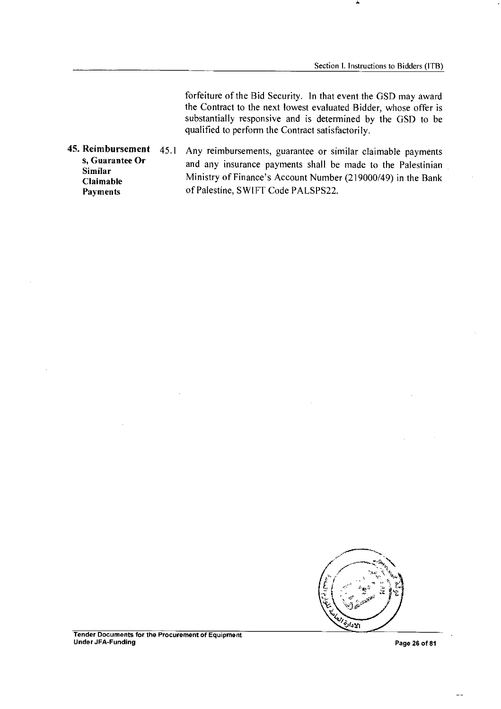forfeiture of the Bid Security. In that event the GSD may award the Contract to the next lowest evaluated Bidder, whose offer is substantially responsive and is determined by the GSD to be qualified to perform the Contract satisfactorily.

45. Reimbursement s, Guarantee Or Similar Claimable Payments 45.1 Any reimbursements, guarantee or similar claimable payments and any insurance payments shall be made to the Palestinian Ministry of Finance's Account Number (219000/49) in the Bank of Palestine, SWIFT Code PALSPS22.

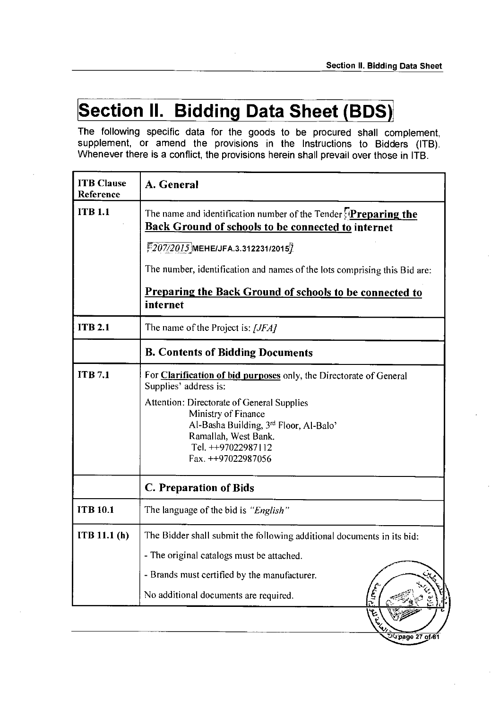# **Section II. Bidding Data Sheet (BDS)**

The following specific data for the goods to be procured shall complement, supplement, or amend the provisions in the Instructions to Bidders (ITB). Whenever there is a conflict, the provisions herein shall prevail over those in ITB.

| <b>ITB</b> Clause<br>Reference | A. General                                                                                                                                                                                                                                                                     |
|--------------------------------|--------------------------------------------------------------------------------------------------------------------------------------------------------------------------------------------------------------------------------------------------------------------------------|
| <b>ITB 1.1</b>                 | The name and identification number of the Tender <b>Preparing the</b><br><b>Back Ground of schools to be connected to internet</b>                                                                                                                                             |
|                                | $5207/2015$ MEHEIJFA.3.312231/2015 $7$                                                                                                                                                                                                                                         |
|                                | The number, identification and names of the lots comprising this Bid are:                                                                                                                                                                                                      |
|                                | Preparing the Back Ground of schools to be connected to<br>internet                                                                                                                                                                                                            |
| <b>ITB 2.1</b>                 | The name of the Project is: [JFA]                                                                                                                                                                                                                                              |
|                                | <b>B. Contents of Bidding Documents</b>                                                                                                                                                                                                                                        |
| <b>ITB</b> 7.1                 | For Clarification of bid purposes only, the Directorate of General<br>Supplies' address is:<br>Attention: Directorate of General Supplies<br>Ministry of Finance<br>Al-Basha Building, 3rd Floor, Al-Balo'<br>Ramallah, West Bank.<br>Tel. ++97022987112<br>Fax. ++97022987056 |
|                                | C. Preparation of Bids                                                                                                                                                                                                                                                         |
| <b>ITB 10.1</b>                | The language of the bid is "English"                                                                                                                                                                                                                                           |
| ITB 11.1(h)                    | The Bidder shall submit the following additional documents in its bid:<br>- The original catalogs must be attached.<br>- Brands must certified by the manufacturer.<br><b>ASSES</b><br>No additional documents are required.<br>14 E. L.                                       |
|                                | of 81 page 27                                                                                                                                                                                                                                                                  |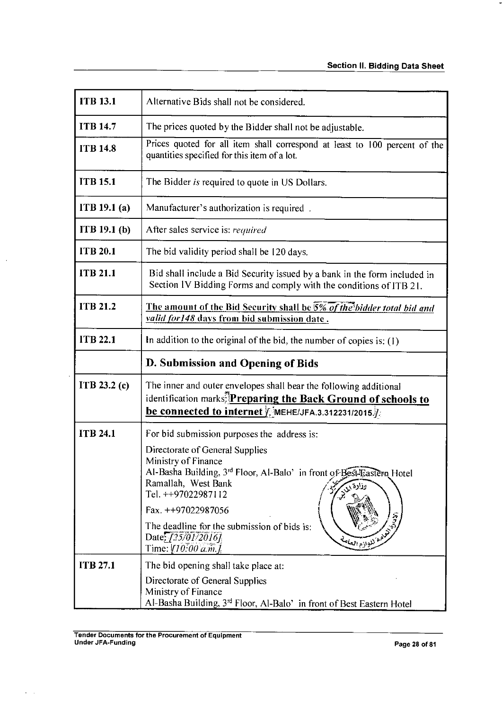| <b>ITB 13.1</b> | Alternative Bids shall not be considered.                                                                                                                                                                                                                                                                                                                                   |
|-----------------|-----------------------------------------------------------------------------------------------------------------------------------------------------------------------------------------------------------------------------------------------------------------------------------------------------------------------------------------------------------------------------|
| <b>ITB 14.7</b> | The prices quoted by the Bidder shall not be adjustable.                                                                                                                                                                                                                                                                                                                    |
| <b>ITB 14.8</b> | Prices quoted for all item shall correspond at least to 100 percent of the<br>quantities specified for this item of a lot.                                                                                                                                                                                                                                                  |
| <b>ITB 15.1</b> | The Bidder is required to quote in US Dollars.                                                                                                                                                                                                                                                                                                                              |
| ITB 19.1 (a)    | Manufacturer's authorization is required.                                                                                                                                                                                                                                                                                                                                   |
| ITB 19.1(b)     | After sales service is: required                                                                                                                                                                                                                                                                                                                                            |
| <b>ITB 20.1</b> | The bid validity period shall be 120 days.                                                                                                                                                                                                                                                                                                                                  |
| <b>ITB 21.1</b> | Bid shall include a Bid Security issued by a bank in the form included in<br>Section IV Bidding Forms and comply with the conditions of ITB 21.                                                                                                                                                                                                                             |
| <b>ITB 21.2</b> | The amount of the Bid Security shall be 5% of the bidder total bid and<br>valid for 148 days from bid submission date.                                                                                                                                                                                                                                                      |
| <b>ITB 22.1</b> | In addition to the original of the bid, the number of copies is: $(1)$                                                                                                                                                                                                                                                                                                      |
|                 | D. Submission and Opening of Bids                                                                                                                                                                                                                                                                                                                                           |
| ITB $23.2$ (c)  | The inner and outer envelopes shall bear the following additional<br>identification marks. Preparing the Back Ground of schools to<br><b>be connected to internet</b> $\hat{y}$ mehet JFA.3.312231/2015.                                                                                                                                                                    |
| <b>ITB 24.1</b> | For bid submission purposes the address is:<br>Directorate of General Supplies<br>Ministry of Finance<br>Al-Basha Building, 3rd Floor, Al-Balo' in front of Best-Eastern Hotel<br>Ramallah, West Bank<br>٩<br>Tel. ++97022987112<br>Fax. ++97022987056<br>The deadline for the submission of bids is:<br>Colar Elleria Ralph<br>Date: [25/01/2016]<br>Time: $[10, 00 a.m.]$ |
| <b>ITB 27.1</b> | The bid opening shall take place at:<br>Directorate of General Supplies<br>Ministry of Finance<br>Al-Basha Building, 3rd Floor, Al-Balo' in front of Best Eastern Hotel                                                                                                                                                                                                     |

 $\bar{\mathcal{A}}$ 

J.

 $\sim$   $\sim$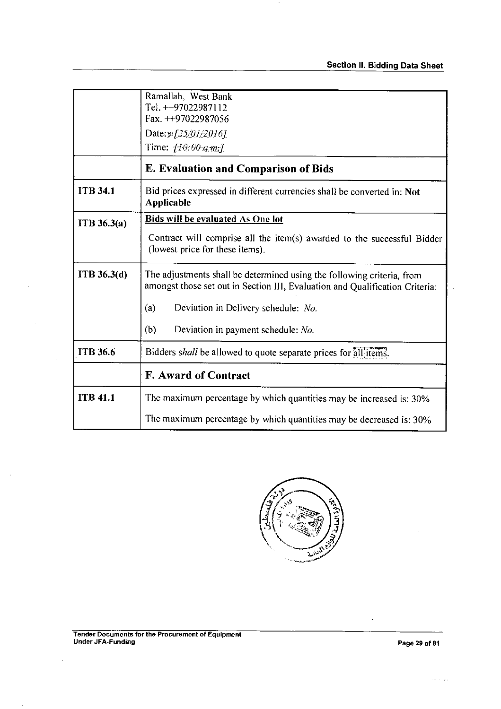|                    | Ramallah, West Bank                                                                                                                                    |
|--------------------|--------------------------------------------------------------------------------------------------------------------------------------------------------|
|                    | Tel. ++97022987112                                                                                                                                     |
|                    | Fax. $++97022987056$                                                                                                                                   |
|                    | Date: $\mathbb{Z}[25/01/2016]$                                                                                                                         |
|                    | Time: $f10:00$ am.]                                                                                                                                    |
|                    | <b>E. Evaluation and Comparison of Bids</b>                                                                                                            |
| <b>ITB 34.1</b>    | Bid prices expressed in different currencies shall be converted in: Not<br><b>Applicable</b>                                                           |
| ITB 36.3(a)        | Bids will be evaluated As One lot                                                                                                                      |
|                    | Contract will comprise all the item(s) awarded to the successful Bidder<br>(lowest price for these items).                                             |
| <b>ITB</b> 36.3(d) | The adjustments shall be determined using the following criteria, from<br>amongst those set out in Section III, Evaluation and Qualification Criteria: |
|                    | Deviation in Delivery schedule: No.<br>(a)                                                                                                             |
|                    | (b)<br>Deviation in payment schedule: No.                                                                                                              |
| <b>ITB 36.6</b>    | Bidders shall be allowed to quote separate prices for all items.                                                                                       |
|                    | <b>F. Award of Contract</b>                                                                                                                            |
| <b>ITB 41.1</b>    | The maximum percentage by which quantities may be increased is: 30%                                                                                    |
|                    | The maximum percentage by which quantities may be decreased is: 30%                                                                                    |



 $\overline{\phantom{a}}$ 

÷,

 $\ddot{\phantom{0}}$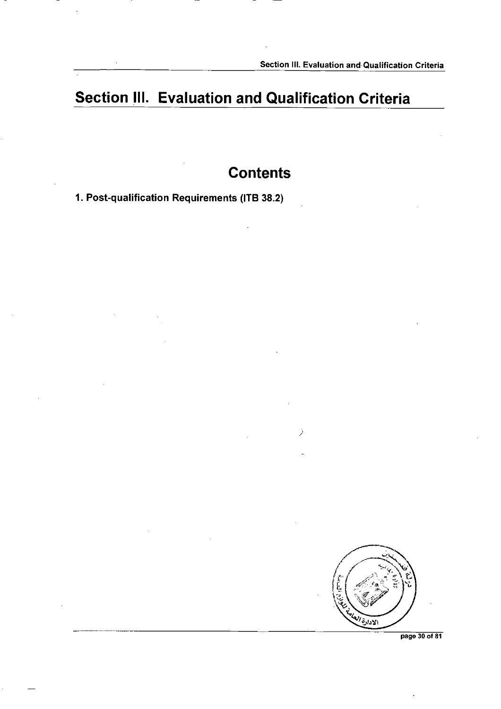### **Section III. Evaluation and Qualification Criteria**

### **Contents**

**1. Post-qualification Requirements (ITB 38.2)** 



**page 30 of 81**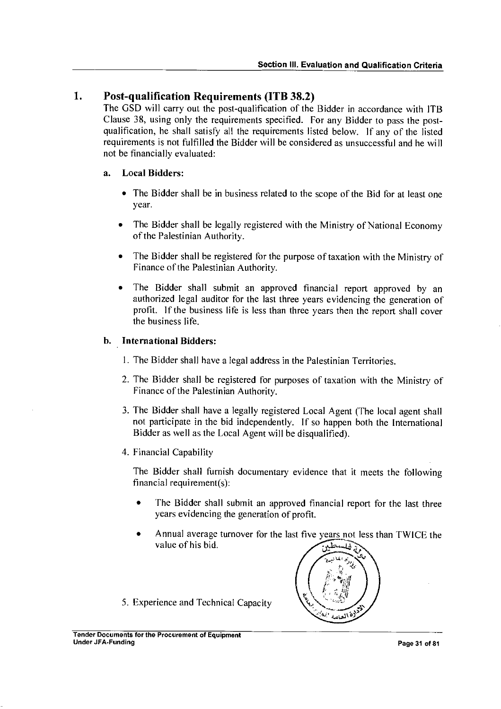#### **1. Post-qualification Requirements (ITB 38.2)**

The GSD will carry out the post-qualification of the Bidder in accordance with ITB Clause 38, using only the requirements specified. For any Bidder to pass the postqualification, he shall satisfy all the requirements listed below. If any of the listed requirements is not fulfilled the Bidder will be considered as unsuccessful and he will not be financially evaluated:

#### a. Local Bidders:

- The Bidder shall be in business related to the scope of the Bid for at least one year.
- The Bidder shall be legally registered with the Ministry of National Economy of the Palestinian Authority.
- The Bidder shall be registered for the purpose of taxation with the Ministry of Finance of the Palestinian Authority.
- The Bidder shall submit an approved financial report approved by an authorized legal auditor for the last three years evidencing the generation of profit. If the business life is less than three years then the report shall cover the business life.

#### b. International Bidders:

- I. The Bidder shall have a legal address in the Palestinian Territories.
- 2. The Bidder shall be registered for purposes of taxation with the Ministry of Finance of the Palestinian Authority.
- 3. The Bidder shall have a legally registered Local Agent (The local agent shall not participate in the bid independently. If so happen both the International Bidder as well as the Local Agent will be disqualified).
- 4. Financial Capability

The Bidder shall furnish documentary evidence that it meets the following financial requirement(s):

- The Bidder shall submit an approved financial report for the last three years evidencing the generation of profit.
- Annual average turnover for the last five years not less than TWICE the value of his bid.  $\overrightarrow{AB}$



5. Experience and Technical Capacity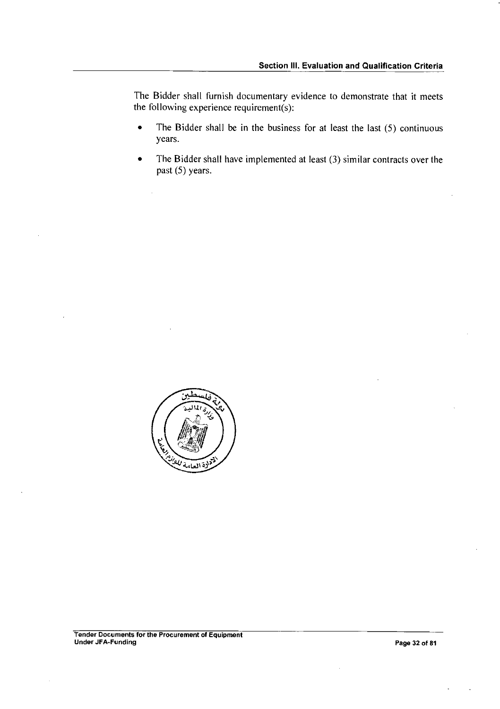The Bidder shall furnish documentary evidence to demonstrate that it meets the following experience requirement(s):

- The Bidder shall be in the business for at least the last  $(5)$  continuous years.
- The Bidder shall have implemented at least (3) similar contracts over the past (5) years.

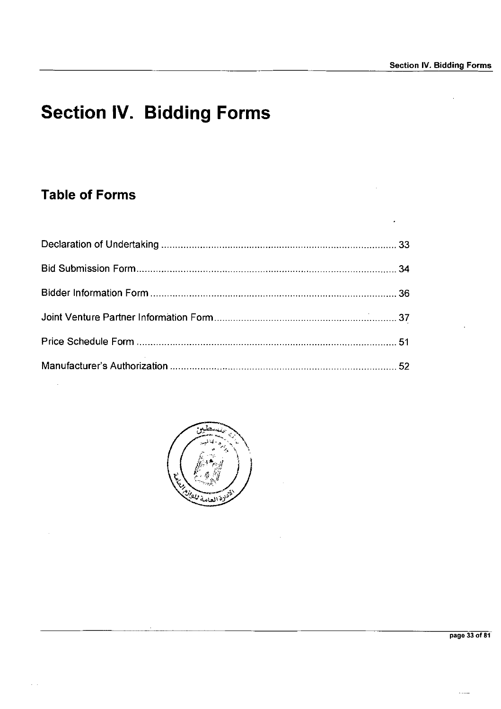# **Section IV. Bidding Forms**

### **Table of Forms**

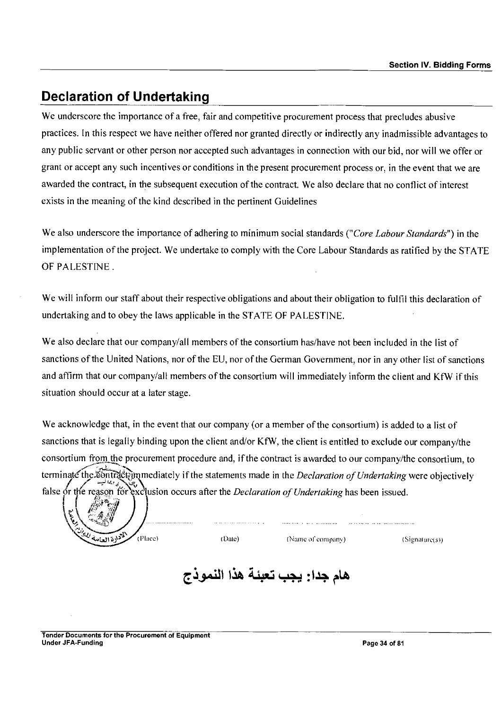### **Declaration of Undertaking**

We underscore the importance of a free, fair and competitive procurement process that precludes abusive practices. In this respect we have neither offered nor granted directly or indirectly any inadmissible advantages to any public servant or other person nor accepted such advantages in connection with our bid, nor will we offer or grant or accept any such incentives or conditions in the present procurement process or, in the event that we are awarded the contract, in the subsequent execution of the contract. We also declare that no conflict of interest exists in the meaning of the kind described in the pertinent Guidelines

We also underscore the importance of adhering to minimum social standards *("Core Labour Standards")* in the implementation of the project. We undertake to comply with the Core Labour Standards as ratified by the STATE OF PALESTINE.

We will inform our staff about their respective obligations and about their obligation to fulfil this declaration of undertaking and to obey the laws applicable in the STATE OF PALESTINE.

We also declare that our company/all members of the consortium has/have not been included in the list of sanctions of the United Nations, nor of the EU, nor of the German Government, nor in any other list of sanctions and affirm that our company/all members of the consortium will immediately inform the client and KfW if this situation should occur at a later stage.

We acknowledge that, in the event that our company (or a member of the consortium) is added to a list of sanctions that is legally binding upon the client and/or KfW, the client is entitled to exclude our company/the consortium from the procurement procedure and, if the contract is awarded to our company/the consortium, to terminate the contract immediately if the statements made in the *Declaration of Undertaking* were objectively by false or the reason for exclusion occurs after the *Declaration of Undertaking* has been issued.<br>  $\begin{pmatrix} 1 & 1 \\ 1 & 1 \end{pmatrix}$ 

لخوادة العامة

(Place) (Date) (Name of company) (Signature(s))

### هام جدا: يجب تعبئة هذا النموذج

Tender Documents for the Procurement of Equipment Under JFA-Funding **Page 34 of 81** of 81 of 81 of 81 of 81 of 81 of 81 of 81 of 81 of 81 of 81 of 81 of 81 of 81 of 81 of 81 of 81 of 81 of 81 of 81 of 81 of 81 of 81 of 81 of 81 of 81 of 81 of 81 of 81 of 81 of 81 of 81 of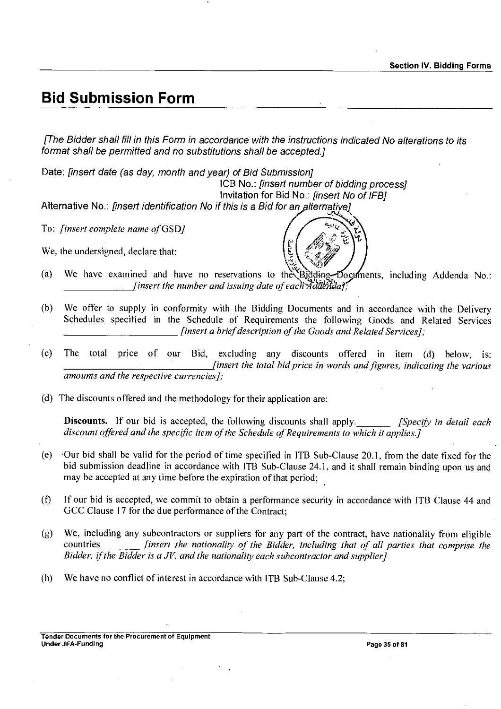### **Bid Submission Form**

*[The Bidder shall fill in this Form in accordance with the instructions indicated No alterations to its format shall be permitted and no substitutions shall be accepted]* 

Date: *finsert date (as day, month and year) of Bid Submission]* 

ICB No.: *[insert number of bidding process]* 

Invitation for Bid No.: *[insert No of IFB]* 

Alternative No.: *[insert identification No if this is a Bid for an alternative]* 

To: *[insert complete name of* GSD]

We, the undersigned, declare that:



- (a) We have examined and have no reservations to the Bidding-Documents, including Addenda No.: *<i>finsert the number and issuing date of each Addendal*
- (b) We offer to supply in conformity with the Bidding Documents and in accordance with the Delivery Schedules specified in the Schedule of Requirements the following Goods and Related Services *[insert a brief description of the Goods and Related Services];*
- (c) The total price of our Bid, excluding any discounts offered in item (d) below, is: *[insert the total bid price in words and figures, indicating the various amounts and the respective currencies];*
- (d) The discounts offered and the methodology for their application are:

Discounts. If our bid is accepted, the following discounts shall apply. *[Specify in detail each discount offered and the specific item of the Schedule of Requirements to which it applies.]* 

- (e) Vour bid shall be valid for the period of time specified in ITB Sub-Clause 20.1, from the date fixed for the bid submission deadline in accordance with ITB Sub-Clause 24.1, and it shall remain binding upon us and may be accepted at any time before the expiration of that period;
- (0 If our bid is accepted, we commit to obtain a performance security in accordance with ITB Clause 44 and GCC Clause 17 for the due performance of the Contract;
- (g) We, including any subcontractors or suppliers for any part of the contract, have nationality from eligible<br>countries finsert the nationality of the Bidder, including that of all parties that comprise the *finsert the nationality of the Bidder, including that of all parties that comprise the Bidder, if the Bidder is a JV, and the nationality each subcontractor and supplier]*
- (h) We have no conflict of interest in accordance with ITB Sub-Clause 4.2;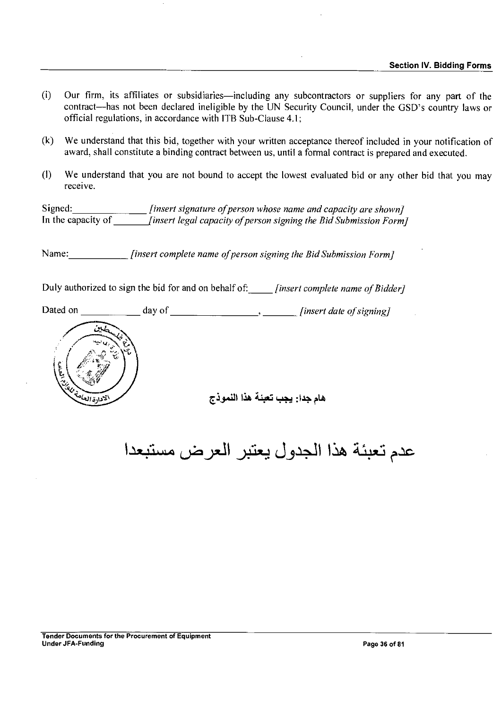- (i) Our firm, its affiliates or subsidiaries—including any subcontractors or suppliers for any part of the contract—has not been declared ineligible by the UN Security Council, under the GSD's country laws or official regulations, in accordance with ITB Sub-Clause 4.1;
- (k) We understand that this bid, together with your written acceptance thereof included in your notification of award, shall constitute a binding contract between us, until a formal contract is prepared and executed.
- (I) We understand that you are not bound to accept the lowest evaluated bid or any other bid that you may receive.

Signed: *[insert signature of person whose name and capacity are shown]* In the capacity of *[insert legal capacity of person signing the Bid Submission Form]* 

Name: *[insert complete name of person signing the Bid Submission Form]* 

Duly authorized to sign the bid for and on behalf of: *[insert complete name of Bidder]* 

Dated on *day* of *<i>j insert date of signing]* 



هام جدار يجب تعبئة هذا النموذج

عدم تعبئة هذا الجدول يعتبر العرض مستبعدا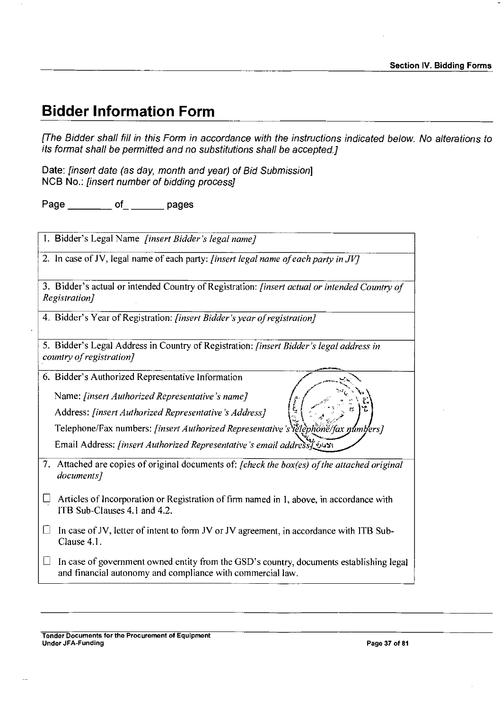## **Bidder Information Form**

*[The Bidder shall fill in this Form in accordance with the instructions indicated below. No alterations to its format shall be permitted and no substitutions shall be accepted.]* 

Date: *[insert date (as day, month and year) of Bid Submission]*  NCB No.: *[insert number of bidding process]* 

Page of pages

| 1. Bidder's Legal Name [insert Bidder's legal name]                                                                                                             |
|-----------------------------------------------------------------------------------------------------------------------------------------------------------------|
| 2. In case of JV, legal name of each party: [insert legal name of each party in JV]                                                                             |
| 3. Bidder's actual or intended Country of Registration: [insert actual or intended Country of<br>Registration]                                                  |
| 4. Bidder's Year of Registration: [insert Bidder's year of registration]                                                                                        |
| 5. Bidder's Legal Address in Country of Registration: <i>[insert Bidder's legal address in</i><br>country of registration]                                      |
| 6. Bidder's Authorized Representative Information                                                                                                               |
| Name: [insert Authorized Representative's name]                                                                                                                 |
| Address: [insert Authorized Representative's Address]                                                                                                           |
| Telephone/Fax numbers: [insert Authorized Representative's letephone/fax numbers]                                                                               |
| Email Address: [insert Authorized Representative's email address]                                                                                               |
| 7. Attached are copies of original documents of: [check the box(es) of the attached original<br>documents]                                                      |
| Articles of Incorporation or Registration of firm named in 1, above, in accordance with<br>⊔<br>ITB Sub-Clauses 4.1 and 4.2.                                    |
| In case of JV, letter of intent to form JV or JV agreement, in accordance with ITB Sub-<br>Ш<br>Clause 4.1.                                                     |
| In case of government owned entity from the GSD's country, documents establishing legal<br>$\Box$<br>and financial autonomy and compliance with commercial law. |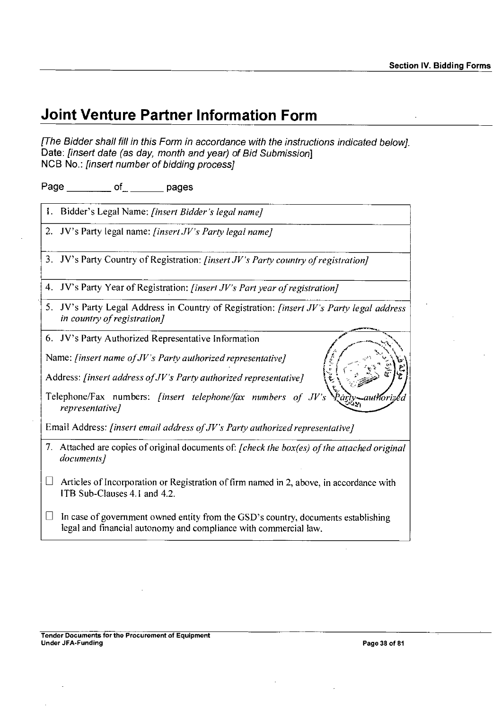## **Joint Venture Partner Information Form**

*[The Bidder shall fill in this Form in accordance with the instructions indicated below].*  Date: *[insert date (as day, month and year) of Bid Submission]*  NCB No.: *[insert number of bidding process]* 

Page of pages

I. Bidder's Legal Name: *[insert Bidder's legal name]* 

2. JV's Party legal name: *[insert .JV's Party legal name]* 

3. JV's Party Country of Registration: *[insert JV's Party country of registration]* 

4. JV's Party Year of Registration: *[insert JV's Part year of registration]* 

5. JV's Party Legal Address in Country of Registration: *[insert JV's Party legal address in country of registration]*<br> **6.** JV's Party Authorized Representative Information *in country of registration]* 

6. JV's Party Authorized Representative Information

Name: *[insert name of JV's Party authorized representative]* 

Address: *[insert address of JV's Party authorized representative]* 

Telephone/Fax numbers: *[insert telephone/fax numbers of JV's\Paky-\_autizId*   $representative$ *]* 

Email Address: *[insert email address of JV's Party authorized representative]* 

- 7. Attached are copies of original documents of: *[check the box(es) of the attached original documents]*
- $\Box$  Articles of Incorporation or Registration of firm named in 2, above, in accordance with 1TB Sub-Clauses 4.1 and 4.2.
- $\Box$  In case of government owned entity from the GSD's country, documents establishing legal and financial autonomy and compliance with commercial law.

"'''----- ? \

*\_ -*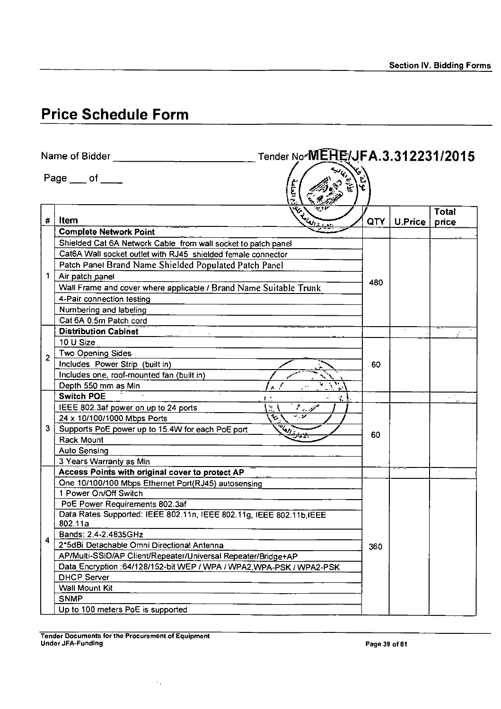# **Price Schedule Form**

|                | Tender No-MEHE/JFA.3.312231/2015<br>Name of Bidder                      |                           |            |         |                       |  |  |
|----------------|-------------------------------------------------------------------------|---------------------------|------------|---------|-----------------------|--|--|
|                | $Page \_\ of \_\_\$                                                     |                           |            |         |                       |  |  |
| $\pmb{\#}$     | Elisabeth Land<br>Item                                                  |                           | <b>QTY</b> | U.Price | <b>Total</b><br>price |  |  |
|                | <b>Complete Network Point</b>                                           |                           |            |         |                       |  |  |
|                | Shielded Cat 6A Network Cable from wall socket to patch panel           |                           |            |         |                       |  |  |
|                | Cat6A Wall socket outlet with RJ45 shielded female connector            |                           |            |         |                       |  |  |
|                | Patch Panel Brand Name Shielded Populated Patch Panel                   |                           |            |         |                       |  |  |
| 1              | Air patch panel                                                         |                           |            |         |                       |  |  |
|                | Wall Frame and cover where applicable / Brand Name Suitable Trunk       |                           | 480        |         |                       |  |  |
|                | 4-Pair connection testing                                               |                           |            |         |                       |  |  |
|                | Numbering and labeling                                                  |                           |            |         |                       |  |  |
|                | Cat 6A 0.5m Patch cord                                                  |                           |            |         |                       |  |  |
|                | <b>Distribution Cabinet</b>                                             |                           |            |         |                       |  |  |
|                | 10 U Size                                                               |                           |            |         |                       |  |  |
| $\overline{2}$ | Two Opening Sides                                                       |                           |            |         |                       |  |  |
|                | Includes Power Strip (built in)                                         |                           | 60         |         |                       |  |  |
|                | Includes one, roof-mounted fan (built in)                               |                           |            |         |                       |  |  |
|                | Depth 550 mm as Min<br>A                                                | $\mathbf{e}^{\mathbf{v}}$ |            |         |                       |  |  |
|                | <b>Switch POE</b>                                                       | ₹ł                        |            |         |                       |  |  |
|                | منزر الم<br>IEEE 802.3af power on up to 24 ports<br>$\mathcal{U}$       |                           |            |         |                       |  |  |
|                | $\overline{\phantom{a}}$<br>℃<br>24 x 10/100/1000 Mbps Ports            |                           |            |         |                       |  |  |
| 3              | <sup>THAM</sup> LAH<br>Supports PoE power up to 15.4W for each PoE port |                           |            |         |                       |  |  |
|                | بهبحينه<br>Rack Mount                                                   |                           | 60         |         |                       |  |  |
|                | <b>Auto Sensing</b>                                                     |                           |            |         |                       |  |  |
|                | 3 Years Warranty as Min                                                 |                           |            |         |                       |  |  |
|                | Access Points with original cover to protect AP                         |                           |            |         |                       |  |  |
|                | One 10/100/100 Mbps Ethernet Port(RJ45) autosensing                     |                           |            |         |                       |  |  |
|                | 1 Power On/Off Switch                                                   |                           |            |         |                       |  |  |
|                | PoE Power Requirements 802.3af                                          |                           |            |         |                       |  |  |
|                | Data Rates Supported: IEEE 802.11n, IEEE 802.11g, IEEE 802.11b, IEEE    |                           |            |         |                       |  |  |
|                | 802.11a                                                                 |                           | 360        |         |                       |  |  |
| 4              | Bands: 2.4-2.4835GHz                                                    |                           |            |         |                       |  |  |
|                | 2*5dBi Detachable Omni Directional Antenna                              |                           |            |         |                       |  |  |
|                | AP/Multi-SSID/AP Client/Repeater/Universal Repeater/Bridge+AP           |                           |            |         |                       |  |  |
|                | Data Encryption : 64/128/152-bit WEP / WPA / WPA2, WPA-PSK / WPA2-PSK   |                           |            |         |                       |  |  |
|                | <b>DHCP Server</b>                                                      |                           |            |         |                       |  |  |
|                | Wall Mount Kit                                                          |                           |            |         |                       |  |  |
|                | <b>SNMP</b>                                                             |                           |            |         |                       |  |  |
|                | Up to 100 meters PoE is supported                                       |                           |            |         |                       |  |  |

 $\gamma_{\rm eff}$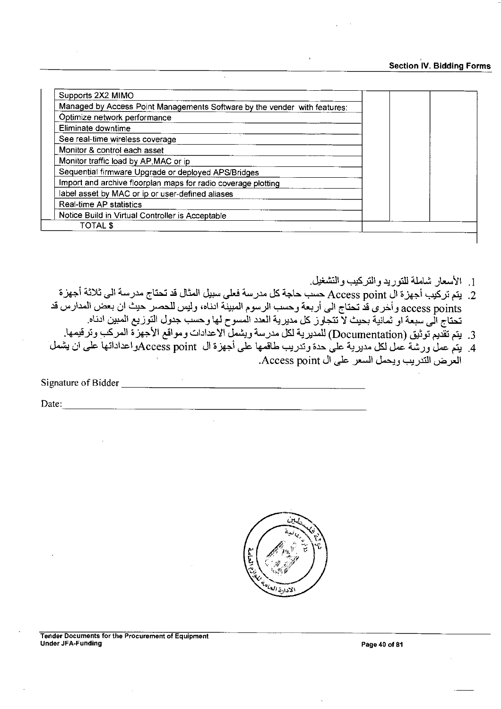## Section IV. Bidding Forms

| Supports 2X2 MIMO                                                         |  |
|---------------------------------------------------------------------------|--|
| Managed by Access Point Managements Software by the vender with features: |  |
| Optimize network performance                                              |  |
| Eliminate downtime                                                        |  |
| See real-time wireless coverage                                           |  |
| Monitor & control each asset                                              |  |
| Monitor traffic load by AP, MAC or ip                                     |  |
| Sequential firmware Upgrade or deployed APS/Bridges                       |  |
| Import and archive floorplan maps for radio coverage plotting             |  |
| label asset by MAC or ip or user-defined aliases                          |  |
| Real-time AP statistics                                                   |  |
| Notice Build in Virtual Controller is Acceptable                          |  |
| <b>TOTAL \$</b>                                                           |  |

- 1. الأسعار شاملة للتوريد والتركيب والتشغيل.
- Sjej *:LaJ-L°* Cti-Ni cif,"31 U.24,J2csia 2.-+J4J-14LiS 41-s , Lus.s Access point (.31-Djei **( A** .2 يتم تركّيب أجهزة ال Access point حسب حاجة كل مدرسة فعلى سبيل المثال قد تحتاج مدر.<br>access points وأخرى قد تحتاج الى أربعة وحسب الرسوم المبينة ادناه، وليس للحصر حيث<br>مثال المستقفين ّ تتجاوز كل مديرية العدد المسوح لها وحسب جدول التوزيع المبين ادناه. access points واحرى قد تحتاج الى اربعه وحسب الرسوم المبينه انتاه، وليس للحصر حيث ان بعض الم<br>تحتاج الى سبعة او ثمانية بحيث لا تتجاوز كل مديرية العدد المسوح لها وحسب جدول التوزيع المبين ادناه.<br>3. يتم عمل ورشة عمل لكل مديرية
	- 3. يتم تقديم توثيق (Documentation) للمدير ية لكل مدرسة ويشمل الاعدادات ومواقع الأجهزة المركب
- .<br>4. يتم عمل ورشة عمل لكل مديرية على حدة وتدريب طاقمها على أجهزة ال Access pointواعداداتها على أن يشمل.<br>العرض التدريب ويحمل السعر على ال Access point.

Signature of Bidder

Date:

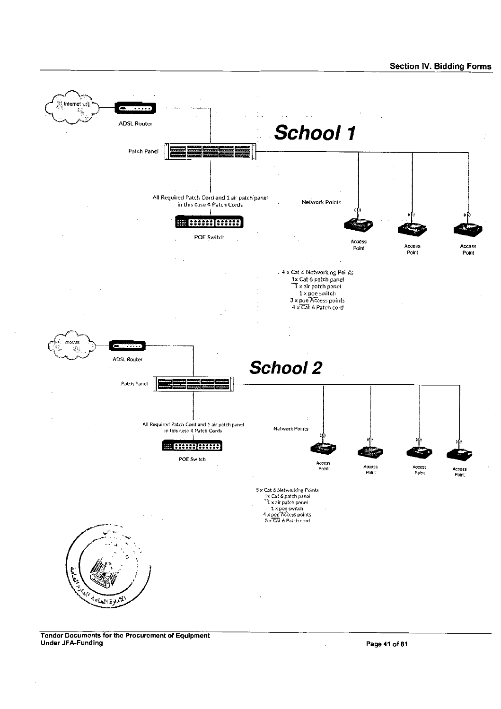

Tender Documents for the Procurement of Equipment Under JFA-Funding Page 41 of 81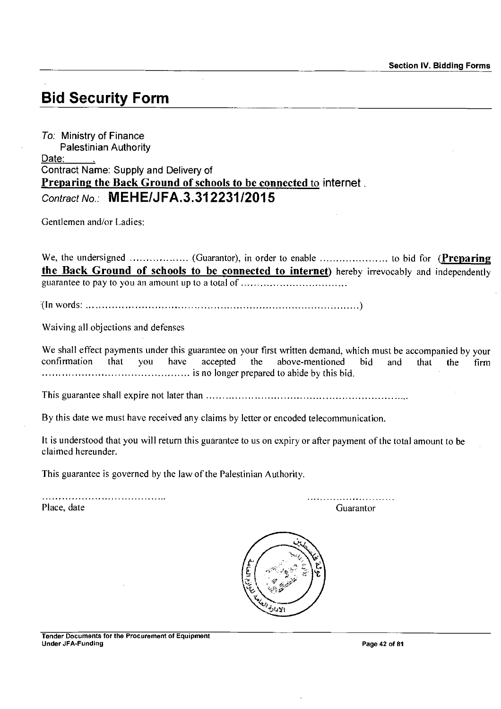# **Bid Security Form**

To: Ministry of Finance Palestinian Authority Date: Contract Name: Supply and Delivery of Preparing the Back Ground of schools to be connected to internet . *Contract No.:* **MEHE/JFA.3.312231/2015** 

Gentlemen and/or Ladies:

We, the undersigned ................... (Guarantor), in order to enable ............................ to bid for (Preparing the Back Ground of schools to be connected to internet) hereby irrevocably and independently guarantee to pay to you an amount up to a total of

(In words:

Waiving all objections and defenses

We shall effect payments under this guarantee on your first written demand, which must be accompanied by your confirmation that you have accepted the above-mentioned bid and that the firm Intermity-increased to abide by this bid.

This guarantee shall expire not later than

By this date we must have received any claims by letter or encoded telecommunication.

It is understood that you will return this guarantee to us on expiry or after payment of the total amount to be claimed hereunder.

This guarantee is governed by the law of the Palestinian Authority.

Place, date Guarantor Contractor Contractor Contractor Contractor Contractor Contractor Contractor Contractor

<u> 1949 - John John Leon, mars</u>

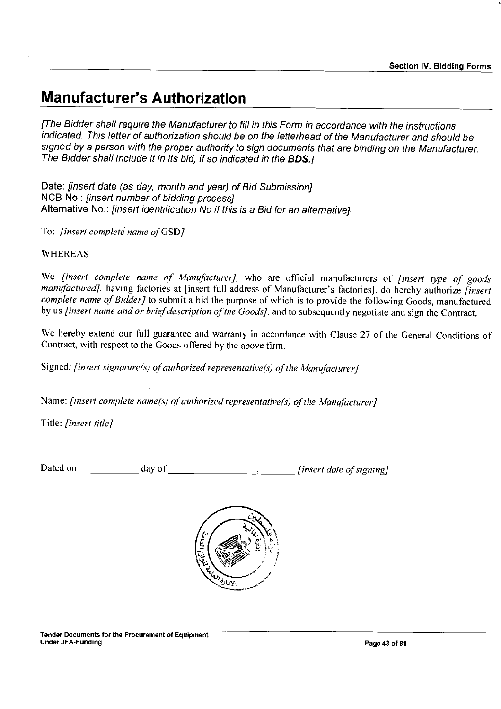## **Manufacturer's Authorization**

*[The Bidder shall require the Manufacturer to fill in this Form in accordance with the instructions indicated. This letter of authorization should be on the letterhead of the Manufacturer and should be*  signed by a person with the proper authority to sign documents that are binding on the Manufacturer. *The Bidder shall include it in its bid, if so indicated in the BDS.]* 

Date: *[insert date (as day, month and year) of Bid Submission]*  NCB No.: *[insert number of bidding process]*  Alternative No.: *[insert identification No if this is a Bid for an alternative]* 

To: *[insert complete name of* GSD]

## WHEREAS

We *[insert complete name of Manufacturer],* who are official manufacturers of *[insert type of goods manufactured],* having factories at [insert full address of Manufacturer's factories], do hereby authorize *[insert complete name of Bidder]* to submit a bid the purpose of which is to provide the following Goods, manufactured by us *[insert name and or brief description of the Goods],* and to subsequently negotiate and sign the Contract.

We hereby extend our full guarantee and warranty in accordance with Clause 27 of the General Conditions of Contract, with respect to the Goods offered by the above firm.

Signed: *[insert signature(s) of authorized representative(s) of the Manufacturer]* 

Name: *[insert complete name(s) of authorized representative(s) of the Manufacturer]* 

Title: *[insert title]* 

Dated on day of *[insert date of signing]* 

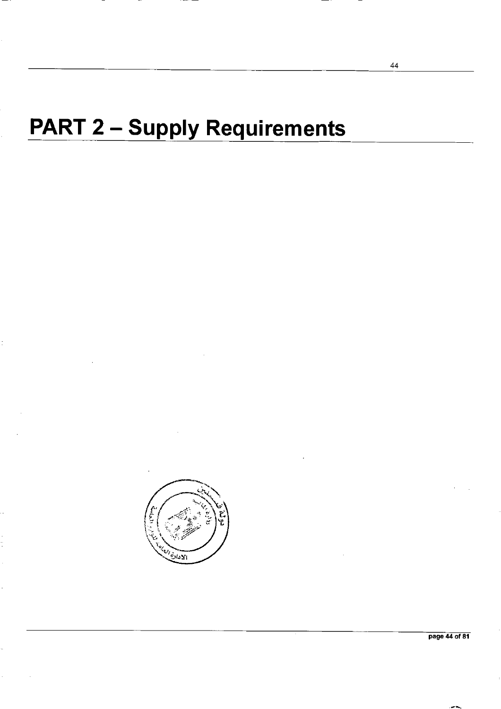# **PART 2 - Supply Requirements**



44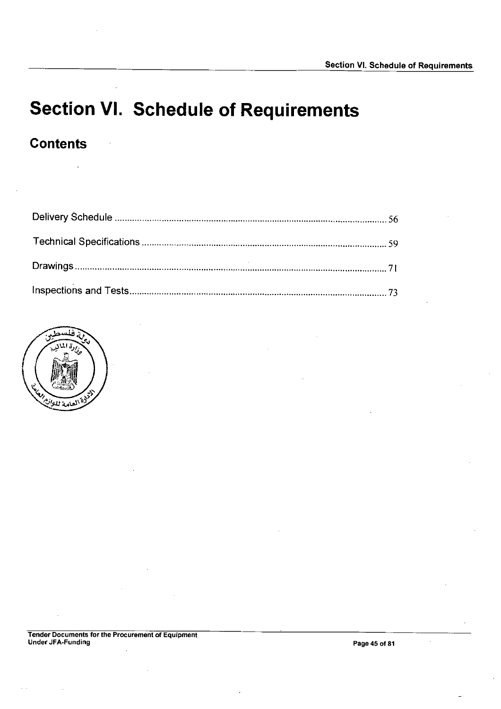# **Section VI. Schedule of Requirements**

## **Contents**



Tender Documents for the Procurement of Equipment Under JFA-Funding to the Freedoms for Equipment of the Page 45 of 81

 $\mathcal{A}^{\mathcal{A}}$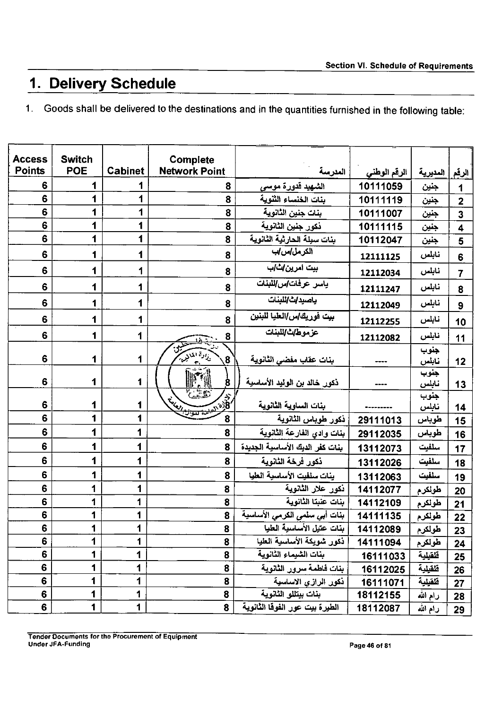# **1. Delivery Schedule**

1. Goods shall be delivered to the destinations and in the quantities furnished in the following table:

| <b>Access</b><br><b>Points</b> | <b>Switch</b><br><b>POE</b> | <b>Cabinet</b> | Complete<br><b>Network Point</b>               | العدرسة                         | الرقم الوطنى | ِ المديرية    | إأرقم                   |
|--------------------------------|-----------------------------|----------------|------------------------------------------------|---------------------------------|--------------|---------------|-------------------------|
| 6                              | 1                           | 1              | 8                                              | الشهيد قدورة موسى               | 10111059     | جنين          | 1                       |
| 6                              | 1                           | 1              | 8                                              | بنات الخنساء الثنوية            | 10111119     | جنين          | $\overline{2}$          |
| 6                              | 1                           | 1              | 8                                              | بنات جنين الثانوية              | 10111007     | جنين          | 3                       |
| 6                              | 1                           | 1              | 8                                              | دكور جنين الثانوية              | 10111115     | جنين          | $\overline{\mathbf{4}}$ |
| 6                              | 1                           | 1              | 8                                              | بنات سبلة الحارثية الثانوية     | 10112047     | جنين          | 5                       |
| $6\phantom{1}$                 | 1                           | 1              | 8                                              | الكرمل/س/ب                      | 12111125     | نابلس         | 6                       |
| 6                              | 1                           | 1              | 8                                              | بیت امری <i>ن اث ب</i>          | 12112034     | نابلس         | 7                       |
| 6                              | 1                           | 1              | 8                                              | ياسر عرفات آس اللبنات           | 12111247     | نابلس         | 8                       |
| 6                              | 1                           | 1              | 8                                              | باصيداث اللبنات                 | 12112049     | نابلس         | 9                       |
| 6                              | 1                           | 1              | 8                                              | بيت فوريك آس/العليا للبنين      | 12112255     | نابلس         | 10                      |
| 6                              | 1                           | 1              | 8<br>1'n                                       | عزموطات اللبنات                 | 12112082     | نابلس         | 11                      |
| 6                              | 1                           | 1              | <sub>رن</sub> ار <sup>ج</sup> المادير<br>8     | بنات عقاب مفضى الثانوية         |              | جنوب<br>نابلس | 12                      |
| 6                              | 1                           | 1              | $\bf{8}$                                       | ذكور خالد بن الوليد الأساسية    |              | جنوب<br>نابلس | 13                      |
| 6                              | 1                           | 1              | $\sqrt{25}$<br>England County of the County of | بنات الساوية الثانوية           |              | جنوب<br>نابلس | 14                      |
| 6                              | 1                           | 1              | 8                                              | ذكور طوباس الثانوية             | 29111013     | طوباس         | 15                      |
| 6                              | 1                           | 1              | 8                                              | بنات وادي الفارعة الثانوية      | 29112035     | طوباس         | 16                      |
| $6\phantom{1}$                 | 1                           | 1              | 8                                              | بنات كفر الديك الأساسية الجديدة | 13112073     | سلفيت         | 17                      |
| 6                              | 1                           | 1              | 8                                              | ذكور فرخة الثانوية              | 13112026     | سلفيت         | 18                      |
| 6                              | 1                           | 1              | 8                                              | ينات سلفيت الأساسية العليا      | 13112063     | سلفيت         | 19                      |
| 6                              | 1                           | 1              | 8                                              | دكور علار الثانوية              | 14112077     | طولكرم        | 20                      |
| $6\phantom{1}$                 | 1                           | 1              | 8                                              | بنات عنبتا الثانوية             | 14112109     | طولكرم        | 21                      |
| 6                              | 1                           | 1              | 8                                              | بنات أبي سلمي الكرمي الأساسية   | 14111135     | طولكرم        | 22                      |
| 6                              | 1                           | 1              | 8                                              | بنات عتيل الاساسية العليا       | 14112089     | طولكرم        | 23                      |
| 6                              | 1                           | 1              | 8                                              | دكور شويكة الأساسية الطيا       | 14111094     | طولكرم        | 24                      |
| 6                              | 1                           | 1              | 8                                              | بنات الشيماء الثانوية           | 16111033     | فلفيلية       | 25                      |
| 6                              | 1                           | 1              | 8                                              | بنات فاطمة سرور الثانوية        | 16112025     | فلقيلية       | 26                      |
| 6                              | 1                           | 1              | 8                                              | ذكور الرازي الاساسية            | 16111071     | فلقيلية       | 27                      |
| 6                              | 1                           | 1              | 8                                              | بنات بيتللو الثانوية            | 18112155     | رام الله      | 28                      |
| 6                              | 1                           | 1              | 8                                              | الطيرة بيت عور الفوفا الثانوية  | 18112087     | زام الله      | 29                      |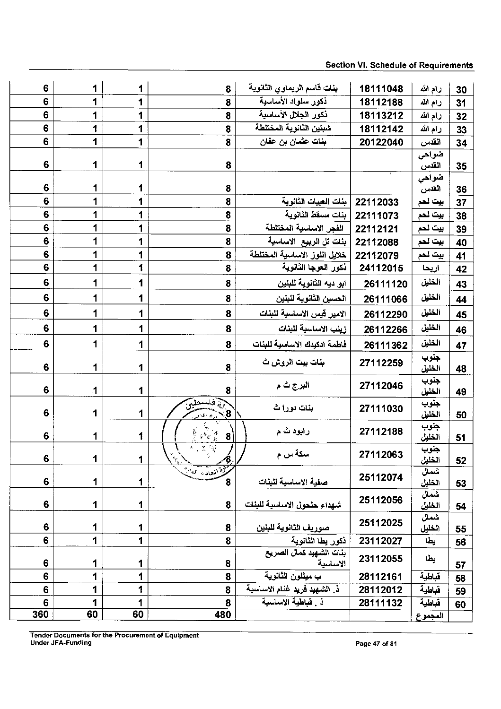## Section VI. Schedule of Requirements

| $6\phantom{a}$   | 1                       | 1  | 8                                                                             | بنات قاسم الريماوي الثانوية         | 18111048 | رام الله       | 30 |
|------------------|-------------------------|----|-------------------------------------------------------------------------------|-------------------------------------|----------|----------------|----|
| 6                | 1                       | 1  | 8                                                                             | ذكور سلواد الأساسية                 | 18112188 | رام الله       | 31 |
| $\boldsymbol{6}$ | 1                       | 1  | 8                                                                             | ذكور الجلال الأساسية                | 18113212 | رام الله       | 32 |
| $6\phantom{1}$   | 1                       | 1  | 8                                                                             | شبتين الثانوية المختلطة             | 18112142 | رام الله       | 33 |
| 6                | 1                       | 1  | 8                                                                             | بنات عثمان بن عفان                  | 20122040 | القدس          | 34 |
|                  |                         |    |                                                                               |                                     |          | ضواحى          |    |
| $6\phantom{1}6$  | 1                       | 1  | 8                                                                             |                                     |          | القدس          | 35 |
| $6\phantom{1}$   | 1                       | 1  | 8                                                                             |                                     |          | ضواحى<br>القدس | 36 |
| $6\phantom{1}6$  | 1                       | 1  | 8                                                                             | بنات العبيات الثانوية               | 22112033 | بيت لحم        | 37 |
| $6\phantom{1}6$  | 1                       | 1  | 8                                                                             | بنات مسقط الثانوية                  | 22111073 | بيت لحم        | 38 |
| $6\phantom{a}$   | 1                       | 1  | 8                                                                             | الفجر الاساسية المختلطة             | 22112121 | ببت لحم        | 39 |
| $\bf{6}$         | 1                       | 1  | 8                                                                             | بنات تل الربيع الاساسية             | 22112088 | بيت لحم        | 40 |
| $\boldsymbol{6}$ | 1                       | 1  | 8                                                                             | خلايل اللوز الاساسية المختلطة       | 22112079 | بيت لحم        | 41 |
| $6\phantom{1}$   | 1                       | 1  | 8                                                                             | ذكور العوجا الثانوية                | 24112015 | اريحا          | 42 |
| $6\phantom{1}$   | 1                       | 1  | 8                                                                             | ابو ديه الثانوية للبنين             | 26111120 | الخليل         | 43 |
| $\bf 6$          | 1                       | 1  | 8                                                                             | الحسين الثانوية للبنين              | 26111066 | الخليل         | 44 |
| $6\phantom{1}$   | 1                       | 1  | 8                                                                             | الامير قيس الاساسية للبنات          | 26112290 | الخليل         | 45 |
| $6\phantom{1}$   | 1                       | 1  | 8                                                                             | رينب الاساسية للبنات                | 26112266 | الخليل         | 46 |
| $6\phantom{a}$   | 1                       | 1  | 8                                                                             | فاطمة ادكيدك الاساسية للبنات        | 26111362 | الخليل         | 47 |
| $6\phantom{1}$   | 1                       | 1  | 8                                                                             | بنات بيت الروش ث                    | 27112259 | جنوب<br>الخليل | 48 |
| $6\phantom{1}$   | $\overline{\mathbf{1}}$ | 1  | 8                                                                             | البرج ٹ م                           | 27112046 | جنوب<br>الخليل | 49 |
| $6\phantom{a}$   | 1                       | 1  | $rac{1}{8}$                                                                   | بنات دورا ث                         | 27111030 | جنوب<br>الخليل | 50 |
| $6\phantom{1}$   | 1                       | 1  | $\mathbb{E}^{\mathcal{R}}\mathbb{E}\left[\frac{d}{dt}\right]$<br>$\mathbf{8}$ | رابود ٿ م                           | 27112188 | جنوب<br>الخليل | 51 |
| 6                | 1                       | 1  | 5、 2、 第<br>Le lieu de la Vale<br>$\angle$ 8 $\angle$                          | سكة س م                             | 27112063 | جنوب<br>الخليل | 52 |
| 6                | 1                       | 1  | 8                                                                             | صفية الاساسية للبنات                | 25112074 | شمال<br>الخلبل | 53 |
| $6\phantom{1}$   | 1                       | 1  | 8                                                                             | شهداء حلحول الاساسية للبنات         | 25112056 | شمال<br>الظبل  | 54 |
| $6\phantom{1}6$  | 1                       | 1  | 8                                                                             | صوريف الثانوية للبنين               | 25112025 | شمال<br>الخليل | 55 |
| 6                | 1                       | 1  | 8                                                                             | ذكور يطا الثانوية                   | 23112027 | يطا            | 56 |
| 6                | 1                       | 1  | 8                                                                             | بنات الشهيد كمال الصريع<br>الاساسية | 23112055 | يطا            | 57 |
| $\boldsymbol{6}$ | 1                       | 1  | 8                                                                             | ب ميثلون الثانوية                   | 28112161 | فباطية         | 58 |
| $6\phantom{1}$   | 1                       | 1  | 8                                                                             | ذ. الشهيد فريد غنام الاساسية        | 28112012 | قباطية         | 59 |
| 6                | 1                       | 1  | 8                                                                             | ذ . قباطية الاساسية                 | 28111132 | قباطبة         | 60 |
| 360              | 60                      | 60 | 480                                                                           |                                     |          | المحموع        |    |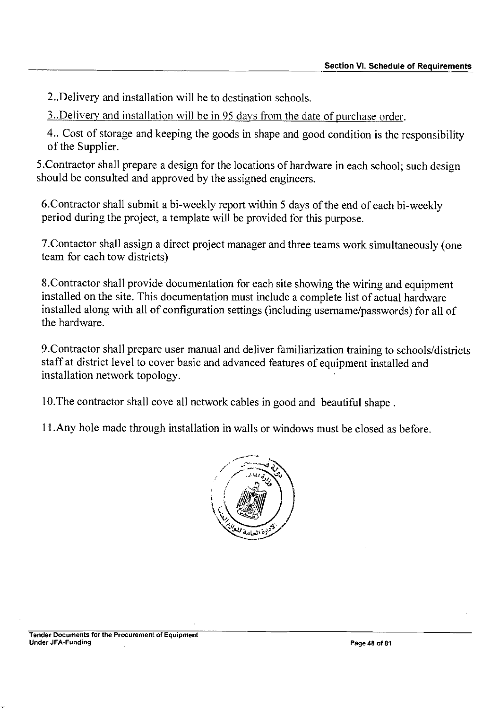2..Delivery and installation will be to destination schools.

3..Delivery and installation will be in 95 days from the date of purchase order.

4.. Cost of storage and keeping the goods in shape and good condition is the responsibility of the Supplier.

5.Contractor shall prepare a design for the locations of hardware in each school; such design should be consulted and approved by the assigned engineers.

6.Contractor shall submit a bi-weekly report within 5 days of the end of each bi-weekly period during the project, a template will be provided for this purpose.

7.Contactor shall assign a direct project manager and three teams work simultaneously (one team for each tow districts)

8.Contractor shall provide documentation for each site showing the wiring and equipment installed on the site. This documentation must include a complete list of actual hardware installed along with all of configuration settings (including username/passwords) for all of the hardware.

9.Contractor shall prepare user manual and deliver familiarization training to schools/districts staff at district level to cover basic and advanced features of equipment installed and installation network topology.

10.The contractor shall cove all network cables in good and beautiful shape.

11.Any hole made through installation in walls or windows must be closed as before.

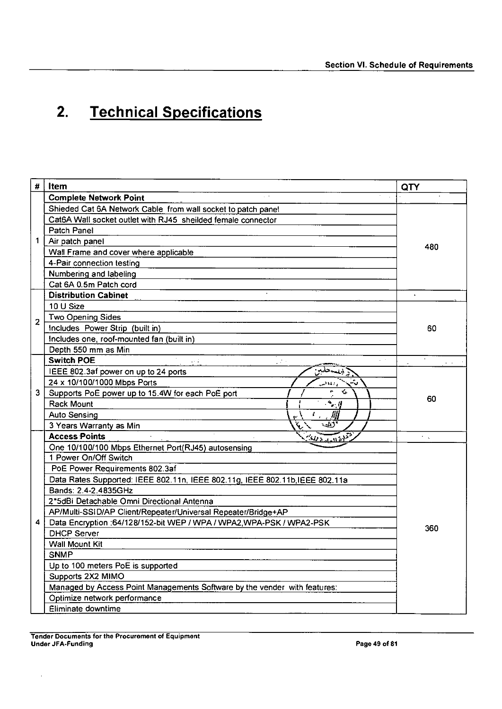# **2. Technical Specifications**

| #              | Item                                                                         | QTY                                      |  |  |
|----------------|------------------------------------------------------------------------------|------------------------------------------|--|--|
|                | <b>Complete Network Point</b>                                                |                                          |  |  |
|                | Shieded Cat 6A Network Cable from wall socket to patch panel                 |                                          |  |  |
|                | Cat6A Wall socket outlet with RJ45 sheilded female connector                 |                                          |  |  |
|                | Patch Panel                                                                  |                                          |  |  |
| 1              | Air patch panel                                                              |                                          |  |  |
|                | Wall Frame and cover where applicable                                        | 480                                      |  |  |
|                | 4-Pair connection testing                                                    |                                          |  |  |
|                | Numbering and labeling                                                       |                                          |  |  |
|                | Cat 6A 0.5m Patch cord                                                       |                                          |  |  |
|                | <b>Distribution Cabinet</b>                                                  |                                          |  |  |
|                | 10 U Size                                                                    |                                          |  |  |
| $\overline{2}$ | Two Opening Sides                                                            |                                          |  |  |
|                | Includes Power Strip (built in)                                              | 60                                       |  |  |
|                | Includes one, roof-mounted fan (built in)                                    |                                          |  |  |
|                | Depth 550 mm as Min                                                          |                                          |  |  |
|                | <b>Switch POE</b><br>pina.                                                   | $\mathcal{L}^{\mathcal{L}}(\mathcal{A})$ |  |  |
|                | IEEE 802.3af power on up to 24 ports<br>ويسحقب                               |                                          |  |  |
|                | 24 x 10/100/1000 Mbps Ports<br>والملالية                                     |                                          |  |  |
|                | è<br>么<br>3   Supports PoE power up to 15.4W for each PoE port               |                                          |  |  |
|                | $\sim$ $\mu$<br><b>Rack Mount</b>                                            |                                          |  |  |
|                | IJИ<br><b>Auto Sensing</b><br>$\mathcal{L}_{\rm eff}$                        |                                          |  |  |
|                | دىيە<br>3 Years Warranty as Min                                              |                                          |  |  |
|                | <b>Access Points</b><br>$\sqrt[3]{u_{\text{adiab}}^2}$                       | $\epsilon_{\rm eff}$                     |  |  |
|                | One 10/100/100 Mbps Ethernet Port(RJ45) autosensing                          |                                          |  |  |
|                | 1 Power On/Off Switch                                                        |                                          |  |  |
|                | PoE Power Requirements 802.3af                                               |                                          |  |  |
|                | Data Rates Supported: IEEE 802.11n, IEEE 802.11g, IEEE 802.11b, IEEE 802.11a |                                          |  |  |
|                | Bands: 2.4-2.4835GHz                                                         |                                          |  |  |
|                | 2*5dBi Detachable Omni Directional Antenna                                   |                                          |  |  |
|                | AP/Multi-SSID/AP Client/Repeater/Universal Repeater/Bridge+AP                |                                          |  |  |
| 4              | Data Encryption : 64/128/152-bit WEP / WPA / WPA2, WPA-PSK / WPA2-PSK        | 360                                      |  |  |
|                | <b>DHCP Server</b>                                                           |                                          |  |  |
|                | <b>Wall Mount Kit</b>                                                        |                                          |  |  |
|                | <b>SNMP</b>                                                                  |                                          |  |  |
|                | Up to 100 meters PoE is supported                                            |                                          |  |  |
|                | Supports 2X2 MIMO                                                            |                                          |  |  |
|                | Managed by Access Point Managements Software by the vender with features:    |                                          |  |  |
|                | Optimize network performance                                                 |                                          |  |  |
|                | Eliminate downtime                                                           |                                          |  |  |

 $\epsilon$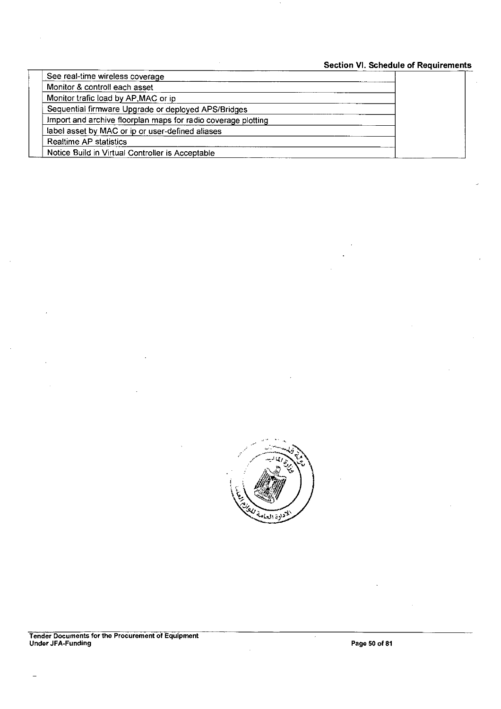## **Section VI. Schedule of Requirements**

| See real-time wireless coverage                               |  |
|---------------------------------------------------------------|--|
| Monitor & controll each asset                                 |  |
| Monitor trafic load by AP, MAC or ip                          |  |
| Sequential firmware Upgrade or deployed APS/Bridges           |  |
| Import and archive floorplan maps for radio coverage plotting |  |
| label asset by MAC or ip or user-defined aliases              |  |
| Realtime AP statistics                                        |  |
| Notice Build in Virtual Controller is Acceptable              |  |



 $\cdot$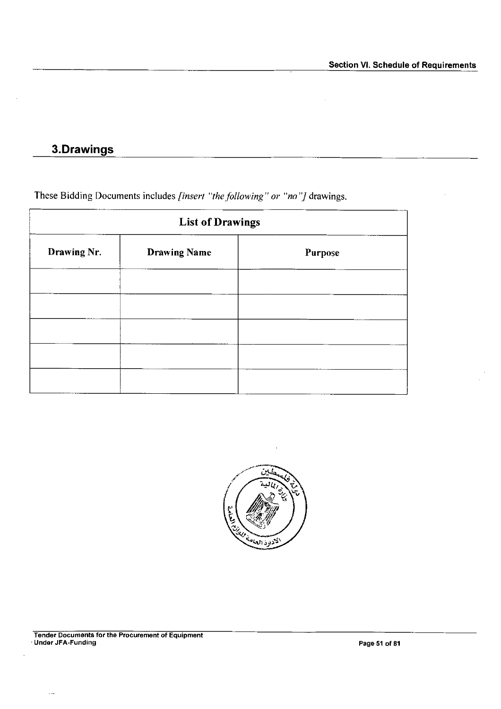## **3.Drawings**

These Bidding Documents includes *[insert "the following" or "no']* drawings.

| <b>List of Drawings</b> |                     |         |
|-------------------------|---------------------|---------|
| Drawing Nr.             | <b>Drawing Name</b> | Purpose |
|                         |                     |         |
|                         |                     |         |
|                         |                     |         |
|                         |                     |         |
|                         |                     |         |

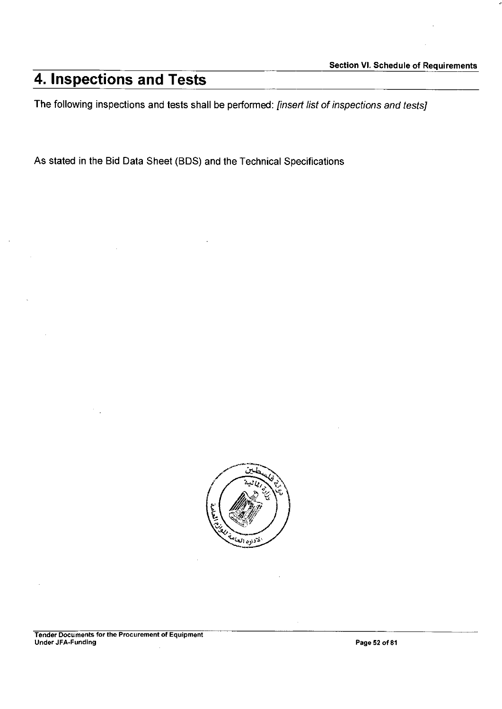# **4. Inspections and Tests**

The following inspections and tests shall be performed: *[insert list of inspections and tests]* 

As stated in the Bid Data Sheet (BDS) and the Technical Specifications

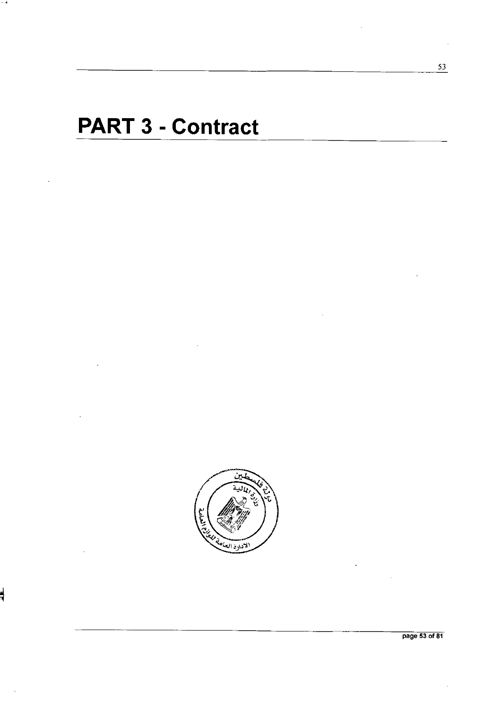# **PART 3 - Contract**



3

page 53 of 81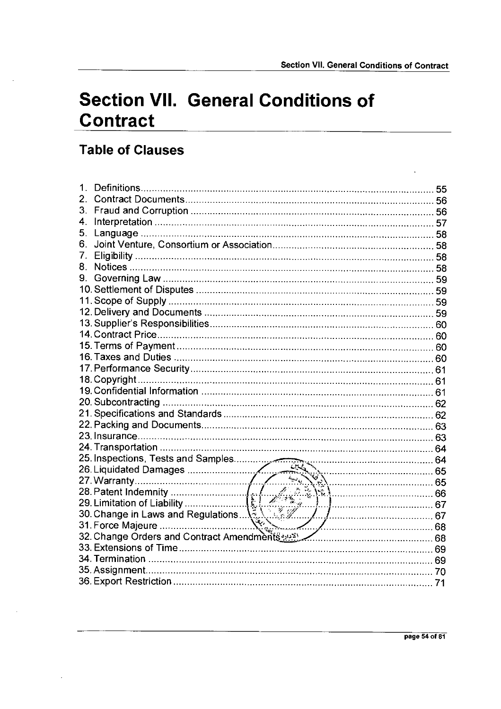# **Section VII. General Conditions of Contract**

## **Table of Clauses**

| 1.               | 55 |
|------------------|----|
| $\overline{2}$ . |    |
| 3.               |    |
| 4.               |    |
| 5.               |    |
| 6.               |    |
| 7.               |    |
| 8.               |    |
| 9.               |    |
|                  |    |
|                  |    |
|                  |    |
|                  |    |
|                  |    |
|                  |    |
|                  |    |
|                  |    |
|                  |    |
|                  |    |
|                  |    |
|                  |    |
|                  |    |
|                  |    |
|                  |    |
|                  |    |
|                  |    |
|                  |    |
|                  |    |
|                  |    |
|                  |    |
|                  |    |
|                  |    |
|                  |    |
|                  |    |
|                  |    |
|                  |    |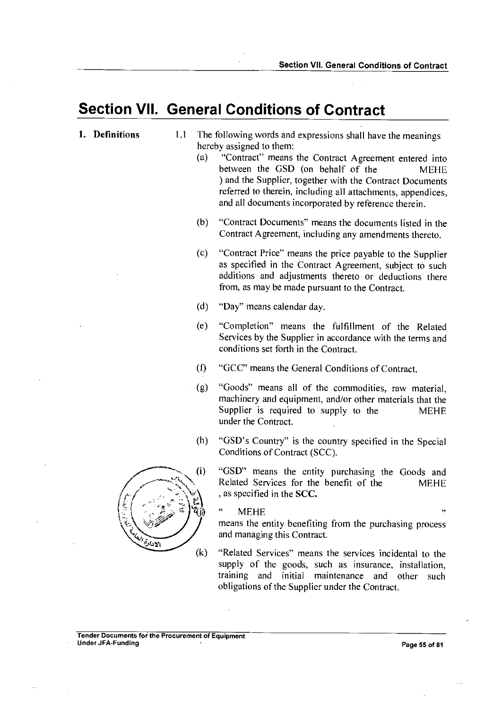## **Section VII. General Conditions of Contract**

## 1. **Definitions** 1.1 The following words and expressions shall have the meanings hereby assigned to them:

- (a) "Contract" means the Contract Agreement entered into between the GSD (on behalf of the MEHE ) and the Supplier, together with the Contract Documents referred to therein, including all attachments, appendices, and all documents incorporated by reference therein.
- (b) "Contract Documents" means the documents listed in the Contract Agreement, including any amendments thereto.
- (c) "Contract Price" means the price payable to the Supplier as specified in the Contract Agreement, subject to such additions and adjustments thereto or deductions there from, as may be made pursuant to the Contract.
- (d) "Day" means calendar day.
- (e) "Completion" means the fulfillment of the Related Services by the Supplier in accordance with the terms and conditions set forth in the Contract.
- $(f)$ "GCC" means the General Conditions of Contract.
- (g) "Goods" means all of the commodities, raw material, machinery and equipment, and/or other materials that the Supplier is required to supply to the MEHE under the Contract.
- "GSD's Country" is the country specified in the Special  $(h)$ Conditions of Contract (SCC).
	- "GSD" means the entity purchasing the Goods and Related Services for the benefit of the MEHE , as specified in the SCC.

" MEHE "

means the entity benefiting from the purchasing process and managing this Contract.

(k) "Related Services" means the services incidental to the supply of the goods, such as insurance, installation, training and initial maintenance and other such obligations of the Supplier under the Contract.

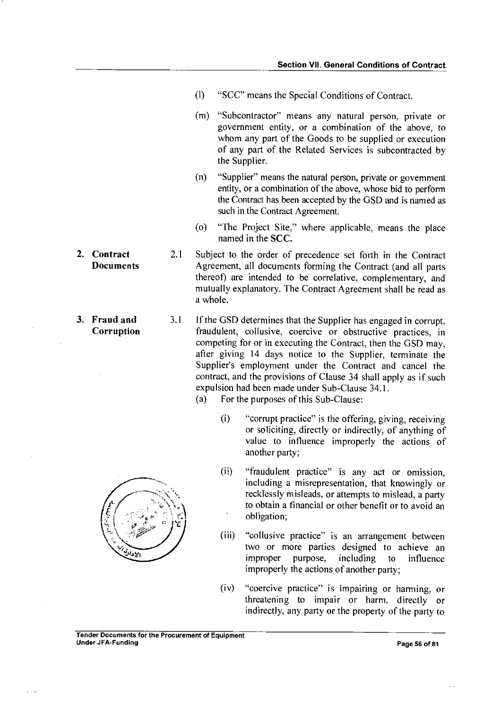- (I) "SCC" means the Special Conditions of Contract.
- (m) "Subcontractor" means any natural person, private or government entity, or a combination of the above, to whom any part of the Goods to be supplied or execution of any part of the Related Services is subcontracted by the Supplier.
- (n) "Supplier" means the natural person, private or government entity, or a combination of the above, whose bid to perform the Contract has been accepted by the GSD and is named as such in the Contract Agreement.
- (o) "The Project Site," where applicable, means the place named in the **SCC.**
- **2. Contract** 2.1 Subject to the order of precedence set forth in the Contract<br>Documents Agreement all documents forming the Contract (and all parts **Documents** Agreement, all documents forming the Contract (and all parts thereof) are intended to be correlative, complementary, and mutually explanatory. The Contract Agreement shall be read as a whole.
- **3. Fraud and** 3.1 If the GSD determines that the Supplier has engaged in corrupt, **Corruption** fraudulent, collusive, coercive or obstructive practices, in competing for or in executing the Contract, then the GSD may, after giving 14 days notice to the Supplier, terminate the Supplier's employment under the Contract and cancel the contract, and the provisions of Clause 34 shall apply as if such expulsion had been made under Sub-Clause 34.1.
	- (a) For the purposes of this Sub-Clause:
		- (i) "corrupt practice" is the offering, giving, receiving or soliciting, directly or indirectly, of anything of value to influence improperly the actions of another party;
		- (ii) "fraudulent practice" is any act or omission, including a misrepresentation, that knowingly or recklessly misleads, or attempts to mislead, a party to obtain a financial or other benefit or to avoid an obligation;
		- (iii) "collusive practice" is an arrangement between two or more parties designed to achieve an<br>improper purpose, including to influence improper purpose, including to influence improperly the actions of another party;
		- (iv) "coercive practice" is impairing or harming, or threatening to impair or harm, directly or indirectly, any party or the property of the party to
	-
- Tender Documents for the Procurement of Equipment Under JFA-Funding Page 56 of 81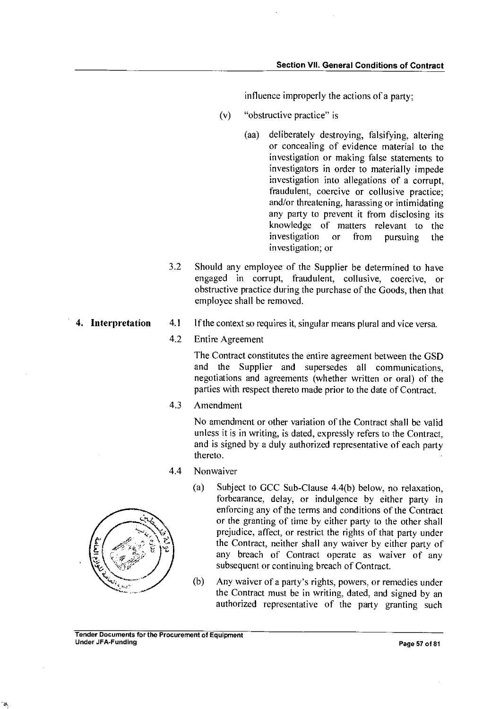influence improperly the actions of a party;

- (v) "obstructive practice" is
	- (aa) deliberately destroying, falsifying, altering or concealing of evidence material to the investigation or making false statements to investigators in order to materially impede investigation into allegations of a corrupt, fraudulent, coercive or collusive practice; and/or threatening, harassing or intimidating any party to prevent it from disclosing its knowledge of matters relevant to the investigation or from pursuing the investigation; or
- 3.2 Should any employee of the Supplier be determined to have engaged in corrupt, fraudulent, collusive, coercive, or obstructive practice during the purchase of the Goods, then that employee shall be removed.
- 4. Interpretation 4.1 If the context so requires it, singular means plural and vice versa.
	- 4.2 Entire Agreement

The Contract constitutes the entire agreement between the GSD and the Supplier and supersedes all communications, negotiations and agreements (whether written or oral) of the parties with respect thereto made prior to the date of Contract.

4.3 Amendment

No amendment or other variation of the Contract shall be valid unless it is in writing, is dated, expressly refers to the Contract, and is signed by a duly authorized representative of each party thereto.

4.4 Nonwaiver



- (a) Subject to GCC Sub-Clause 4.4(b) below, no relaxation, forbearance, delay, or indulgence by either party in enforcing any of the terms and conditions of the Contract or the granting of time by either party to the other shall prejudice, affect, or restrict the rights of that party under the Contract, neither shall any waiver by either party of any breach of Contract operate as waiver of any subsequent or continuing breach of Contract.
- (b) Any waiver of a party's rights, powers, or remedies under the Contract must be in writing, dated, and signed by an authorized representative of the party granting such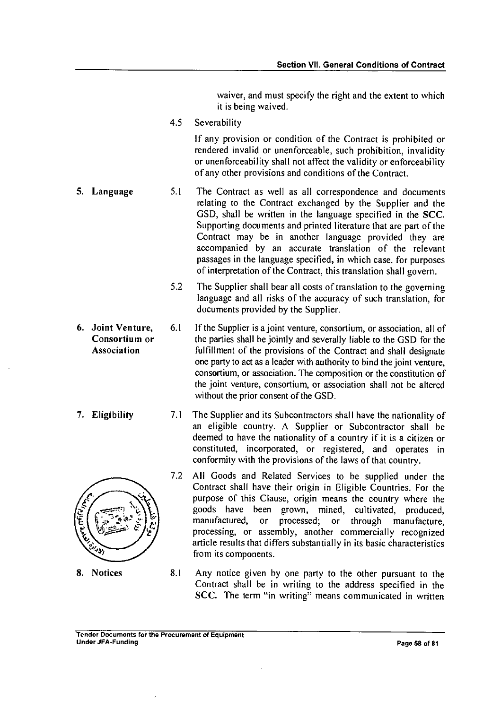waiver, and must specify the right and the extent to which it is being waived.

4.5 Severability

If any provision or condition of the Contract is prohibited or rendered invalid or unenforceable, such prohibition, invalidity or unenforceability shall not affect the validity or enforceability of any other provisions and conditions of the Contract.

- **5. Language** 5.1 The Contract as well as all correspondence and documents relating to the Contract exchanged by the Supplier and the GSD, shall be written in the language specified in the SCC. Supporting documents and printed literature that are part of the Contract may be in another language provided they are accompanied by an accurate translation of the relevant passages in the language specified, in which case, for purposes of interpretation of the Contract, this translation shall govern.
	- 5.2 The Supplier shall bear all costs of translation to the governing language and all risks of the accuracy of such translation, for documents provided by the Supplier.
- **6. Joint Venture,** 6.1 If the Supplier is a joint venture, consortium, or association, all of **Consortium or** the parties shall be jointly and severally liable to the GSD for the Association fulfillment of the provisions of the Contract and shall designate one party to act as a leader with authority to bind the joint venture, consortium, or association. The composition or the constitution of the joint venture, consortium, or association shall not be altered without the prior consent of the GSD.
- **7. Eligibility 7.1** The Supplier and its Subcontractors shall have the nationality of an eligible country. A Supplier or Subcontractor shall be deemed to have the nationality of a country if it is a citizen or constituted, incorporated, or registered, and operates in conformity with the provisions of the laws of that country.
	- 7.2 All Goods and Related Services to be supplied under the Contract shall have their origin in Eligible Countries. For the purpose of this Clause, origin means the country where the goods have been grown, mined, cultivated, produced, goods have been grown, mined,<br>manufactured, or processed; or manufactured, or processed; or through manufacture, processing, or assembly, another commercially recognized article results that differs substantially in its basic characteristics from its components.
	- 8.1 Any notice given by one party to the other pursuant to the Contract shall be in writing to the address specified in the SCC. The term "in writing" means communicated in written

### Tender Documents for the Procurement of Equipment Under JFA-Funding **Page 58 of 81** of 21 or 81 of 81 or 81 or 81 or 81 or 81 or 81 or 81 or 81 or 81 or 81 or 81 or 81 or 81 or 81 or 81 or 81 or 81 or 81 or 81 or 81 or 81 or 81 or 81 or 81 or 81 or 81 or 81 or 81 or 81 or



8. Notices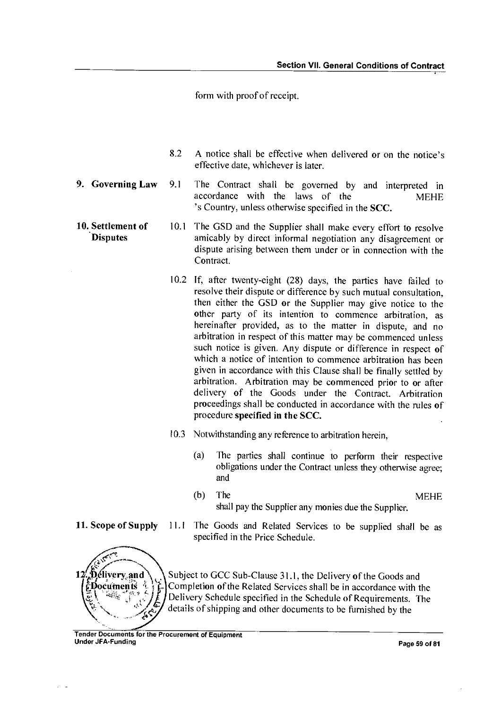form with proof of receipt.

- 8.2 A notice shall be effective when delivered or on the notice's effective date, whichever is later.
- **9. Governing Law** 9.1 The Contract shall be governed by and interpreted in accordance with the laws of the MEHE 's Country, unless otherwise specified in the SCC.
- **10. Settlement of** 10.1 **Disputes**  The GSD and the Supplier shall make every effort to resolve amicably by direct informal negotiation any disagreement or dispute arising between them under or in connection with the Contract.
	- 10.2 If, after twenty-eight (28) days, the parties have failed to resolve their dispute or difference by such mutual consultation, then either the GSD or the Supplier may give notice to the other party of its intention to commence arbitration, as hereinafter provided, as to the matter in dispute, and no arbitration in respect of this matter may be commenced unless such notice is given. Any dispute or difference in respect of which a notice of intention to commence arbitration has been given in accordance with this Clause shall be finally settled by arbitration. Arbitration may be commenced prior to or after delivery of the Goods under the Contract. Arbitration proceedings shall be conducted in accordance with the rules of procedure **specified in the SCC.**
	- 10.3 Notwithstanding any reference to arbitration herein,
		- (a) The parties shall continue to perform their respective obligations under the Contract unless they otherwise agree; and
		- (b) The MEHE shall pay the Supplier any monies due the Supplier.
- **11. Scope of Supply**  11.1 The Goods and Related Services to be supplied shall be as

,**Délivery and<br>:Documents** 

يسببهي

specified in the Price Schedule. Subject to GCC Sub-Clause 31.1, the Delivery of the Goods and

Completion of the Related Services shall be in accordance with the Delivery Schedule specified in the Schedule of Requirements. The details of shipping and other documents to be furnished by the

e4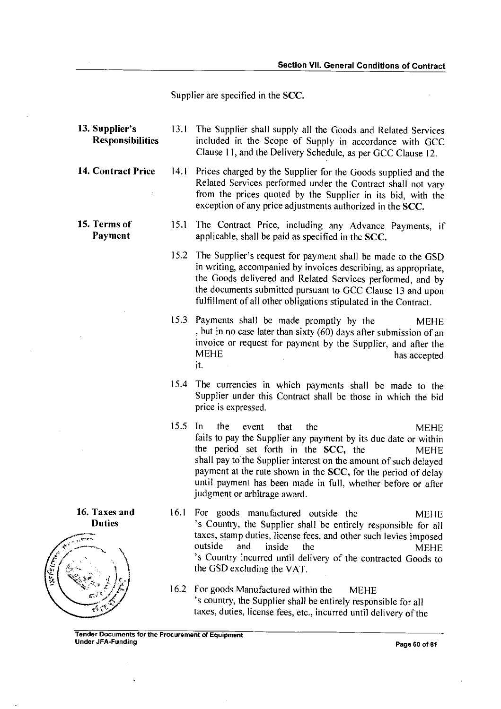Supplier are specified in the SCC.

- 13. Supplier's 13.1 The Supplier shall supply all the Goods and Related Services Responsibilities included in the Scope of Supply in accordance with GCC Clause 11, and the Delivery Schedule, as per GCC Clause 12.
- 14. Contract Price 14.1 Prices charged by the Supplier for the Goods supplied and the Related Services performed under the Contract shall not vary from the prices quoted by the Supplier in its bid, with the exception of any price adjustments authorized in the SCC.
- 15. Terms of 15.1 The Contract Price, including any Advance Payments, if Payment applicable, shall be paid as specified in the SCC. applicable, shall be paid as specified in the  $SCC$ .
	- 15.2 The Supplier's request for payment shall be made to the GSD in writing, accompanied by invoices describing, as appropriate, the Goods delivered and Related Services performed, and by the documents submitted pursuant to GCC Clause 13 and upon fulfillment of all other obligations stipulated in the Contract.
	- 15.3 Payments shall be made promptly by the MEHE ,but in no case later than sixty (60) days after submission of an invoice or request for payment by the Supplier, and after the has accepted It.
	- 15.4 The currencies in which payments shall be made to the Supplier under this Contract shall be those in which the bid price is expressed.
	- 15.5 In the event that the metal MEHE fails to pay the Supplier any payment by its due date or within the period set forth in the SCC, the MEHE shall pay to the Supplier interest on the amount of such delayed payment at the rate shown in the SCC, for the period of delay until payment has been made in full, whether before or after judgment or arbitrage award.
	- 16.1 For goods manufactured outside the MEHE 's Country, the Supplier shall be entirely responsible for all taxes, stamp duties, license fees, and other such levies imposed<br>outside and inside the MEHE outside and inside the MEHE 's Country incurred until delivery of the contracted Goods to the GSD excluding the VAT.
	- 16.2 For goods Manufactured within the MEHE 's country, the Supplier shall be entirely responsible for all taxes, duties, license fees, etc., incurred until delivery of the



16. Taxes and **Duties**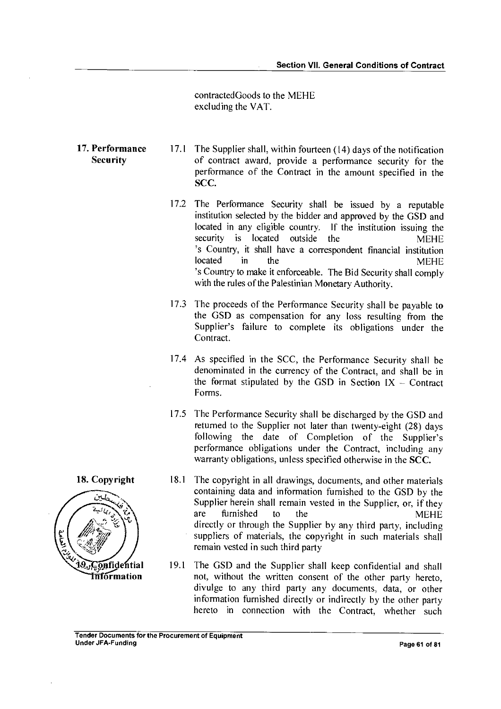contractedGoods to the MEHE excluding the VAT.

- 17. Performance 17.1 The Supplier shall, within fourteen (14) days of the notification<br>Security of contract award, provide a performance security for the of contract award, provide a performance security for the performance of the Contract in the amount specified in the SCC.
	- 17.2 The Performance Security shall be issued by a reputable institution selected by the bidder and approved by the GSD and located in any eligible country. If the institution issuing the is located outside the MEHE 's Country, it shall have a correspondent financial institution located in the MEHE 's Country to make it enforceable. The Bid Security shall comply with the rules of the Palestinian Monetary Authority.
	- 17.3 The proceeds of the Performance Security shall be payable to the GSD as compensation for any loss resulting from the Supplier's failure to complete its obligations under the Contract.
	- 17.4 As specified in the SCC, the Performance Security shall be denominated in the currency of the Contract, and shall be in the format stipulated by the GSD in Section  $IX -$  Contract Forms.
	- 17.5 The Performance Security shall be discharged by the GSD and returned to the Supplier not later than twenty-eight (28) days following the date of Completion of the Supplier's performance obligations under the Contract, including any warranty obligations, unless specified otherwise in the SCC.
	- 18.1 The copyright in all drawings, documents, and other materials containing data and information furnished to the GSD by the Supplier herein shall remain vested in the Supplier, or, if they are furnished to the MEHE directly or through the Supplier by any third party, including suppliers of materials, the copyright in such materials shall remain vested in such third party
- **19. Gonfidential** 19.1 The GSD and the Supplier shall keep confidential and shall **Triformation** not, without the written consent of the other party hereto not, without the written consent of the other party hereto, divulge to any third party any documents, data, or other information furnished directly or indirectly by the other party hereto in connection with the Contract, whether such

### **Tender Documents for the Procurement of Equipment Under JFA-Funding Page 61 of 81 and 2012 12:00 Page 61 of 81 and 2012 12:00 Page 61 of 81 and 2012 12:00 Page 61 of 81 and 2013**

18. Copyright

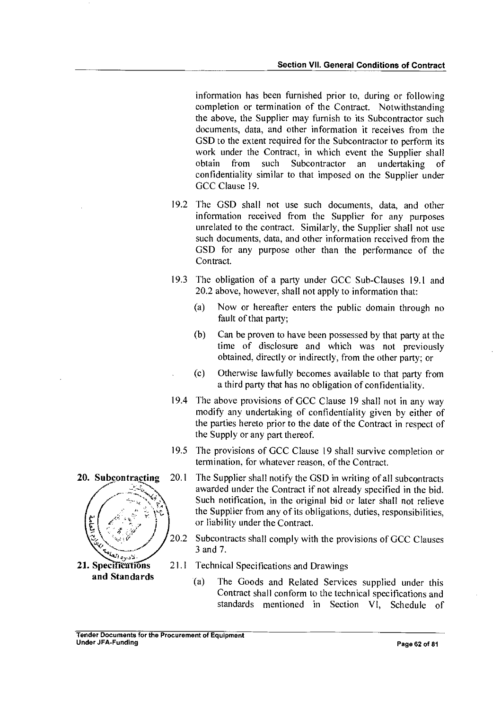information has been furnished prior to, during or following completion or termination of the Contract. Notwithstanding the above, the Supplier may furnish to its Subcontractor such documents, data, and other information it receives from the GSD to the extent required for the Subcontractor to perform its work under the Contract, in which event the Supplier shall obtain from such Subcontractor an undertaking of confidentiality similar to that imposed on the Supplier under GCC Clause 19.

- 19.2 The GSD shall not use such documents, data, and other information received from the Supplier for any purposes unrelated to the contract. Similarly, the Supplier shall not use such documents, data, and other information received from the GSD for any purpose other than the performance of the Contract.
- 19.3 The obligation of a party under GCC Sub-Clauses 19.1 and 20.2 above, however, shall not apply to information that:
	- (a) Now or hereafter enters the public domain through no fault of that party;
	- (b) Can be proven to have been possessed by that party at the time of disclosure and which was not previously obtained, directly or indirectly, from the other party; or
	- (c) Otherwise lawfully becomes available to that party from a third party that has no obligation of confidentiality.
- 19.4 The above provisions of GCC Clause 19 shall not in any way modify any undertaking of confidentiality given by either of the parties hereto prior to the date of the Contract in respect of the Supply or any part thereof.
- 19.5 The provisions of GCC Clause 19 shall survive completion or termination, for whatever reason, of the Contract.
- 20.1 The Supplier shall notify the GSD in writing of all subcontracts awarded under the Contract if not already specified in the bid. Such notification, in the original bid or later shall not relieve the Supplier from any of its obligations, duties, responsibilities, or liability under the Contract.
- 20.2 Subcontracts shall comply with the provisions of GCC Clauses 3 and 7.
- 21.1 Technical Specifications and Drawings
	- (a) The Goods and Related Services supplied under this Contract shall conform to the technical specifications and standards mentioned in Section VI, Schedule of

### Tender Documents for the Procurement of Equipment Under JFA-Funding Page 62 of 81



21. Specifications and Standards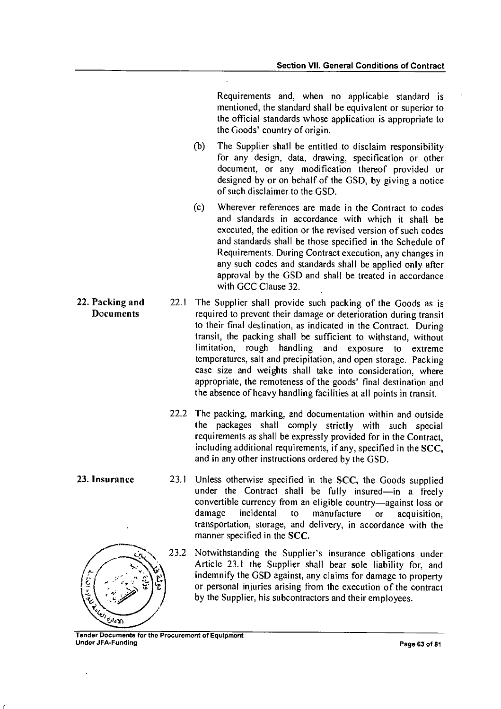Requirements and, when no applicable standard is mentioned, the standard shall be equivalent or superior to the official standards whose application is appropriate to the Goods' country of origin.

- (b) The Supplier shall be entitled to disclaim responsibility for any design, data, drawing, specification or other document, or any modification thereof provided or designed by or on behalf of the GSD, by giving a notice of such disclaimer to the GSD.
- (c) Wherever references are made in the Contract to codes and standards in accordance with which it shall be executed, the edition or the revised version of such codes and standards shall be those specified in the Schedule of Requirements. During Contract execution, any changes in any such codes and standards shall be applied only after approval by the GSD and shall be treated in accordance with GCC Clause 32.

•

- **22. Packing and** 22.1 The Supplier shall provide such packing of the Goods as is required to prevent their damage or deterioration during transit to their final destination, as indicated in the Contract. During transit, the packing shall be sufficient to withstand, without limitation, rough handling and exposure to extreme temperatures, salt and precipitation, and open storage. Packing case size and weights shall take into consideration, where appropriate, the remoteness of the goods' final destination and the absence of heavy handling facilities at all points in transit.
	- 22.2 The packing, marking, and documentation within and outside the packages shall comply strictly with such special requirements as shall be expressly provided for in the Contract, including additional requirements, if any, specified in the SCC, and in any other instructions ordered by the GSD.
	- 23.1 Unless otherwise specified in the SCC, the Goods supplied under the Contract shall be fully insured—in a freely convertible currency from an eligible country—against loss or<br>damage incidental to manufacture or acquisition to manufacture or acquisition, transportation, storage, and delivery, in accordance with the manner specified in the SCC.
	- $\frac{C_{\text{V}}}{C_{\text{V}}}$ , 23.2  $23.2$ Notwithstanding the Supplier's insurance obligations under Article 23.1 the Supplier shall bear sole liability for, and indemnify the GSD against, any claims for damage to property or personal injuries arising from the execution of the contract by the Supplier, his subcontractors and their employees.

Tender Documents for the Procurement of Equipment Under JFA-Funding Page 63 of 81

**Documents** 

**23. Insurance** 23.1

الأدارق

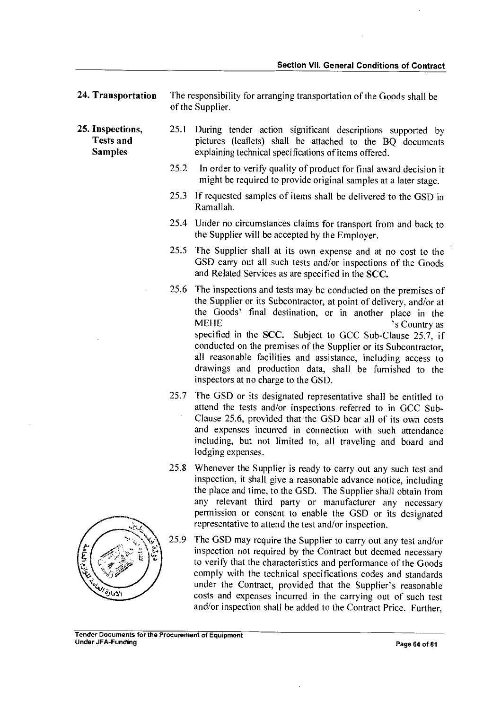24. Transportation The responsibility for arranging transportation of the Goods shall be of the Supplier.

25. Inspections, 25.1 During tender action significant descriptions supported by<br>Tests and bictures (leaflets) shall be attached to the BO documents pictures (leaflets) shall be attached to the BQ documents Samples explaining technical specifications of items offered.

- 25.2 In order to verify quality of product for final award decision it might be required to provide original samples at a later stage.
- 25.3 If requested samples of items shall be delivered to the GSD in Ramallah.
- 25.4 Under no circumstances claims for transport from and back to the Supplier will be accepted by the Employer.
- 25.5 The Supplier shall at its own expense and at no cost to the GSD carry out all such tests and/or inspections of the Goods and Related Services as are specified in the SCC.
- 25.6 The inspections and tests may be conducted on the premises of the Supplier or its Subcontractor, at point of delivery, and/or at the Goods' final destination, or in another place in the MEHE<br>
S Country as 's Country as specified in the SCC. Subject to GCC Sub-Clause 25.7, if conducted on the premises of the Supplier or its Subcontractor, all reasonable facilities and assistance, including access to drawings and production data, shall be furnished to the inspectors at no charge to the GSD.
- 25.7 The GSD or its designated representative shall be entitled to attend the tests and/or inspections referred to in GCC Sub-Clause 25.6, provided that the GSD bear all of its own costs and expenses incurred in connection with such attendance including, but not limited to, all traveling and board and lodging expenses.
- 25.8 Whenever the Supplier is ready to carry out any such test and inspection, it shall give a reasonable advance notice, including the place and time, to the GSD. The Supplier shall obtain from any relevant third party or manufacturer any necessary permission or consent to enable the GSD or its designated representative to attend the test and/or inspection.
- 25.9 The GSD may require the Supplier to carry out any test and/or inspection not required by the Contract but deemed necessary to verify that the characteristics and performance of the Goods comply with the technical specifications codes and standards under the Contract, provided that the Supplier's reasonable costs and expenses incurred in the carrying out of such test and/or inspection shall be added to the Contract Price. Further,

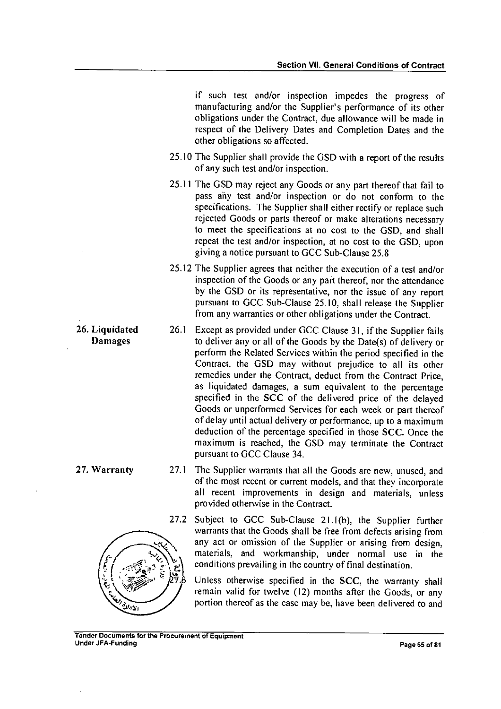if such test and/or inspection impedes the progress of manufacturing and/or the Supplier's performance of its other obligations under the Contract, due allowance will be made in respect of the Delivery Dates and Completion Dates and the other obligations so affected.

- 25.10 The Supplier shall provide the GSD with a report of the results of any such test and/or inspection.
- 25.11 The GSD may reject any Goods or any part thereof that fail to pass any test and/or inspection or do not conform to the specifications. The Supplier shall either rectify or replace such rejected Goods or parts thereof or make alterations necessary to meet the specifications at no cost to the GSD, and shall repeat the test and/or inspection, at no cost to the GSD, upon giving a notice pursuant to GCC Sub-Clause 25.8
- 25.12 The Supplier agrees that neither the execution of a test and/or inspection of the Goods or any part thereof, nor the attendance by the GSD or its representative, nor the issue of any report pursuant to GCC Sub-Clause 25.10, shall release the Supplier from any warranties or other obligations under the Contract.
- 26. Liquidated 26.1 Except as provided under GCC Clause 31, if the Supplier fails<br>Damages to deliver any or all of the Goods by the Date(s) of delivery or to deliver any or all of the Goods by the Date(s) of delivery or perform the Related Services within the period specified in the Contract, the GSD may without prejudice to all its other remedies under the Contract, deduct from the Contract Price, as liquidated damages, a sum equivalent to the percentage specified in the SCC of the delivered price of the delayed Goods or unperformed Services for each week or part thereof of delay until actual delivery or performance, up to a maximum deduction of the percentage specified in those SCC. Once the maximum is reached, the GSD may terminate the Contract pursuant to GCC Clause 34.
- 27. Warranty 27.1 The Supplier warrants that all the Goods are new, unused, and of the most recent or current models, and that they incorporate all recent improvements in design and materials, unless provided otherwise in the Contract.

27.2 Subject to GCC Sub-Clause 21.1(b), the Supplier further warrants that the Goods shall be free from defects arising from any act or omission of the Supplier or arising from design, materials, and workmanship, under normal use in the conditions prevailing in the country of final destination.

Unless otherwise specified in the SCC, the warranty shall remain valid for twelve (12) months after the Goods, or any portion thereof as the case may be, have been delivered to and

الأدارع

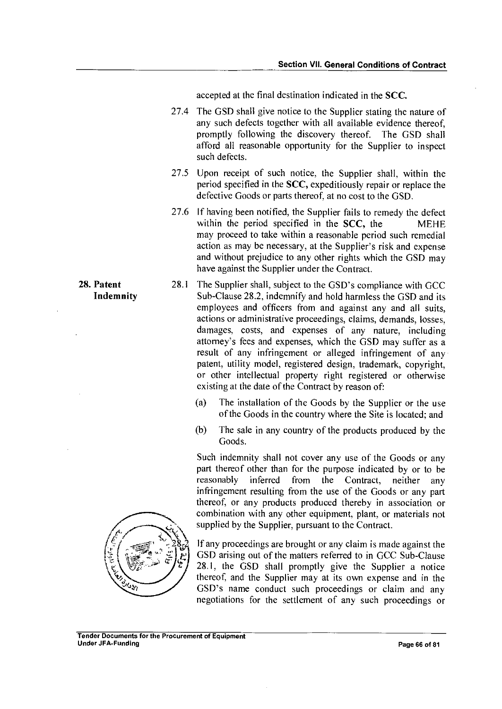accepted at the final destination indicated in the SCC.

- 27.4 The GSD shall give notice to the Supplier stating the nature of any such defects together with all available evidence thereof, promptly following the discovery thereof. The GSD shall afford all reasonable opportunity for the Supplier to inspect such defects.
- 27.5 Upon receipt of such notice, the Supplier shall, within the period specified in the SCC, expeditiously repair or replace the defective Goods or parts thereof, at no cost to the GSD.
- 27.6 If having been notified, the Supplier fails to remedy the defect within the period specified in the SCC, the MEHE may proceed to take within a reasonable period such remedial action as may be necessary, at the Supplier's risk and expense and without prejudice to any other rights which the GSD may have against the Supplier under the Contract.
- 28. Patent 28.1 The Supplier shall, subject to the GSD's compliance with GCC Indemnity Sub-Clause 28.2, indemnify and hold harmless the GSD and its employees and officers from and against any and all suits, actions or administrative proceedings, claims, demands, losses, damages, costs, and expenses of any nature, including attorney's fees and expenses, which the GSD may suffer as a result of any infringement or alleged infringement of any patent, utility model, registered design, trademark, copyright, or other intellectual property right registered or otherwise existing at the date of the Contract by reason of:
	- (a) The installation of the Goods by the Supplier or the use of the Goods in the country where the Site is located; and
	- (b) The sale in any country of the products produced by the Goods.

Such indemnity shall not cover any use of the Goods or any part thereof other than for the purpose indicated by or to be reasonably inferred from the Contract, neither any infringement resulting from the use of the Goods or any part thereof, or any products produced thereby in association or combination with any other equipment, plant, or materials not supplied by the Supplier, pursuant to the Contract.

If any proceedings are brought or any claim is made against the GSD arising out of the matters referred to in GCC Sub-Clause 28.1, the GSD shall promptly give the Supplier a notice thereof, and the Supplier may at its own expense and in the GSD's name conduct such proceedings or claim and any negotiations for the settlement of any such proceedings or

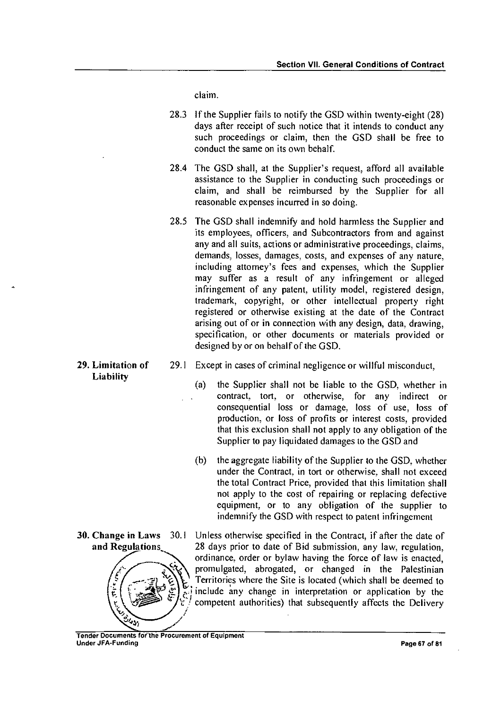claim.

- 28.3 If the Supplier fails to notify the GSD within twenty-eight (28) days after receipt of such notice that it intends to conduct any such proceedings or claim, then the GSD shall be free to conduct the same on its own behalf.
- 28.4 The GSD shall, at the Supplier's request, afford all available assistance to the Supplier in conducting such proceedings or claim, and shall be reimbursed by the Supplier for all reasonable expenses incurred in so doing.
- 28.5 The GSD shall indemnify and hold harmless the Supplier and its employees, officers, and Subcontractors from and against any and all suits, actions or administrative proceedings, claims, demands, losses, damages, costs, and expenses of any nature, including attorney's fees and expenses, which the Supplier may suffer as a result of any infringement or alleged infringement of any patent, utility model, registered design, trademark, copyright, or other intellectual property right registered or otherwise existing at the date of the Contract arising out of or in connection with any design, data, drawing, specification, or other documents or materials provided or designed by or on behalf of the GSD.
- Liability
- 29. Limitation of 29.1 Except in cases of criminal negligence or willful misconduct,
	- the Supplier shall not be liable to the GSD, whether in contract, tort, or otherwise, for any indirect or consequential loss or damage, loss of use, loss of production, or loss of profits or interest costs, provided that this exclusion shall not apply to any obligation of the Supplier to pay liquidated damages to the GSD and (a)
	- (b) the aggregate liability of the Supplier to the GSD, whether under the Contract, in tort or otherwise, shall not exceed the total Contract Price, provided that this limitation shall not apply to the cost of repairing or replacing defective equipment, or to any obligation of the supplier to indemnify the GSD with respect to patent infringement
	- 30.1 Unless otherwise specified in the Contract, if after the date of 28 days prior to date of Bid submission, any law, regulation, ordinance, order or bylaw having the force of law is enacted, promulgated, abrogated, or changed in the Palestinian Territories where the Site is located (which shall be deemed to include any change in interpretation or application by the competent authorities) that subsequently affects the Delivery

30. Change in Laws and Regulations

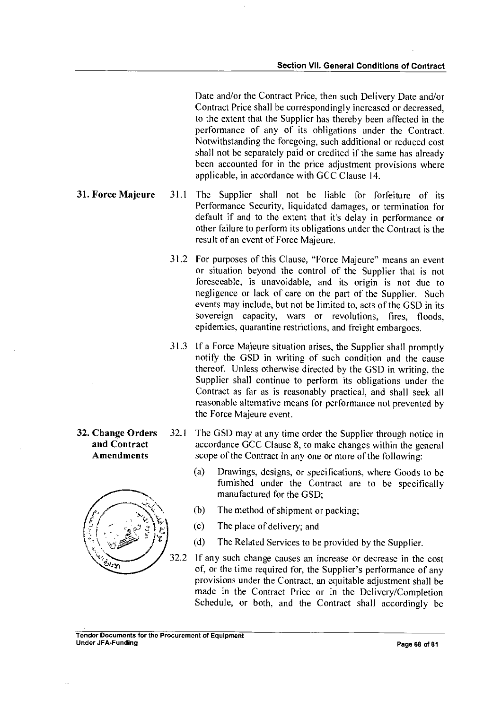Date and/or the Contract Price, then such Delivery Date and/or Contract Price shall be correspondingly increased or decreased, to the extent that the Supplier has thereby been affected in the performance of any of its obligations under the Contract. Notwithstanding the foregoing, such additional or reduced cost shall not be separately paid or credited if the same has already been accounted for in the price adjustment provisions where applicable, in accordance with GCC Clause 14.

- 31. Force Majeure 31.1 The Supplier shall not be liable for forfeiture of its Performance Security, liquidated damages, or termination for default if and to the extent that it's delay in performance or other failure to perform its obligations under the Contract is the result of an event of Force Majeure.
	- 31.2 For purposes of this Clause, "Force Majeure" means an event or situation beyond the control of the Supplier that is not foreseeable, is unavoidable, and its origin is not due to negligence or lack of care on the part of the Supplier. Such events may include, but not be limited to, acts of the GSD in its sovereign capacity, wars or revolutions, fires, floods, epidemics, quarantine restrictions, and freight embargoes.
	- 31.3 If a Force Majeure situation arises, the Supplier shall promptly notify the GSD in writing of such condition and the cause thereof. Unless otherwise directed by the GSD in writing, the Supplier shall continue to perform its obligations under the Contract as far as is reasonably practical, and shall seek all reasonable alternative means for performance not prevented by the Force Majeure event.
- 32. Change Orders 32.1 The GSD may at any time order the Supplier through notice in and Contract accordance GCC Clause 8, to make changes within the general Amendments scope of the Contract in any one or more of the following:
	- (a) Drawings, designs, or specifications, where Goods to be furnished under the Contract are to be specifically manufactured for the GSD;
	- (b) The method of shipment or packing;
	- (c) The place of delivery; and
	- (d) The Related Services to be provided by the Supplier.
	- 32.2 If any such change causes an increase or decrease in the cost of, or the time required for, the Supplier's performance of any provisions under the Contract, an equitable adjustment shall be made in the Contract Price or in the Delivery/Completion Schedule, or both, and the Contract shall accordingly be

### Tender Documents for the Procurement of Equipment Under JFA-Funding **Page 68 of 81**

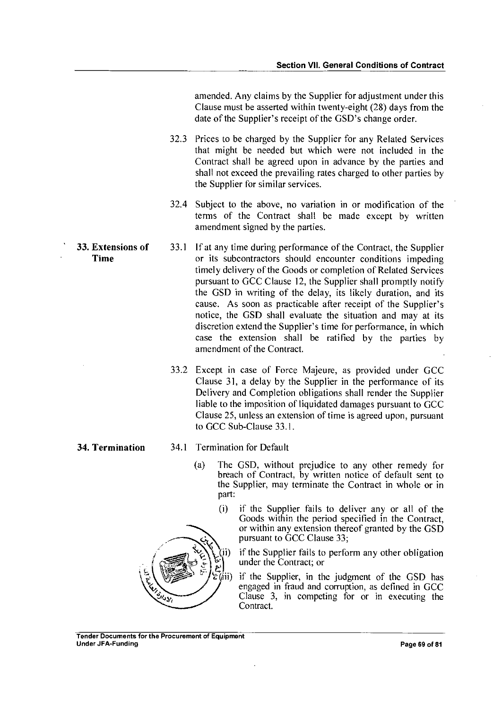amended. Any claims by the Supplier for adjustment under this Clause must be asserted within twenty-eight (28) days from the date of the Supplier's receipt of the GSD's change order.

32.3 Prices to be charged by the Supplier for any Related Services that might be needed but which were not included in the Contract shall be agreed upon in advance by the parties and shall not exceed the prevailing rates charged to other parties by the Supplier for similar services.

- 32.4 Subject to the above, no variation in or modification of the terms of the Contract shall be made except by written amendment signed by the parties.
- 33. Extensions of 33.1 If at any time during performance of the Contract, the Supplier Time or its subcontractors should encounter conditions impeding timely delivery of the Goods or completion of Related Services pursuant to GCC Clause 12, the Supplier shall promptly notify the GSD in writing of the delay, its likely duration, and its cause. As soon as practicable after receipt of the Supplier's notice, the GSD shall evaluate the situation and may at its discretion extend the Supplier's time for performance, in which case the extension shall be ratified by the parties by amendment of the Contract.
	- 33.2 Except in case of Force Majeure, as provided under GCC Clause 31, a delay by the Supplier in the performance of its Delivery and Completion obligations shall render the Supplier liable to the imposition of liquidated damages pursuant to GCC Clause 25, unless an extension of time is agreed upon, pursuant to GCC Sub-Clause 33.1.

- 34. Termination 34.1 Termination for Default
	- (a) The GSD, without prejudice to any other remedy for breach of Contract, by written notice of default sent to the Supplier, may terminate the Contract in whole or in part:
		- (i) if the Supplier fails to deliver any or all of the Goods within the period specified in the Contract, or within any extension thereof granted by the GSD pursuant to GCC Clause 33;

if the Supplier fails to perform any other obligation under the Contract; or

 $\overline{f}$  if the Supplier, in the judgment of the GSD has engaged in fraud and corruption, as defined in GCC Clause 3, in competing for or in executing the Contract.

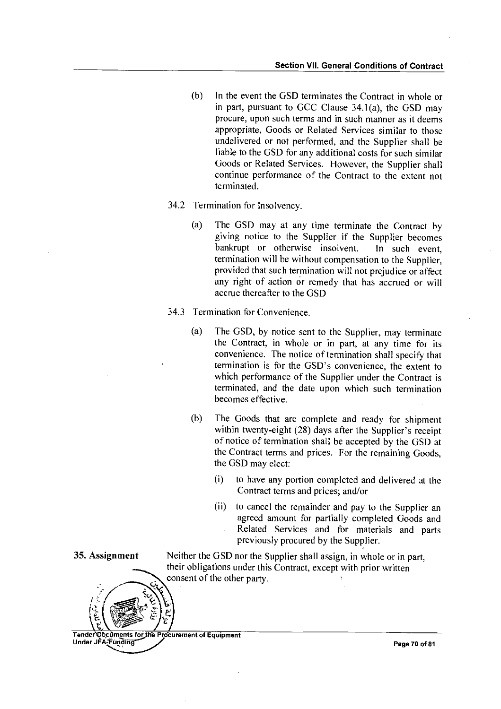- (b) In the event the GSD terminates the Contract in whole or in part, pursuant to GCC Clause 34.1(a), the GSD may procure, upon such terms and in such manner as it deems appropriate, Goods or Related Services similar to those undelivered or not performed, and the Supplier shall be liable to the GSD for any additional costs for such similar Goods or Related Services. However, the Supplier shall continue performance of the Contract to the extent not terminated.
- 34.2 Termination for Insolvency.
	- (a) The GSD may at any time terminate the Contract by giving notice to the Supplier if the Supplier becomes bankrupt or otherwise insolvent. In such event, termination will be without compensation to the Supplier, provided that such termination will not prejudice or affect any right of action or remedy that has accrued or will accrue thereafter to the GSD
- 34.3 Termination for Convenience.
	- (a) The GSD, by notice sent to the Supplier, may terminate the Contract, in whole or in part, at any time for its convenience. The notice of termination shall specify that termination is for the GSD's convenience, the extent to which performance of the Supplier under the Contract is terminated, and the date upon which such termination becomes effective.
	- (b) The Goods that are complete and ready for shipment within twenty-eight (28) days after the Supplier's receipt of notice of termination shall be accepted by the GSD at the Contract terms and prices. For the remaining Goods, the GSD may elect:
		- (i) to have any portion completed and delivered at the Contract terms and prices; and/or
		- (ii) to cancel the remainder and pay to the Supplier an agreed amount for partially completed Goods and Related Services and for materials and parts previously procured by the Supplier.

Neither the GSD nor the Supplier shall assign, in whole or in part, their obligations under this Contract, except with prior written consent of the other party.

Tender Documents for the Procurement of Equipment Under JPA-Funding Page 70 of 81

35. Assignment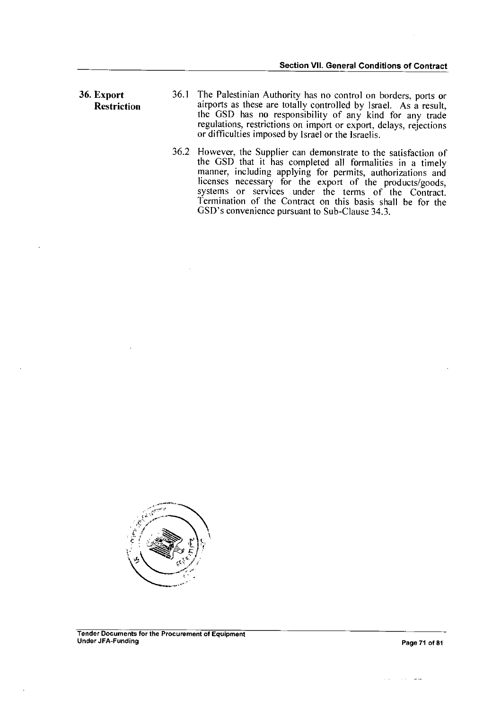systems or services under the terms of the Contract. Termination of the Contract on this basis shall be for the

GSD's convenience pursuant to Sub-Clause 34.3.

36. Export Restriction 36.1 The Palestinian Authority has no control on borders, ports or airports as these are totally controlled by Israel. As a result, the GSD has no responsibility of any kind for any trade regulations, restrictions on import or export, delays, rejections or difficulties imposed by Israel or the Israelis. 36.2 However, the Supplier can demonstrate to the satisfaction of the GSD that it has completed all formalities in a timely manner, including applying for permits, authorizations and licenses necessary for the export of the products/goods,

سيفان المتعاني

 $\sim$   $\sim$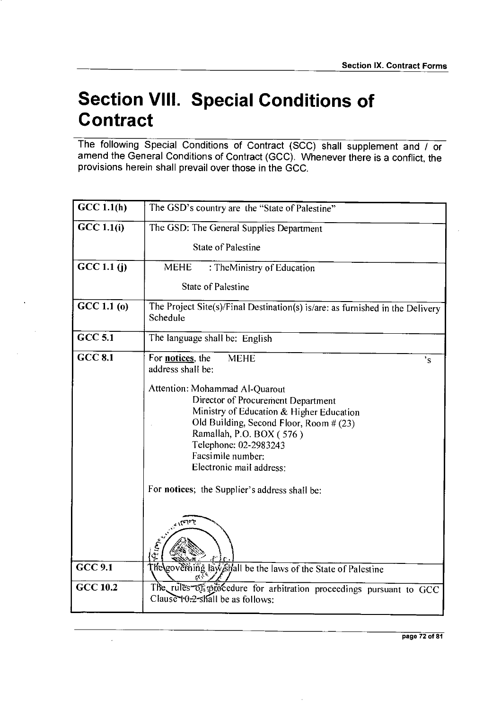# **Section VIII. Special Conditions of Contract**

The following Special Conditions of Contract (SCC) shall supplement and / or amend the General Conditions of Contract (GCC). Whenever there is a conflict, the provisions herein shall prevail over those in the GCC.

| GCC 1.1(h)              | The GSD's country are the "State of Palestine"                                                                                                                                                                                                                    |  |  |
|-------------------------|-------------------------------------------------------------------------------------------------------------------------------------------------------------------------------------------------------------------------------------------------------------------|--|--|
| $\overline{GCC}$ 1.1(i) | The GSD: The General Supplies Department                                                                                                                                                                                                                          |  |  |
|                         | <b>State of Palestine</b>                                                                                                                                                                                                                                         |  |  |
| GCC 1.1(j)              | <b>MEHE</b><br>: TheMinistry of Education                                                                                                                                                                                                                         |  |  |
|                         | State of Palestine                                                                                                                                                                                                                                                |  |  |
| GCC 1.1(0)              | The Project Site(s)/Final Destination(s) is/are: as furnished in the Delivery<br>Schedule                                                                                                                                                                         |  |  |
| <b>GCC 5.1</b>          | The language shall be: English                                                                                                                                                                                                                                    |  |  |
| $CCC$ 8.1               | For <b>notices</b> , the<br><b>MEHE</b><br>$\overline{\mathbf{s}}$<br>address shall be:                                                                                                                                                                           |  |  |
|                         | Attention: Mohammad Al-Quarout<br>Director of Procurement Department<br>Ministry of Education & Higher Education<br>Old Building, Second Floor, Room # (23)<br>Ramallah, P.O. BOX (576)<br>Telephone: 02-2983243<br>Facsimile number:<br>Electronic mail address: |  |  |
|                         | For notices; the Supplier's address shall be:<br>كأحاجان                                                                                                                                                                                                          |  |  |
|                         | ارة العا                                                                                                                                                                                                                                                          |  |  |
| <b>GCC 9.1</b>          | The governing law shall be the laws of the State of Palestine                                                                                                                                                                                                     |  |  |
| <b>GCC 10.2</b>         | The rules of procedure for arbitration proceedings pursuant to GCC<br>Clause $\theta$ -2-shall be as follows:                                                                                                                                                     |  |  |

 $\bar{z}$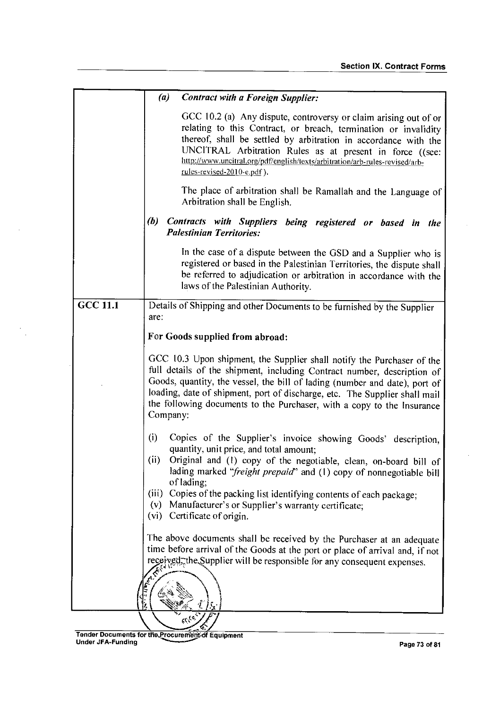|                 | (a)<br><b>Contract with a Foreign Supplier:</b>                                                                                                                                                                                                                                                                                                                                                     |  |  |
|-----------------|-----------------------------------------------------------------------------------------------------------------------------------------------------------------------------------------------------------------------------------------------------------------------------------------------------------------------------------------------------------------------------------------------------|--|--|
|                 | GCC 10.2 (a) Any dispute, controversy or claim arising out of or<br>relating to this Contract, or breach, termination or invalidity<br>thereof, shall be settled by arbitration in accordance with the<br>UNCITRAL Arbitration Rules as at present in force ((see:<br>http://www.uncitral.org/pdf/english/texts/arbitration/arb-rules-revised/arb-<br>rules-revised-2010-e.pdf).                    |  |  |
|                 | The place of arbitration shall be Ramallah and the Language of<br>Arbitration shall be English.                                                                                                                                                                                                                                                                                                     |  |  |
|                 | (b)<br>Contracts with Suppliers being registered or based in the<br><b>Palestinian Territories:</b>                                                                                                                                                                                                                                                                                                 |  |  |
|                 | In the case of a dispute between the GSD and a Supplier who is<br>registered or based in the Palestinian Territories, the dispute shall<br>be referred to adjudication or arbitration in accordance with the<br>laws of the Palestinian Authority.                                                                                                                                                  |  |  |
| <b>GCC 11.1</b> | Details of Shipping and other Documents to be furnished by the Supplier<br>are:                                                                                                                                                                                                                                                                                                                     |  |  |
|                 | For Goods supplied from abroad:                                                                                                                                                                                                                                                                                                                                                                     |  |  |
|                 | GCC 10.3 Upon shipment, the Supplier shall notify the Purchaser of the<br>full details of the shipment, including Contract number, description of<br>Goods, quantity, the vessel, the bill of lading (number and date), port of<br>loading, date of shipment, port of discharge, etc. The Supplier shall mail<br>the following documents to the Purchaser, with a copy to the Insurance<br>Company: |  |  |
|                 | (i)<br>Copies of the Supplier's invoice showing Goods' description,<br>quantity, unit price, and total amount:<br>(i)<br>Original and (1) copy of the negotiable, clean, on-board bill of<br>lading marked "freight prepaid" and (1) copy of nonnegotiable bill<br>of lading;<br>Copies of the packing list identifying contents of each package;<br>(iii)                                          |  |  |
|                 | Manufacturer's or Supplier's warranty certificate;<br>(v)<br>(vi) Certificate of origin.                                                                                                                                                                                                                                                                                                            |  |  |
|                 | The above documents shall be received by the Purchaser at an adequate<br>time before arrival of the Goods at the port or place of arrival and, if not<br>received, the Supplier will be responsible for any consequent expenses.                                                                                                                                                                    |  |  |
|                 |                                                                                                                                                                                                                                                                                                                                                                                                     |  |  |

 $\frac{1}{\sqrt{2}}$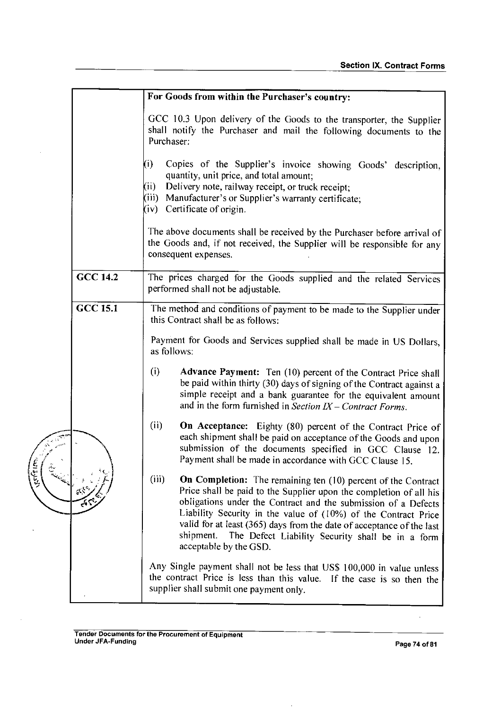|                |                 | For Goods from within the Purchaser's country:                                                                                                                                                                                                                                                                                                                                                                                                       |
|----------------|-----------------|------------------------------------------------------------------------------------------------------------------------------------------------------------------------------------------------------------------------------------------------------------------------------------------------------------------------------------------------------------------------------------------------------------------------------------------------------|
|                |                 | GCC 10.3 Upon delivery of the Goods to the transporter, the Supplier<br>shall notify the Purchaser and mail the following documents to the<br>Purchaser:                                                                                                                                                                                                                                                                                             |
|                |                 | (i)<br>Copies of the Supplier's invoice showing Goods' description,<br>quantity, unit price, and total amount;<br>Delivery note, railway receipt, or truck receipt;<br>(i)<br>(iii) Manufacturer's or Supplier's warranty certificate;<br>$(iv)$ Certificate of origin.                                                                                                                                                                              |
|                |                 | The above documents shall be received by the Purchaser before arrival of<br>the Goods and, if not received, the Supplier will be responsible for any<br>consequent expenses.                                                                                                                                                                                                                                                                         |
|                | <b>GCC 14.2</b> | The prices charged for the Goods supplied and the related Services<br>performed shall not be adjustable.                                                                                                                                                                                                                                                                                                                                             |
|                | <b>GCC 15.1</b> | The method and conditions of payment to be made to the Supplier under                                                                                                                                                                                                                                                                                                                                                                                |
|                |                 | this Contract shall be as follows:<br>Payment for Goods and Services supplied shall be made in US Dollars,<br>as follows:                                                                                                                                                                                                                                                                                                                            |
|                |                 | (i)<br>Advance Payment: Ten (10) percent of the Contract Price shall<br>be paid within thirty (30) days of signing of the Contract against a<br>simple receipt and a bank guarantee for the equivalent amount<br>and in the form furnished in Section $IX$ – Contract Forms.                                                                                                                                                                         |
|                |                 | (ii)<br>On Acceptance: Eighty (80) percent of the Contract Price of<br>each shipment shall be paid on acceptance of the Goods and upon<br>submission of the documents specified in GCC Clause 12.<br>Payment shall be made in accordance with GCC Clause 15.                                                                                                                                                                                         |
| لادارہ ال<br>ا |                 | (iii)<br>On Completion: The remaining ten (10) percent of the Contract<br>Price shall be paid to the Supplier upon the completion of all his<br>obligations under the Contract and the submission of a Defects<br>Liability Security in the value of (10%) of the Contract Price<br>valid for at least (365) days from the date of acceptance of the last<br>shipment.<br>The Defect Liability Security shall be in a form<br>acceptable by the GSD. |
|                |                 | Any Single payment shall not be less that US\$ 100,000 in value unless<br>the contract Price is less than this value. If the case is so then the<br>supplier shall submit one payment only.                                                                                                                                                                                                                                                          |

 $\ddot{\phantom{0}}$ 

 $\bar{\alpha}$ 

 $\hat{\boldsymbol{\beta}}$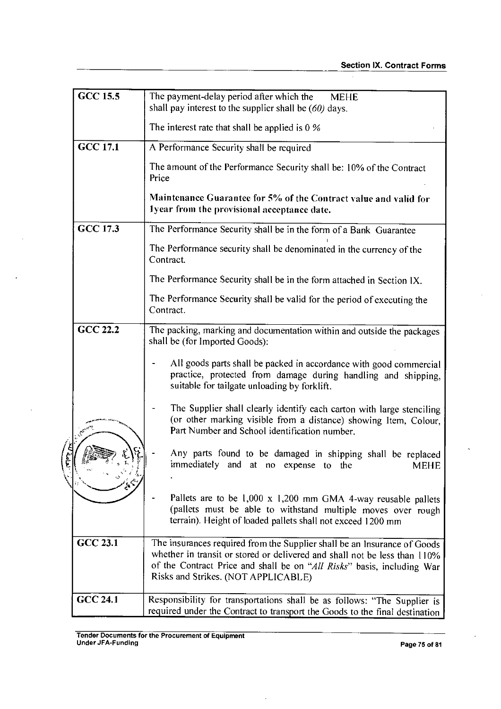$\bar{\phantom{a}}$ 

| <b>GCC 15.5</b>                                                                                                                                                                                                                                                                           | The payment-delay period after which the<br><b>MEHE</b><br>shall pay interest to the supplier shall be $(60)$ days.                                                                          |  |
|-------------------------------------------------------------------------------------------------------------------------------------------------------------------------------------------------------------------------------------------------------------------------------------------|----------------------------------------------------------------------------------------------------------------------------------------------------------------------------------------------|--|
|                                                                                                                                                                                                                                                                                           | The interest rate that shall be applied is $0\%$                                                                                                                                             |  |
| <b>GCC 17.1</b>                                                                                                                                                                                                                                                                           | A Performance Security shall be required                                                                                                                                                     |  |
|                                                                                                                                                                                                                                                                                           | The amount of the Performance Security shall be: 10% of the Contract<br>Price                                                                                                                |  |
|                                                                                                                                                                                                                                                                                           | Maintenance Guarantee for 5% of the Contract value and valid for<br>lyear from the provisional acceptance date.                                                                              |  |
| GCC 17.3                                                                                                                                                                                                                                                                                  | The Performance Security shall be in the form of a Bank Guarantee                                                                                                                            |  |
|                                                                                                                                                                                                                                                                                           | The Performance security shall be denominated in the currency of the<br>Contract.                                                                                                            |  |
|                                                                                                                                                                                                                                                                                           | The Performance Security shall be in the form attached in Section IX.                                                                                                                        |  |
|                                                                                                                                                                                                                                                                                           | The Performance Security shall be valid for the period of executing the<br>Contract.                                                                                                         |  |
| <b>GCC 22.2</b>                                                                                                                                                                                                                                                                           | The packing, marking and documentation within and outside the packages<br>shall be (for Imported Goods):                                                                                     |  |
|                                                                                                                                                                                                                                                                                           | All goods parts shall be packed in accordance with good commercial<br>practice, protected from damage during handling and shipping,<br>suitable for tailgate unloading by forklift.          |  |
|                                                                                                                                                                                                                                                                                           | The Supplier shall clearly identify each carton with large stenciling<br>(or other marking visible from a distance) showing Item, Colour,<br>Part Number and School identification number.   |  |
|                                                                                                                                                                                                                                                                                           | Any parts found to be damaged in shipping shall be replaced<br>immediately and at no expense to the<br>MEHE                                                                                  |  |
|                                                                                                                                                                                                                                                                                           | Pallets are to be 1,000 x 1,200 mm GMA 4-way reusable pallets<br>(pallets must be able to withstand multiple moves over rough<br>terrain). Height of loaded pallets shall not exceed 1200 mm |  |
| <b>GCC 23.1</b><br>The insurances required from the Supplier shall be an Insurance of Goods<br>whether in transit or stored or delivered and shall not be less than 110%<br>of the Contract Price and shall be on "All Risks" basis, including War<br>Risks and Strikes. (NOT APPLICABLE) |                                                                                                                                                                                              |  |
| <b>GCC 24.1</b>                                                                                                                                                                                                                                                                           | Responsibility for transportations shall be as follows: "The Supplier is<br>required under the Contract to transport the Goods to the final destination                                      |  |

 $\ddot{\phantom{a}}$ 

 $\overline{a}$ 

 $\overline{a}$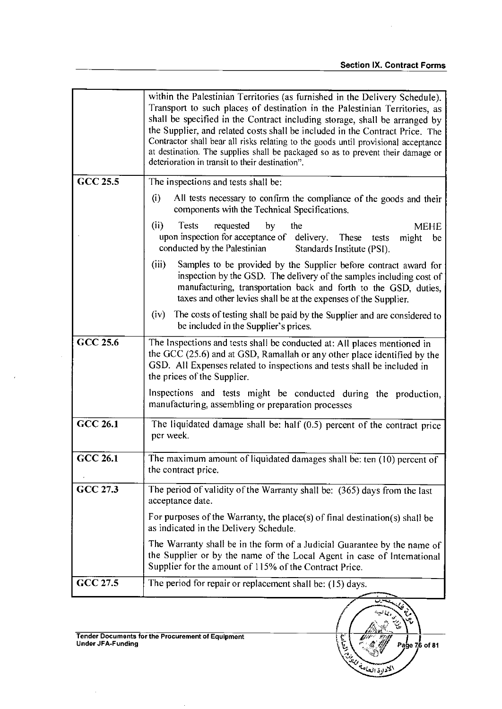Page  $76$  of 81

ؽ

EL COLORED BY

|                 | within the Palestinian Territories (as furnished in the Delivery Schedule).<br>Transport to such places of destination in the Palestinian Territories, as<br>shall be specified in the Contract including storage, shall be arranged by<br>the Supplier, and related costs shall be included in the Contract Price. The<br>Contractor shall bear all risks relating to the goods until provisional acceptance<br>at destination. The supplies shall be packaged so as to prevent their damage or<br>deterioration in transit to their destination". |  |  |
|-----------------|-----------------------------------------------------------------------------------------------------------------------------------------------------------------------------------------------------------------------------------------------------------------------------------------------------------------------------------------------------------------------------------------------------------------------------------------------------------------------------------------------------------------------------------------------------|--|--|
| GCC 25.5        | The inspections and tests shall be:                                                                                                                                                                                                                                                                                                                                                                                                                                                                                                                 |  |  |
|                 | (i)<br>All tests necessary to confirm the compliance of the goods and their<br>components with the Technical Specifications.                                                                                                                                                                                                                                                                                                                                                                                                                        |  |  |
|                 | (ii)<br>Tests<br>requested<br>by<br>the<br><b>MEHE</b><br>upon inspection for acceptance of delivery. These<br>tests<br>might<br>be<br>conducted by the Palestinian<br>Standards Institute (PSI).                                                                                                                                                                                                                                                                                                                                                   |  |  |
|                 | (iii)<br>Samples to be provided by the Supplier before contract award for<br>inspection by the GSD. The delivery of the samples including cost of<br>manufacturing, transportation back and forth to the GSD, duties,<br>taxes and other levies shall be at the expenses of the Supplier.                                                                                                                                                                                                                                                           |  |  |
|                 | (iv)<br>The costs of testing shall be paid by the Supplier and are considered to<br>be included in the Supplier's prices.                                                                                                                                                                                                                                                                                                                                                                                                                           |  |  |
| GCC 25.6        | The Inspections and tests shall be conducted at: All places mentioned in<br>the GCC (25.6) and at GSD, Ramallah or any other place identified by the<br>GSD. All Expenses related to inspections and tests shall be included in<br>the prices of the Supplier.                                                                                                                                                                                                                                                                                      |  |  |
|                 | Inspections and tests might be conducted during the production,<br>manufacturing, assembling or preparation processes                                                                                                                                                                                                                                                                                                                                                                                                                               |  |  |
| <b>GCC 26.1</b> | The liquidated damage shall be: half (0.5) percent of the contract price<br>per week.                                                                                                                                                                                                                                                                                                                                                                                                                                                               |  |  |
| <b>GCC 26.1</b> | The maximum amount of liquidated damages shall be: ten (10) percent of<br>the contract price.                                                                                                                                                                                                                                                                                                                                                                                                                                                       |  |  |
| GCC 27.3        | The period of validity of the Warranty shall be: (365) days from the last<br>acceptance date.                                                                                                                                                                                                                                                                                                                                                                                                                                                       |  |  |
|                 | For purposes of the Warranty, the place(s) of final destination(s) shall be<br>as indicated in the Delivery Schedule.                                                                                                                                                                                                                                                                                                                                                                                                                               |  |  |
|                 | The Warranty shall be in the form of a Judicial Guarantee by the name of<br>the Supplier or by the name of the Local Agent in case of International<br>Supplier for the amount of 115% of the Contract Price.                                                                                                                                                                                                                                                                                                                                       |  |  |
| GCC 27.5        | The period for repair or replacement shall be: (15) days.                                                                                                                                                                                                                                                                                                                                                                                                                                                                                           |  |  |
|                 |                                                                                                                                                                                                                                                                                                                                                                                                                                                                                                                                                     |  |  |

 $\mathcal{A}$ 

 $\sim 10$ 

 $\mathcal{A}$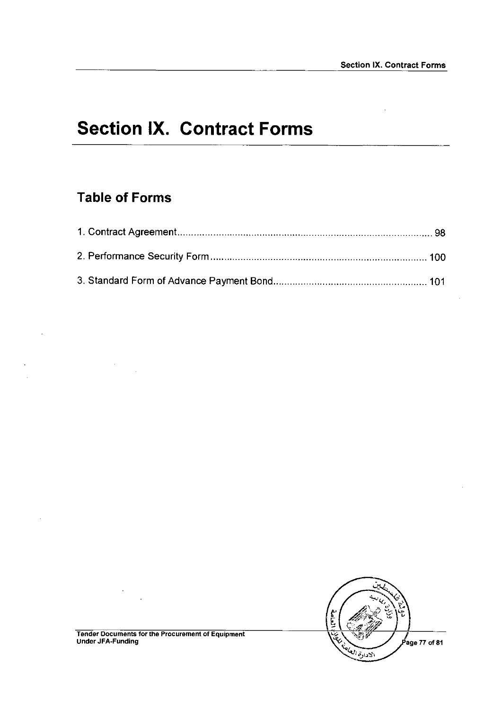# **Section IX. Contract Forms**

### **Table of Forms**

 $\hat{\mathcal{A}}$ 

 $\ddot{\phantom{a}}$ 

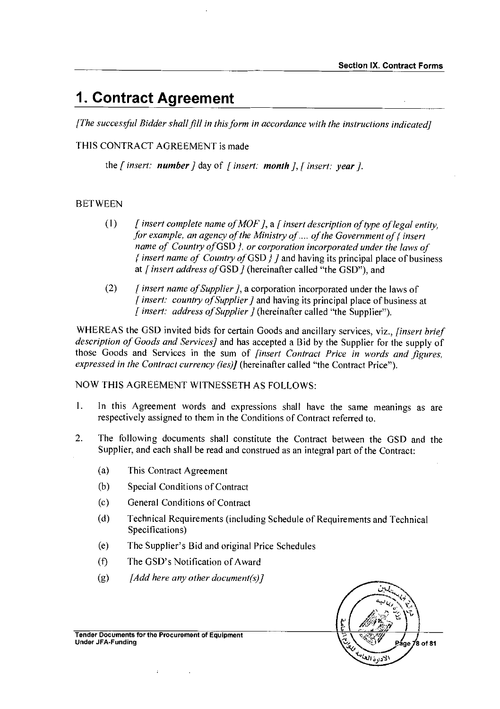# **1. Contract Agreement**

*[The successful Bidder shall fill in this form in accordance with the instructions indicated]* 

THIS CONTRACT AGREEMENT is made

the [ *insert: number]* day of *[insert: month], [ insert: year].* 

### **BETWEEN**

- *(* I) *[ insert complete name of MOF ],* a *[insert description of type of legal entity, for example, an agency of the Ministry of .... of the Government of { insert name of Country of* GSD }, *or corporation incorporated under the laws of { insert name of Country of* GSD } J and having its principal place of business at *[insert address of* GSD] (hereinafter called "the GSD"), and
- (2) *[insert name of Supplier],* a corporation incorporated under the laws of *[ insert: country of Supplier]* and having its principal place of business at *[ insert: address of Supplier]* (hereinafter called "the Supplier").

WHEREAS the GSD invited bids for certain Goods and ancillary services, viz., *[insert brief description of Goods and Services]* and has accepted a Bid by the Supplier for the supply of those Goods and Services in the sum of *[insert Contract Price in words and figures, expressed in the Contract currency (ies)/* (hereinafter called "the Contract Price").

NOW THIS AGREEMENT WITNESSETH AS FOLLOWS:

- I. In this Agreement words and expressions shall have the same meanings as are respectively assigned to them in the Conditions of Contract referred to.
- 2. The following documents shall constitute the Contract between the GSD and the Supplier, and each shall be read and construed as an integral part of the Contract:
	- (a) This Contract Agreement
	- (b) Special Conditions of Contract
	- (c) General Conditions of Contract
	- (d) Technical Requirements (including Schedule of Requirements and Technical Specifications)
	- (e) The Supplier's Bid and original Price Schedules
	- $(f)$ The GSD's Notification of Award
	- (g) *[Add here any other document(s)]*



Tender Documents for the Procurement of Equipment Under JFA-Funding

 $\ddot{\phantom{a}}$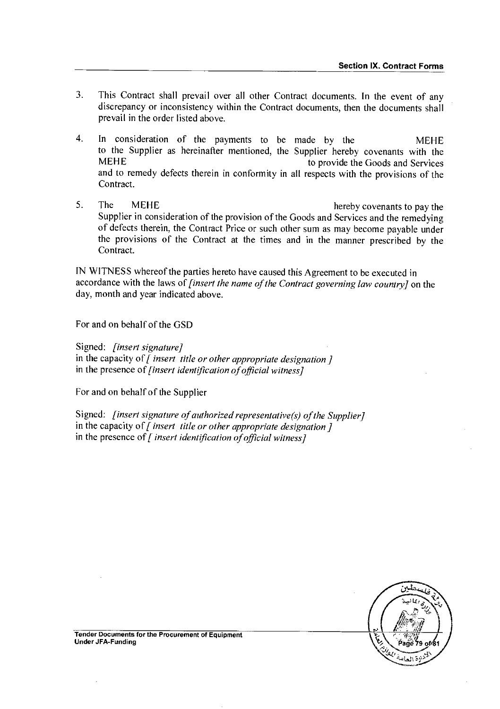- 3. This Contract shall prevail over all other Contract documents. In the event of any discrepancy or inconsistency within the Contract documents, then the documents shall prevail in the order listed above.
- 4. In consideration of the payments to be made by the MEHE to the Supplier as hereinafter mentioned, the Supplier hereby covenants with the MEHE to provide the Goods and Services and to remedy defects therein in conformity in all respects with the provisions of the Contract.
- 5. The MEHE hereby covenants to pay the Supplier in consideration of the provision of the Goods and Services and the remedying of defects therein, the Contract Price or such other sum as may become payable under the provisions of the Contract at the times and in the manner prescribed by the Contract.

IN WITNESS whereof the parties hereto have caused this Agreement to be executed in accordance with the laws of *[insert the name of the Contract governing law country]* on the day, month and year indicated above.

For and on behalf of the GSD

Signed: *[insert signature] in* the capacity of [ *insert title or other appropriate designation]*  in the presence of *[insert identification of official witness]* 

For and on behalf of the Supplier

Signed: *[insert signature of authorized representative(s) of the Supplier]*  in the capacity of [ *insert title or other appropriate designation]*  in the presence of *[ insert identification of official witness]* 



Tender Documents for the Procurement of Equipment Under JFA-Funding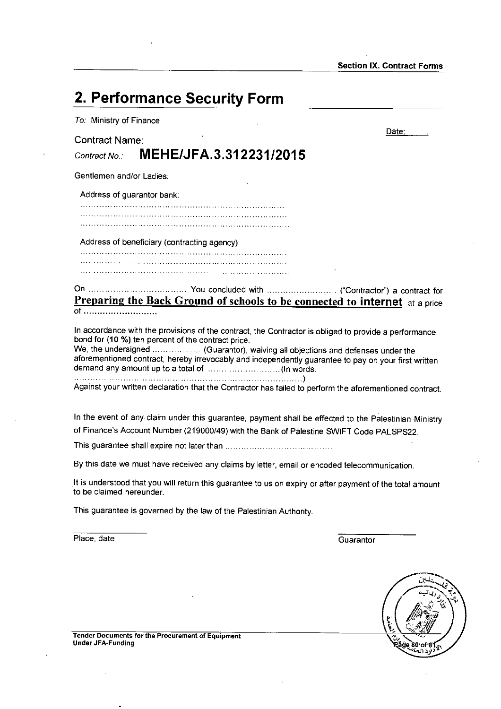| 2. Performance Security Form                                                                                                                                                                                                                                                                                                                           |       |  |  |
|--------------------------------------------------------------------------------------------------------------------------------------------------------------------------------------------------------------------------------------------------------------------------------------------------------------------------------------------------------|-------|--|--|
| To: Ministry of Finance                                                                                                                                                                                                                                                                                                                                |       |  |  |
| <b>Contract Name:</b><br>MEHE/JFA.3.312231/2015<br>Contract No.                                                                                                                                                                                                                                                                                        | Date∶ |  |  |
| Gentlemen and/or Ladies:                                                                                                                                                                                                                                                                                                                               |       |  |  |
| Address of guarantor bank:                                                                                                                                                                                                                                                                                                                             |       |  |  |
|                                                                                                                                                                                                                                                                                                                                                        |       |  |  |
| Address of beneficiary (contracting agency):                                                                                                                                                                                                                                                                                                           |       |  |  |
|                                                                                                                                                                                                                                                                                                                                                        |       |  |  |
| <b>Preparing the Back Ground of schools to be connected to internet</b> at a price                                                                                                                                                                                                                                                                     |       |  |  |
| In accordance with the provisions of the contract, the Contractor is obliged to provide a performance<br>bond for (10 %) ten percent of the contract price.<br>We, the undersigned  (Guarantor), waiving all objections and defenses under the<br>aforementioned contract, hereby irrevocably and independently guarantee to pay on your first written |       |  |  |
| Against your written declaration that the Contractor has failed to perform the aforementioned contract.                                                                                                                                                                                                                                                |       |  |  |

In the event of any. claim under this guarantee, payment shall be effected to the Palestinian Ministry of Finance's Account Number (219000/49) with the Bank of Palestine SWIFT Code PALSPS22.

This guarantee shall expire not later than

By this date we must have received any claims by letter, email or encoded telecommunication.

It is understood that you will return this guarantee to us on expiry or after payment of the total amount to be claimed hereunder.

This guarantee is governed by the law of the Palestinian Authority.

Place, date Guarantor



Tender Documents for the Procurement of Equipment Under JFA-Funding